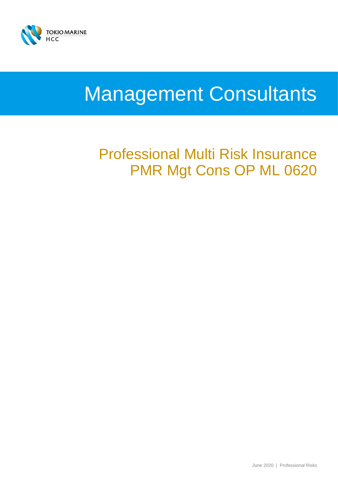

# Management Consultants

## Professional Multi Risk Insurance PMR Mgt Cons OP ML 0620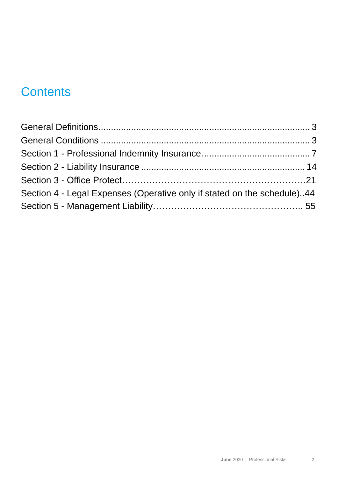## **Contents**

| Section 4 - Legal Expenses (Operative only if stated on the schedule)44 |  |
|-------------------------------------------------------------------------|--|
|                                                                         |  |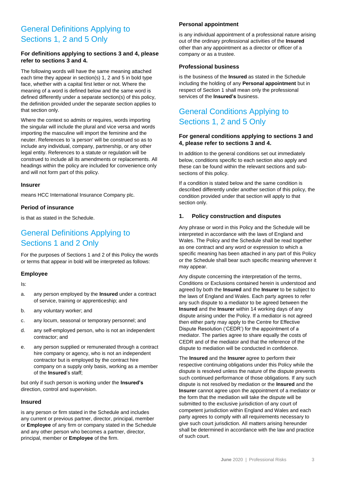### General Definitions Applying to Sections 1, 2 and 5 Only

### **For definitions applying to sections 3 and 4, please refer to sections 3 and 4.**

The following words will have the same meaning attached each time they appear in section(s) 1, 2 and 5 in bold type face, whether with a capital first letter or not. Where the meaning of a word is defined below and the same word is defined differently under a separate section(s) of this policy, the definition provided under the separate section applies to that section only.

Where the context so admits or requires, words importing the singular will include the plural and vice versa and words importing the masculine will import the feminine and the neuter. References to 'a person' will be construed so as to include any individual, company, partnership, or any other legal entity. References to a statute or regulation will be construed to include all its amendments or replacements. All headings within the policy are included for convenience only and will not form part of this policy.

### **Insurer**

means HCC International Insurance Company plc.

### **Period of insurance**

is that as stated in the Schedule.

### General Definitions Applying to Sections 1 and 2 Only

For the purposes of Sections 1 and 2 of this Policy the words or terms that appear in bold will be interpreted as follows:

### **Employee**

Is:

- a. any person employed by the **Insured** under a contract of service, training or apprenticeship; and
- b. any voluntary worker; and
- c. any locum, seasonal or temporary personnel; and
- d. any self-employed person, who is not an independent contractor; and
- e. any person supplied or remunerated through a contract hire company or agency, who is not an independent contractor but is employed by the contract hire company on a supply only basis, working as a member of the **Insured**'s staff;

but only if such person is working under the **Insured's**  direction, control and supervision.

### **Insured**

is any person or firm stated in the Schedule and includes any current or previous partner, director, principal, member or **Employee** of any firm or company stated in the Schedule and any other person who becomes a partner, director, principal, member or **Employee** of the firm.

### **Personal appointment**

is any individual appointment of a professional nature arising out of the ordinary professional activities of the **Insured** other than any appointment as a director or officer of a company or as a trustee.

### **Professional business**

is the business of the **Insured** as stated in the Schedule including the holding of any **Personal appointment** but in respect of Section 1 shall mean only the professional services of the **Insured's** business.

### General Conditions Applying to Sections 1, 2 and 5 Only

### **For general conditions applying to sections 3 and 4, please refer to sections 3 and 4.**

In addition to the general conditions set out immediately below, conditions specific to each section also apply and these can be found within the relevant sections and subsections of this policy.

If a condition is stated below and the same condition is described differently under another section of this policy, the condition provided under that section will apply to that section only.

### **1. Policy construction and disputes**

Any phrase or word in this Policy and the Schedule will be interpreted in accordance with the laws of England and Wales. The Policy and the Schedule shall be read together as one contract and any word or expression to which a specific meaning has been attached in any part of this Policy or the Schedule shall bear such specific meaning wherever it may appear.

Any dispute concerning the interpretation of the terms, Conditions or Exclusions contained herein is understood and agreed by both the **Insured** and the **Insurer** to be subject to the laws of England and Wales. Each party agrees to refer any such dispute to a mediator to be agreed between the **Insured** and the **Insurer** within 14 working days of any dispute arising under the Policy. If a mediator is not agreed then either party may apply to the Centre for Effective Dispute Resolution ('CEDR') for the appointment of a mediator. The parties agree to share equally the costs of CEDR and of the mediator and that the reference of the dispute to mediation will be conducted in confidence.

The **Insured** and the **Insurer** agree to perform their respective continuing obligations under this Policy while the dispute is resolved unless the nature of the dispute prevents such continued performance of those obligations. If any such dispute is not resolved by mediation or the **Insured** and the **Insurer** cannot agree upon the appointment of a mediator or the form that the mediation will take the dispute will be submitted to the exclusive jurisdiction of any court of competent jurisdiction within England and Wales and each party agrees to comply with all requirements necessary to give such court jurisdiction. All matters arising hereunder shall be determined in accordance with the law and practice of such court.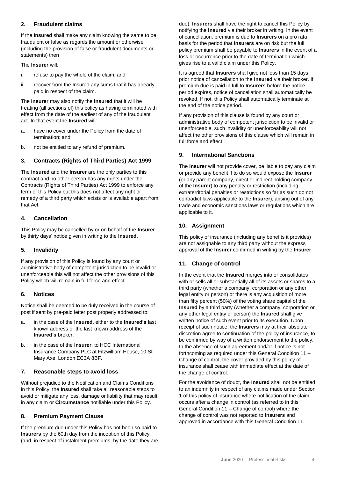### **2. Fraudulent claims**

If the **Insured** shall make any claim knowing the same to be fraudulent or false as regards the amount or otherwise (including the provision of false or fraudulent documents or statements) then

#### The **Insurer** will:

- i. refuse to pay the whole of the claim; and
- ii. recover from the Insured any sums that it has already paid in respect of the claim.

The **Insurer** may also notify the **Insured** that it will be treating (all sections of) this policy as having terminated with effect from the date of the earliest of any of the fraudulent act. In that event the **Insured** will:

- a. have no cover under the Policy from the date of termination; and
- b. not be entitled to any refund of premium.

### **3. Contracts (Rights of Third Parties) Act 1999**

The **Insured** and the **Insurer** are the only parties to this contract and no other person has any rights under the Contracts (Rights of Third Parties) Act 1999 to enforce any term of this Policy but this does not affect any right or remedy of a third party which exists or is available apart from that Act.

### **4. Cancellation**

This Policy may be cancelled by or on behalf of the **Insurer** by thirty days' notice given in writing to the **Insured**.

### **5. Invalidity**

If any provision of this Policy is found by any court or administrative body of competent jurisdiction to be invalid or unenforceable this will not affect the other provisions of this Policy which will remain in full force and effect.

### **6. Notices**

Notice shall be deemed to be duly received in the course of post if sent by pre-paid letter post properly addressed to:

- a. in the case of the **Insured**, either to the **Insured's** last known address or the last known address of the **Insured's** broker;
- b. in the case of the **Insurer**, to HCC International Insurance Company PLC at Fitzwilliam House, 10 St Mary Axe, London EC3A 8BF.

### **7. Reasonable steps to avoid loss**

Without prejudice to the Notification and Claims Conditions in this Policy, the **Insured** shall take all reasonable steps to avoid or mitigate any loss, damage or liability that may result in any claim or **Circumstance** notifiable under this Policy.

### **8. Premium Payment Clause**

If the premium due under this Policy has not been so paid to **Insurers** by the 60th day from the inception of this Policy, (and, in respect of instalment premiums, by the date they are due), **Insurers** shall have the right to cancel this Policy by notifying the **Insured** via their broker in writing. In the event of cancellation, premium is due to **Insurers** on a pro rata basis for the period that **Insurers** are on risk but the full policy premium shall be payable to **Insurers** in the event of a loss or occurrence prior to the date of termination which gives rise to a valid claim under this Policy.

It is agreed that **Insurers** shall give not less than 15 days prior notice of cancellation to the **Insured** via their broker. If premium due is paid in full to **Insurers** before the notice period expires, notice of cancellation shall automatically be revoked. If not, this Policy shall automatically terminate at the end of the notice period.

If any provision of this clause is found by any court or administrative body of competent jurisdiction to be invalid or unenforceable, such invalidity or unenforceability will not affect the other provisions of this clause which will remain in full force and effect.

### **9. International Sanctions**

The **Insurer** will not provide cover, be liable to pay any claim or provide any benefit if to do so would expose the **Insurer** (or any parent company, direct or indirect holding company of the **Insurer**) to any penalty or restriction (including extraterritorial penalties or restrictions so far as such do not contradict laws applicable to the **Insurer**), arising out of any trade and economic sanctions laws or regulations which are applicable to it.

### **10. Assignment**

This policy of insurance (including any benefits it provides) are not assignable to any third party without the express approval of the **Insurer** confirmed in writing by the **Insurer**

### **11. Change of control**

In the event that the **Insured** merges into or consolidates with or sells all or substantially all of its assets or shares to a third party (whether a company, corporation or any other legal entity or person) or there is any acquisition of more than fifty percent (50%) of the voting share capital of the **Insured** by a third party (whether a company, corporation or any other legal entity or person) the **Insured** shall give written notice of such event prior to its execution. Upon receipt of such notice, the **Insurers** may at their absolute discretion agree to continuation of the policy of insurance, to be confirmed by way of a written endorsement to the policy. In the absence of such agreement and/or if notice is not forthcoming as required under this General Condition 11 – Change of control, the cover provided by this policy of insurance shall cease with immediate effect at the date of the change of control.

For the avoidance of doubt, the **Insured** shall not be entitled to an indemnity in respect of any claims made under Section 1 of this policy of insurance where notification of the claim occurs after a change in control (as referred to in this General Condition 11 – Change of control) where the change of control was not reported to **Insurers** and approved in accordance with this General Condition 11.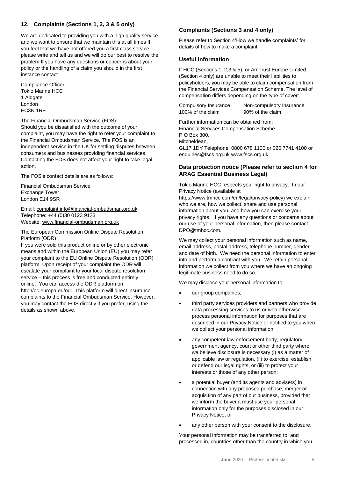### **12. Complaints (Sections 1, 2, 3 & 5 only)**

We are dedicated to providing you with a high quality service and we want to ensure that we maintain this at all times If you feel that we have not offered you a first class service please write and tell us and we will do our best to resolve the problem If you have any questions or concerns about your policy or the handling of a claim you should in the first instance contact

Compliance Officer Tokio Marine HCC 1 Aldgate London EC3N 1RE

The Financial Ombudsman Service (FOS)

Should you be dissatisfied with the outcome of your complaint, you may have the right to refer your complaint to the Financial Ombudsman Service. The FOS is an independent service in the UK for settling disputes between consumers and businesses providing financial services. Contacting the FOS does not affect your right to take legal action.

The FOS's contact details are as follows:

Financial Ombudsman Service Exchange Tower London E14 9SR

Email: [complaint.info@financial-ombudsman.org.uk](mailto:complaint.info@financial-ombudsman.org.uk) Telephone: +44 (0)30 0123 9123 Website: [www.financial-ombudsman.org.uk](http://www.financial-ombudsman.org.uk/)

The European Commission Online Dispute Resolution Platform (ODR)

If you were sold this product online or by other electronic means and within the European Union (EU) you may refer your complaint to the EU Online Dispute Resolution (ODR) platform. Upon receipt of your complaint the ODR will escalate your complaint to your local dispute resolution service – this process is free and conducted entirely online. You can access the ODR platform on [http://ec.europa.eu/odr.](http://ec.europa.eu/odr) This platform will direct insurance complaints to the Financial Ombudsman Service. However, you may contact the FOS directly if you prefer, using the details as shown above.

### **Complaints (Sections 3 and 4 only)**

Please refer to Section 4'How we handle complaints' for details of how to make a complaint.

#### **Useful Information**

If HCC (Sections 1, 2,3 & 5), or AmTrust Europe Limited (Section 4 only) are unable to meet their liabilities to policyholders, you may be able to claim compensation from the Financial Services Compensation Scheme. The level of compensation differs depending on the type of cover:

Compulsory Insurance Non-compulsory Insurance 100% of the claim 90% of the claim

Further information can be obtained from: Financial Services Compensation Scheme P O Box 300, Mitcheldean, GL17 1DY Telephone: 0800 678 1100 or 020 7741 4100 or [enquiries@fscs.org.uk](mailto:enquiries@fscs.org.uk) [www.fscs.org.uk](http://www.fscs.org.uk/)

### **Data protection notice (Please refer to section 4 for ARAG Essential Business Legal)**

Tokio Marine HCC respects your right to privacy. In our Privacy Notice (available at

https://www.tmhcc.com/en/legal/privacy-policy) we explain who we are, how we collect, share and use personal information about you, and how you can exercise your privacy rights. If you have any questions or concerns about our use of your personal information, then please contact DPO@tmhcc.com.

We may collect your personal information such as name. email address, postal address, telephone number, gender and date of birth. We need the personal information to enter into and perform a contract with you. We retain personal information we collect from you where we have an ongoing legitimate business need to do so.

We may disclose your personal information to:

- our group companies;
- third party services providers and partners who provide data processing services to us or who otherwise process personal information for purposes that are described in our Privacy Notice or notified to you when we collect your personal information;
- any competent law enforcement body, regulatory, government agency, court or other third party where we believe disclosure is necessary (i) as a matter of applicable law or regulation, (ii) to exercise, establish or defend our legal rights, or (iii) to protect your interests or those of any other person;
- a potential buyer (and its agents and advisers) in connection with any proposed purchase, merger or acquisition of any part of our business, provided that we inform the buyer it must use your personal information only for the purposes disclosed in our Privacy Notice; or
- any other person with your consent to the disclosure.

Your personal information may be transferred to, and processed in, countries other than the country in which you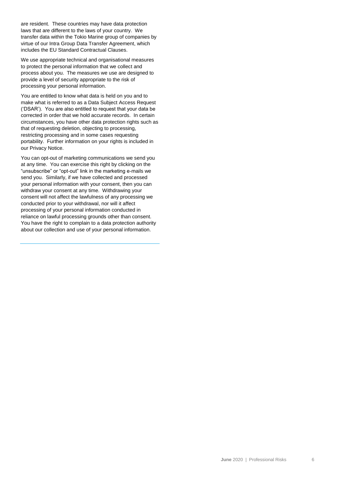are resident. These countries may have data protection laws that are different to the laws of your country. We transfer data within the Tokio Marine group of companies by virtue of our Intra Group Data Transfer Agreement, which includes the EU Standard Contractual Clauses.

We use appropriate technical and organisational measures to protect the personal information that we collect and process about you. The measures we use are designed to provide a level of security appropriate to the risk of processing your personal information.

You are entitled to know what data is held on you and to make what is referred to as a Data Subject Access Request ('DSAR'). You are also entitled to request that your data be corrected in order that we hold accurate records. In certain circumstances, you have other data protection rights such as that of requesting deletion, objecting to processing, restricting processing and in some cases requesting portability. Further information on your rights is included in our Privacy Notice.

You can opt-out of marketing communications we send you at any time. You can exercise this right by clicking on the "unsubscribe" or "opt-out" link in the marketing e-mails we send you. Similarly, if we have collected and processed your personal information with your consent, then you can withdraw your consent at any time. Withdrawing your consent will not affect the lawfulness of any processing we conducted prior to your withdrawal, nor will it affect processing of your personal information conducted in reliance on lawful processing grounds other than consent. You have the right to complain to a data protection authority about our collection and use of your personal information.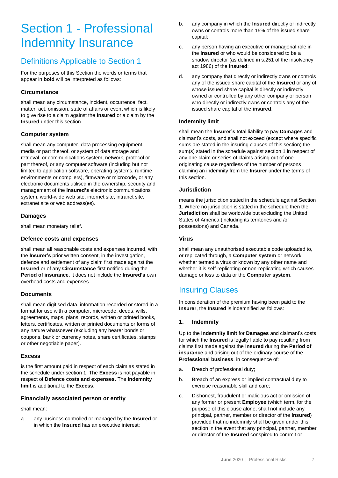## Section 1 - Professional Indemnity Insurance

### Definitions Applicable to Section 1

For the purposes of this Section the words or terms that appear in **bold** will be interpreted as follows:

### **Circumstance**

shall mean any circumstance, incident, occurrence, fact, matter, act, omission, state of affairs or event which is likely to give rise to a claim against the **Insured** or a claim by the **Insured** under this section.

### **Computer system**

shall mean any computer, data processing equipment, media or part thereof, or system of data storage and retrieval, or communications system, network, protocol or part thereof, or any computer software (including but not limited to application software, operating systems, runtime environments or compilers), firmware or microcode, or any electronic documents utilised in the ownership, security and management of the **Insured's** electronic communications system, world-wide web site, internet site, intranet site, extranet site or web address(es).

### **Damages**

shall mean monetary relief.

### **Defence costs and expenses**

shall mean all reasonable costs and expenses incurred, with the **Insurer's** prior written consent, in the investigation, defence and settlement of any claim first made against the **Insured** or of any **Circumstance** first notified during the **Period of insurance**. it does not include the **Insured's** own overhead costs and expenses.

### **Documents**

shall mean digitised data, information recorded or stored in a format for use with a computer, microcode, deeds, wills, agreements, maps, plans, records, written or printed books, letters, certificates, written or printed documents or forms of any nature whatsoever (excluding any bearer bonds or coupons, bank or currency notes, share certificates, stamps or other negotiable paper).

### **Excess**

is the first amount paid in respect of each claim as stated in the schedule under section 1. The **Excess** is not payable in respect of **Defence costs and expenses**. The **Indemnity limit** is additional to the **Excess**.

### **Financially associated person or entity**

shall mean:

a. any business controlled or managed by the **Insured** or in which the **Insured** has an executive interest;

- b. any company in which the **Insured** directly or indirectly owns or controls more than 15% of the issued share capital;
- c. any person having an executive or managerial role in the **Insured** or who would be considered to be a shadow director (as defined in s.251 of the insolvency act 1986) of the **Insured**;
- d. any company that directly or indirectly owns or controls any of the issued share capital of the **Insured** or any of whose issued share capital is directly or indirectly owned or controlled by any other company or person who directly or indirectly owns or controls any of the issued share capital of the **insured**.

### **Indemnity limit**

shall mean the **Insurer's** total liability to pay **Damages** and claimant's costs, and shall not exceed (except where specific sums are stated in the insuring clauses of this section) the sum(s) stated in the schedule against section 1 in respect of any one claim or series of claims arising out of one originating cause regardless of the number of persons claiming an indemnity from the **Insurer** under the terms of this section.

### **Jurisdiction**

means the jurisdiction stated in the schedule against Section 1. Where no jurisdiction is stated in the schedule then the **Jurisdiction** shall be worldwide but excluding the United States of America (including its territories and /or possessions) and Canada.

### **Virus**

shall mean any unauthorised executable code uploaded to, or replicated through, a **Computer system** or network whether termed a virus or known by any other name and whether it is self-replicating or non-replicating which causes damage or loss to data or the **Computer system**.

### Insuring Clauses

In consideration of the premium having been paid to the **Insurer**, the **Insured** is indemnified as follows:

### **1. Indemnity**

Up to the **Indemnity limit** for **Damages** and claimant's costs for which the **Insured** is legally liable to pay resulting from claims first made against the **Insured** during the **Period of insurance** and arising out of the ordinary course of the **Professional business**, in consequence of:

- a. Breach of professional duty;
- b. Breach of an express or implied contractual duty to exercise reasonable skill and care;
- c. Dishonest, fraudulent or malicious act or omission of any former or present **Employee** (which term, for the purpose of this clause alone, shall not include any principal, partner, member or director of the **Insured**) provided that no indemnity shall be given under this section in the event that any principal, partner, member or director of the **Insured** conspired to commit or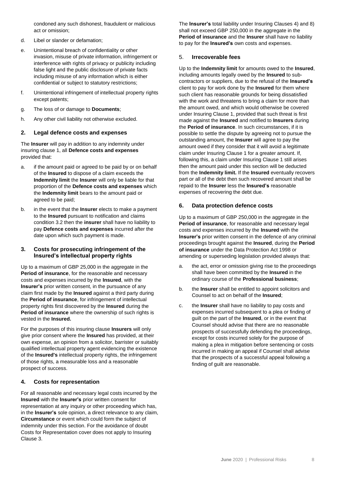condoned any such dishonest, fraudulent or malicious act or omission;

- d. Libel or slander or defamation;
- e. Unintentional breach of confidentiality or other invasion, misuse of private information, infringement or interference with rights of privacy or publicity including false light and the public disclosure of private facts including misuse of any information which is either confidential or subject to statutory restrictions;
- f. Unintentional infringement of intellectual property rights except patents;
- g. The loss of or damage to **Documents**;
- h. Any other civil liability not otherwise excluded.

### **2. Legal defence costs and expenses**

The **Insurer** will pay in addition to any indemnity under insuring clause 1, all **Defence costs and expenses** provided that:

- a. if the amount paid or agreed to be paid by or on behalf of the **Insured** to dispose of a claim exceeds the **Indemnity limit** the **Insurer** will only be liable for that proportion of the **Defence costs and expenses** which the **Indemnity limit** bears to the amount paid or agreed to be paid;
- b. in the event that the **Insurer** elects to make a payment to the **Insured** pursuant to notification and claims condition 3.2 then the **insurer** shall have no liability to pay **Defence costs and expenses** incurred after the date upon which such payment is made.

### **3. Costs for prosecuting infringement of the Insured's intellectual property rights**

Up to a maximum of GBP 25,000 in the aggregate in the **Period of insurance**, for the reasonable and necessary costs and expenses incurred by the **Insured**, with the **Insurer's** prior written consent, in the pursuance of any claim first made by the **Insured** against a third party during the **Period of insurance**, for infringement of intellectual property rights first discovered by the **Insured** during the **Period of insurance** where the ownership of such rights is vested in the **Insured.**

For the purposes of this insuring clause **Insurers** will only give prior consent where the **Insured** has provided, at their own expense, an opinion from a solicitor, barrister or suitably qualified intellectual property agent evidencing the existence of the **Insured's** intellectual property rights, the infringement of those rights, a measurable loss and a reasonable prospect of success.

### **4. Costs for representation**

For all reasonable and necessary legal costs incurred by the **Insured** with the **Insurer's** prior written consent for representation at any inquiry or other proceeding which has, in the **Insurer's** sole opinion, a direct relevance to any claim, **Circumstance** or event which could form the subject of indemnity under this section. For the avoidance of doubt Costs for Representation cover does not apply to Insuring Clause 3.

The **Insurer's** total liability under Insuring Clauses 4) and 8) shall not exceed GBP 250,000 in the aggregate in the **Period of insurance** and the **Insurer** shall have no liability to pay for the **Insured's** own costs and expenses.

### 5. **Irrecoverable fees**

Up to the **Indemnity limit** for amounts owed to the **Insured**, including amounts legally owed by the **Insured** to subcontractors or suppliers, due to the refusal of the **Insured's** client to pay for work done by the **Insured** for them where such client has reasonable grounds for being dissatisfied with the work and threatens to bring a claim for more than the amount owed, and which would otherwise be covered under Insuring Clause 1, provided that such threat is first made against the **Insured** and notified to **Insurers** during the **Period of insurance**. In such circumstances, if it is possible to settle the dispute by agreeing not to pursue the outstanding amount, the **Insurer** will agree to pay the amount owed if they consider that it will avoid a legitimate claim under Insuring Clause 1 for a greater amount. If, following this, a claim under Insuring Clause 1 still arises then the amount paid under this section will be deducted from the **Indemnity limit.** If the **Insured** eventually recovers part or all of the debt then such recovered amount shall be repaid to the **Insurer** less the **Insured's** reasonable expenses of recovering the debt due.

### **6. Data protection defence costs**

Up to a maximum of GBP 250,000 in the aggregate in the **Period of insurance**, for reasonable and necessary legal costs and expenses incurred by the **Insured** with the **Insurer's** prior written consent in the defence of any criminal proceedings brought against the **Insured**, during the **Period of insurance** under the Data Protection Act 1998 or amending or superseding legislation provided always that:

- a. the act, error or omission giving rise to the proceedings shall have been committed by the **Insured** in the ordinary course of the **Professional business**;
- b. the **Insurer** shall be entitled to appoint solicitors and Counsel to act on behalf of the **Insured**;
- c. the **Insurer** shall have no liability to pay costs and expenses incurred subsequent to a plea or finding of guilt on the part of the **Insured**, or in the event that Counsel should advise that there are no reasonable prospects of successfully defending the proceedings, except for costs incurred solely for the purpose of making a plea in mitigation before sentencing or costs incurred in making an appeal if Counsel shall advise that the prospects of a successful appeal following a finding of guilt are reasonable.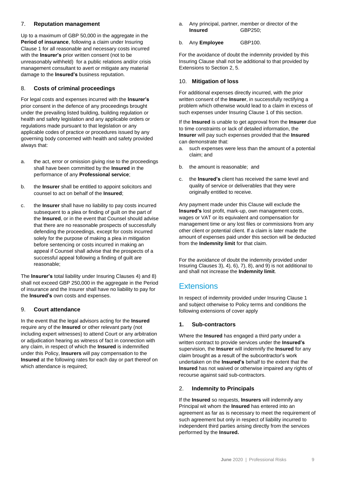### 7. **Reputation management**

Up to a maximum of GBP 50,000 in the aggregate in the **Period of insurance**, following a claim under Insuring Clause 1 for all reasonable and necessary costs incurred with the **Insurer's** prior written consent (not to be unreasonably withheld) for a public relations and/or crisis management consultant to avert or mitigate any material damage to the **Insured's** business reputation.

### 8. **Costs of criminal proceedings**

For legal costs and expenses incurred with the **Insurer's** prior consent in the defence of any proceedings brought under the prevailing listed building, building regulation or health and safety legislation and any applicable orders or regulations made pursuant to that legislation or any applicable codes of practice or procedures issued by any governing body concerned with health and safety provided always that:

- a. the act, error or omission giving rise to the proceedings shall have been committed by the **Insured** in the performance of any **Professional service**;
- b. the **Insurer** shall be entitled to appoint solicitors and counsel to act on behalf of the **Insured**;
- c. the **Insurer** shall have no liability to pay costs incurred subsequent to a plea or finding of guilt on the part of the **Insured**, or in the event that Counsel should advise that there are no reasonable prospects of successfully defending the proceedings, except for costs incurred solely for the purpose of making a plea in mitigation before sentencing or costs incurred in making an appeal if Counsel shall advise that the prospects of a successful appeal following a finding of guilt are reasonable;

The **Insurer's** total liability under Insuring Clauses 4) and 8) shall not exceed GBP 250,000 in the aggregate in the Period of insurance and the Insurer shall have no liability to pay for the **Insured's** own costs and expenses.

### 9. **Court attendance**

In the event that the legal advisors acting for the **Insured**  require any of the **Insured** or other relevant party (not including expert witnesses) to attend Court or any arbitration or adjudication hearing as witness of fact in connection with any claim, in respect of which the **Insured** is indemnified under this Policy, **Insurers** will pay compensation to the **Insured** at the following rates for each day or part thereof on which attendance is required;

a. Any principal, partner, member or director of the **Insured GBP250:** 

### b. Any **Employee** GBP100.

For the avoidance of doubt the indemnity provided by this Insuring Clause shall not be additional to that provided by Extensions to Section 2, 5.

### 10. **Mitigation of loss**

For additional expenses directly incurred, with the prior written consent of the **Insurer**, in successfully rectifying a problem which otherwise would lead to a claim in excess of such expenses under Insuring Clause 1 of this section.

If the **Insured** is unable to get approval from the **Insurer** due to time constraints or lack of detailed information, the **Insurer** will pay such expenses provided that the **Insured** can demonstrate that:

- a. such expenses were less than the amount of a potential claim; and
- b. the amount is reasonable; and
- c. the **Insured's** client has received the same level and quality of service or deliverables that they were originally entitled to receive.

Any payment made under this Clause will exclude the **Insured's** lost profit, mark-up, own management costs, wages or VAT or its equivalent and compensation for management time or any lost files or commissions from any other client or potential client. If a claim is later made the amount of expenses paid under this section will be deducted from the **Indemnity limit** for that claim.

For the avoidance of doubt the indemnity provided under Insuring Clauses 3), 4), 6), 7), 8), and 9) is not additional to and shall not increase the **Indemnity limit**.

### **Extensions**

In respect of indemnity provided under Insuring Clause 1 and subject otherwise to Policy terms and conditions the following extensions of cover apply

### **1. Sub-contractors**

Where the **Insured** has engaged a third party under a written contract to provide services under the **Insured's** supervision, the **Insurer** will indemnify the **Insured** for any claim brought as a result of the subcontractor's work undertaken on the **Insured's** behalf to the extent that the **Insured** has not waived or otherwise impaired any rights of recourse against said sub-contractors.

### 2. **Indemnity to Principals**

If the **Insured** so requests, **Insurers** will indemnify any Principal wit whom the **Insured** has entered into an agreement as far as is necessary to meet the requirement of such agreement but only in respect of liability incurred to independent third parties arising directly from the services performed by the **Insured.**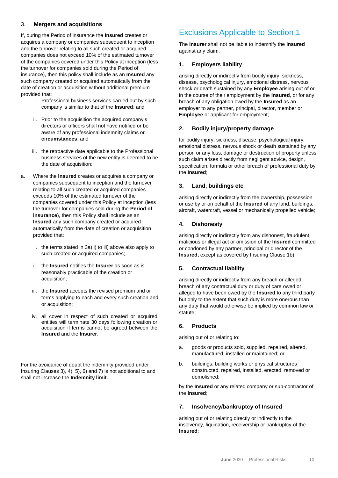### 3. **Mergers and acquisitions**

If, during the Period of insurance the **Insured** creates or acquires a company or companies subsequent to inception and the turnover relating to all such created or acquired companies does not exceed 10% of the estimated turnover of the companies covered under this Policy at inception (less the turnover for companies sold during the Period of insurance), then this policy shall include as an **Insured** any such company created or acquired automatically from the date of creation or acquisition without additional premium provided that:

- i. Professional business services carried out by such company is similar to that of the **Insured**; and
- ii. Prior to the acquisition the acquired company's directors or officers shall not have notified or be aware of any professional indemnity claims or **circumstances**; and
- iii. the retroactive date applicable to the Professional business services of the new entity is deemed to be the date of acquisition;
- a. Where the **Insured** creates or acquires a company or companies subsequent to inception and the turnover relating to all such created or acquired companies exceeds 10% of the estimated turnover of the companies covered under this Policy at inception (less the turnover for companies sold during the **Period of insurance**), then this Policy shall include as an **Insured** any such company created or acquired automatically from the date of creation or acquisition provided that:
	- i. the terms stated in 3a) i) to iii) above also apply to such created or acquired companies;
	- ii. the **Insured** notifies the **Insurer** as soon as is reasonably practicable of the creation or acquisition;
	- iii. the **Insured** accepts the revised premium and or terms applying to each and every such creation and or acquisition;
	- iv. all cover in respect of such created or acquired entities will terminate 30 days following creation or acquisition if terms cannot be agreed between the **Insured** and the **Insurer**.

For the avoidance of doubt the indemnity provided under Insuring Clauses 3), 4), 5), 6) and 7) is not additional to and shall not increase the **Indemnity limit**.

### Exclusions Applicable to Section 1

The **Insurer** shall not be liable to indemnify the **Insured**  against any claim:

### **1. Employers liability**

arising directly or indirectly from bodily injury, sickness, disease, psychological injury, emotional distress, nervous shock or death sustained by any **Employee** arising out of or in the course of their employment by the **Insured**, or for any breach of any obligation owed by the **Insured** as an employer to any partner, principal, director, member or **Employee** or applicant for employment;

### **2. Bodily injury/property damage**

for bodily injury, sickness, disease, psychological injury, emotional distress, nervous shock or death sustained by any person or any loss, damage or destruction of property unless such claim arises directly from negligent advice, design, specification, formula or other breach of professional duty by the **Insured**;

### **3. Land, buildings etc**

arising directly or indirectly from the ownership, possession or use by or on behalf of the **Insured** of any land, buildings, aircraft, watercraft, vessel or mechanically propelled vehicle;

### **4. Dishonesty**

arising directly or indirectly from any dishonest, fraudulent, malicious or illegal act or omission of the **Insured** committed or condoned by any partner, principal or director of the **Insured,** except as covered by Insuring Clause 1b);

### **5. Contractual liability**

arising directly or indirectly from any breach or alleged breach of any contractual duty or duty of care owed or alleged to have been owed by the **Insured** to any third party but only to the extent that such duty is more onerous than any duty that would otherwise be implied by common law or statute;

### **6. Products**

arising out of or relating to:

- a. goods or products sold, supplied, repaired, altered, manufactured, installed or maintained; or
- b. buildings, building works or physical structures constructed, repaired, installed, erected, removed or demolished;

by the **Insured** or any related company or sub-contractor of the **Insured**;

### **7. Insolvency/bankruptcy of Insured**

arising out of or relating directly or indirectly to the insolvency, liquidation, receivership or bankruptcy of the **Insured**;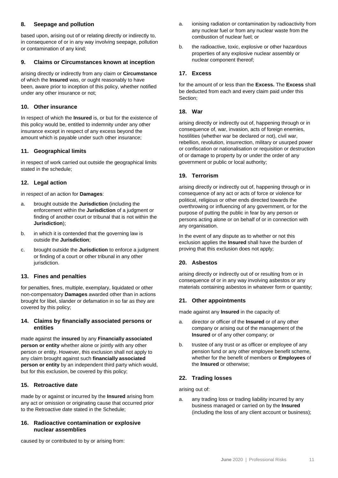### **8. Seepage and pollution**

based upon, arising out of or relating directly or indirectly to, in consequence of or in any way involving seepage, pollution or contamination of any kind;

### **9. Claims or Circumstances known at inception**

arising directly or indirectly from any claim or **Circumstance** of which the **Insured** was, or ought reasonably to have been, aware prior to inception of this policy, whether notified under any other insurance or not;

### **10. Other insurance**

In respect of which the **Insured** is, or but for the existence of this policy would be, entitled to indemnity under any other insurance except in respect of any excess beyond the amount which is payable under such other insurance;

### **11. Geographical limits**

in respect of work carried out outside the geographical limits stated in the schedule;

### **12. Legal action**

in respect of an action for **Damages**:

- a. brought outside the **Jurisdiction** (including the enforcement within the **Jurisdiction** of a judgment or finding of another court or tribunal that is not within the **Jurisdiction**);
- b. in which it is contended that the governing law is outside the **Jurisdiction**;
- c. brought outside the **Jurisdiction** to enforce a judgment or finding of a court or other tribunal in any other jurisdiction.

### **13. Fines and penalties**

for penalties, fines, multiple, exemplary, liquidated or other non-compensatory **Damages** awarded other than in actions brought for libel, slander or defamation in so far as they are covered by this policy;

### **14. Claims by financially associated persons or entities**

made against the **insured** by any **Financially associated person or entity** whether alone or jointly with any other person or entity. However, this exclusion shall not apply to any claim brought against such **financially associated person or entity** by an independent third party which would, but for this exclusion, be covered by this policy;

### **15. Retroactive date**

made by or against or incurred by the **Insured** arising from any act or omission or originating cause that occurred prior to the Retroactive date stated in the Schedule;

### **16. Radioactive contamination or explosive nuclear assemblies**

caused by or contributed to by or arising from:

- a. ionising radiation or contamination by radioactivity from any nuclear fuel or from any nuclear waste from the combustion of nuclear fuel; or
- b. the radioactive, toxic, explosive or other hazardous properties of any explosive nuclear assembly or nuclear component thereof;

### **17. Excess**

for the amount of or less than the **Excess.** The **Excess** shall be deducted from each and every claim paid under this Section;

### **18. War**

arising directly or indirectly out of, happening through or in consequence of, war, invasion, acts of foreign enemies, hostilities (whether war be declared or not), civil war, rebellion, revolution, insurrection, military or usurped power or confiscation or nationalisation or requisition or destruction of or damage to property by or under the order of any government or public or local authority;

### **19. Terrorism**

arising directly or indirectly out of, happening through or in consequence of any act or acts of force or violence for political, religious or other ends directed towards the overthrowing or influencing of any government, or for the purpose of putting the public in fear by any person or persons acting alone or on behalf of or in connection with any organisation.

In the event of any dispute as to whether or not this exclusion applies the **Insured** shall have the burden of proving that this exclusion does not apply;

### **20. Asbestos**

arising directly or indirectly out of or resulting from or in consequence of or in any way involving asbestos or any materials containing asbestos in whatever form or quantity;

### **21. Other appointments**

made against any **Insured** in the capacity of:

- a. director or officer of the **Insured** or of any other company or arising out of the management of the **Insured** or of any other company; or
- b. trustee of any trust or as officer or employee of any pension fund or any other employee benefit scheme, whether for the benefit of members or **Employees** of the **Insured** or otherwise;

### **22. Trading losses**

arising out of:

a. any trading loss or trading liability incurred by any business managed or carried on by the **Insured** (including the loss of any client account or business);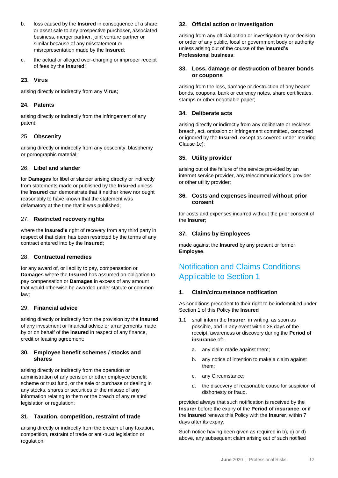- b. loss caused by the **Insured** in consequence of a share or asset sale to any prospective purchaser, associated business, merger partner, joint venture partner or similar because of any misstatement or misrepresentation made by the **Insured**;
- c. the actual or alleged over-charging or improper receipt of fees by the **Insured**;

### **23. Virus**

arising directly or indirectly from any **Virus**;

### **24. Patents**

arising directly or indirectly from the infringement of any patent;

### 25. **Obscenity**

arising directly or indirectly from any obscenity, blasphemy or pornographic material;

### 26. **Libel and slander**

for **Damages** for libel or slander arising directly or indirectly from statements made or published by the **Insured** unless the **Insured** can demonstrate that it neither knew nor ought reasonably to have known that the statement was defamatory at the time that it was published;

### 27. **Restricted recovery rights**

where the **Insured's** right of recovery from any third party in respect of that claim has been restricted by the terms of any contract entered into by the **Insured**;

### 28. **Contractual remedies**

for any award of, or liability to pay, compensation or **Damages** where the **Insured** has assumed an obligation to pay compensation or **Damages** in excess of any amount that would otherwise be awarded under statute or common law;

### 29. **Financial advice**

arising directly or indirectly from the provision by the **Insured** of any investment or financial advice or arrangements made by or on behalf of the **Insured** in respect of any finance, credit or leasing agreement;

### **30. Employee benefit schemes / stocks and shares**

arising directly or indirectly from the operation or administration of any pension or other employee benefit scheme or trust fund, or the sale or purchase or dealing in any stocks, shares or securities or the misuse of any information relating to them or the breach of any related legislation or regulation;

### **31. Taxation, competition, restraint of trade**

arising directly or indirectly from the breach of any taxation, competition, restraint of trade or anti-trust legislation or regulation;

### **32. Official action or investigation**

arising from any official action or investigation by or decision or order of any public, local or government body or authority unless arising out of the course of the **Insured's Professional business**;

### **33. Loss, damage or destruction of bearer bonds or coupons**

arising from the loss, damage or destruction of any bearer bonds, coupons, bank or currency notes, share certificates, stamps or other negotiable paper;

### **34. Deliberate acts**

arising directly or indirectly from any deliberate or reckless breach, act, omission or infringement committed, condoned or ignored by the **Insured**, except as covered under Insuring Clause 1c);

### **35. Utility provider**

arising out of the failure of the service provided by an internet service provider, any telecommunications provider or other utility provider;

### **36. Costs and expenses incurred without prior consent**

for costs and expenses incurred without the prior consent of the **Insurer**;

### **37. Claims by Employees**

made against the **Insured** by any present or former **Employee**.

### Notification and Claims Conditions Applicable to Section 1

### **1. Claim/circumstance notification**

As conditions precedent to their right to be indemnified under Section 1 of this Policy the **Insured**

- 1.1 shall inform the **Insurer**, in writing, as soon as possible, and in any event within 28 days of the receipt, awareness or discovery during the **Period of insurance** of:
	- a. any claim made against them;
	- b. any notice of intention to make a claim against them;
	- c. any Circumstance;
	- d. the discovery of reasonable cause for suspicion of dishonesty or fraud.

provided always that such notification is received by the **Insurer** before the expiry of the **Period of insurance**, or if the **Insured** renews this Policy with the **Insurer**, within 7 days after its expiry.

Such notice having been given as required in b), c) or d) above, any subsequent claim arising out of such notified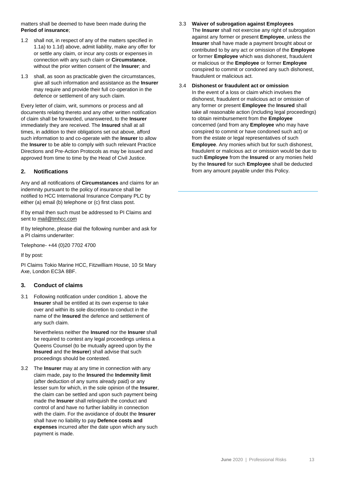matters shall be deemed to have been made during the **Period of insurance**;

- 1.2 shall not, in respect of any of the matters specified in 1.1a) to 1.1d) above, admit liability, make any offer for or settle any claim, or incur any costs or expenses in connection with any such claim or **Circumstance**, without the prior written consent of the **Insurer**; and
- 1.3 shall, as soon as practicable given the circumstances, give all such information and assistance as the **Insurer** may require and provide their full co-operation in the defence or settlement of any such claim.

Every letter of claim, writ, summons or process and all documents relating thereto and any other written notification of claim shall be forwarded, unanswered, to the **Insurer**  immediately they are received. The **Insured** shall at all times, in addition to their obligations set out above, afford such information to and co-operate with the **Insurer** to allow the **Insurer** to be able to comply with such relevant Practice Directions and Pre-Action Protocols as may be issued and approved from time to time by the Head of Civil Justice.

### **2. Notifications**

Any and all notifications of **Circumstances** and claims for an indemnity pursuant to the policy of insurance shall be notified to HCC International Insurance Company PLC by either (a) email (b) telephone or (c) first class post.

If by email then such must be addressed to PI Claims and sent to [mail@tmhcc.com](mailto:mail@tmhcc.com)

If by telephone, please dial the following number and ask for a PI claims underwriter:

Telephone- +44 (0)20 7702 4700

If by post:

PI Claims Tokio Marine HCC, Fitzwilliam House, 10 St Mary Axe, London EC3A 8BF.

### **3. Conduct of claims**

3.1 Following notification under condition 1. above the **Insurer** shall be entitled at its own expense to take over and within its sole discretion to conduct in the name of the **Insured** the defence and settlement of any such claim.

Nevertheless neither the **Insured** nor the **Insurer** shall be required to contest any legal proceedings unless a Queens Counsel (to be mutually agreed upon by the **Insured** and the **Insurer**) shall advise that such proceedings should be contested.

3.2 The **Insurer** may at any time in connection with any claim made, pay to the **Insured** the **Indemnity limit** (after deduction of any sums already paid) or any lesser sum for which, in the sole opinion of the **Insurer**, the claim can be settled and upon such payment being made the **Insurer** shall relinquish the conduct and control of and have no further liability in connection with the claim. For the avoidance of doubt the **Insurer** shall have no liability to pay **Defence costs and expenses** incurred after the date upon which any such payment is made.

3.3 **Waiver of subrogation against Employees** The **Insurer** shall not exercise any right of subrogation against any former or present **Employee**, unless the **Insurer** shall have made a payment brought about or contributed to by any act or omission of the **Employee** or former **Employee** which was dishonest, fraudulent or malicious or the **Employee** or former **Employee** conspired to commit or condoned any such dishonest, fraudulent or malicious act.

#### 3.4 **Dishonest or fraudulent act or omission**

In the event of a loss or claim which involves the dishonest, fraudulent or malicious act or omission of any former or present **Employee** the **Insured** shall take all reasonable action (including legal proceedings) to obtain reimbursement from the **Employee**  concerned (and from any **Employee** who may have conspired to commit or have condoned such act) or from the estate or legal representatives of such **Employee**. Any monies which but for such dishonest, fraudulent or malicious act or omission would be due to such **Employee** from the **Insured** or any monies held by the **Insured** for such **Employee** shall be deducted from any amount payable under this Policy.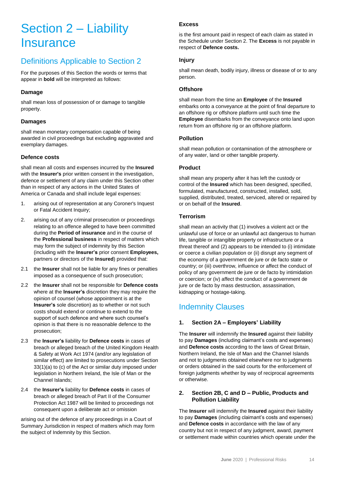## Section 2 – Liability **Insurance**

### Definitions Applicable to Section 2

For the purposes of this Section the words or terms that appear in **bold** will be interpreted as follows:

### **Damage**

shall mean loss of possession of or damage to tangible property.

### **Damages**

shall mean monetary compensation capable of being awarded in civil proceedings but excluding aggravated and exemplary damages.

### **Defence costs**

shall mean all costs and expenses incurred by the **Insured** with the **Insurer's** prior written consent in the investigation, defence or settlement of any claim under this Section other than in respect of any actions in the United States of America or Canada and shall include legal expenses:

- 1. arising out of representation at any Coroner's Inquest or Fatal Accident Inquiry;
- 2. arising out of any criminal prosecution or proceedings relating to an offence alleged to have been committed during the **Period of insurance** and in the course of the **Professional business** in respect of matters which may form the subject of indemnity by this Section (including with the **Insurer's** prior consent **Employees,** partners or directors of the **Insured**) provided that:
- 2.1 the **Insurer** shall not be liable for any fines or penalties imposed as a consequence of such prosecution;
- 2.2 the **Insurer** shall not be responsible for **Defence costs** where at the **Insurer's** discretion they may require the opinion of counsel (whose appointment is at the **Insurer's** sole discretion) as to whether or not such costs should extend or continue to extend to the support of such defence and where such counsel's opinion is that there is no reasonable defence to the prosecution;
- 2.3 the **Insurer's** liability for **Defence costs** in cases of breach or alleged breach of the United Kingdom Health & Safety at Work Act 1974 (and/or any legislation of similar effect) are limited to prosecutions under Section 33(1)(a) to (c) of the Act or similar duty imposed under legislation in Northern Ireland, the Isle of Man or the Channel Islands;
- 2.4 the **Insurer's** liability for **Defence costs** in cases of breach or alleged breach of Part II of the Consumer Protection Act 1987 will be limited to proceedings not consequent upon a deliberate act or omission

arising out of the defence of any proceedings in a Court of Summary Jurisdiction in respect of matters which may form the subject of Indemnity by this Section.

### **Excess**

is the first amount paid in respect of each claim as stated in the Schedule under Section 2. The **Excess** is not payable in respect of **Defence costs.**

### **Injury**

shall mean death, bodily injury, illness or disease of or to any person.

### **Offshore**

shall mean from the time an **Employee** of the **Insured** embarks onto a conveyance at the point of final departure to an offshore rig or offshore platform until such time the **Employee** disembarks from the conveyance onto land upon return from an offshore rig or an offshore platform.

### **Pollution**

shall mean pollution or contamination of the atmosphere or of any water, land or other tangible property.

### **Product**

shall mean any property after it has left the custody or control of the **Insured** which has been designed, specified, formulated, manufactured, constructed, installed, sold, supplied, distributed, treated, serviced, altered or repaired by or on behalf of the **Insured**.

### **Terrorism**

shall mean an activity that (1) involves a violent act or the unlawful use of force or an unlawful act dangerous to human life, tangible or intangible property or infrastructure or a threat thereof and (2) appears to be intended to (i) intimidate or coerce a civilian population or (ii) disrupt any segment of the economy of a government de jure or de facto state or country; or (iii) overthrow, influence or affect the conduct of policy of any government de jure or de facto by intimidation or coercion; or (iv) affect the conduct of a government de jure or de facto by mass destruction, assassination, kidnapping or hostage-taking.

### Indemnity Clauses

### **1. Section 2A – Employers' Liability**

The **Insurer** will indemnify the **Insured** against their liability to pay **Damages** (including claimant's costs and expenses) and **Defence costs** according to the laws of Great Britain, Northern Ireland, the Isle of Man and the Channel Islands and not to judgments obtained elsewhere nor to judgments or orders obtained in the said courts for the enforcement of foreign judgments whether by way of reciprocal agreements or otherwise.

### **2. Section 2B, C and D – Public, Products and Pollution Liability**

The **Insurer** will indemnify the **Insured** against their liability to pay **Damages** (including claimant's costs and expenses) and **Defence costs** in accordance with the law of any country but not in respect of any judgment, award, payment or settlement made within countries which operate under the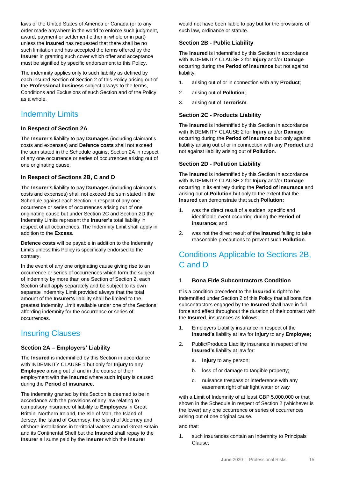laws of the United States of America or Canada (or to any order made anywhere in the world to enforce such judgment, award, payment or settlement either in whole or in part) unless the **Insured** has requested that there shall be no such limitation and has accepted the terms offered by the **Insurer** in granting such cover which offer and acceptance must be signified by specific endorsement to this Policy.

The indemnity applies only to such liability as defined by each insured Section of Section 2 of this Policy arising out of the **Professional business** subject always to the terms, Conditions and Exclusions of such Section and of the Policy as a whole.

### Indemnity Limits

### **In Respect of Section 2A**

The **Insurer's** liability to pay **Damages** (including claimant's costs and expenses) and **Defence costs** shall not exceed the sum stated in the Schedule against Section 2A in respect of any one occurrence or series of occurrences arising out of one originating cause.

### **In Respect of Sections 2B, C and D**

The **Insurer's** liability to pay **Damages** (including claimant's costs and expenses) shall not exceed the sum stated in the Schedule against each Section in respect of any one occurrence or series of occurrences arising out of one originating cause but under Section 2C and Section 2D the Indemnity Limits represent the **Insurer's** total liability in respect of all occurrences. The Indemnity Limit shall apply in addition to the **Excess.**

**Defence costs** will be payable in addition to the Indemnity Limits unless this Policy is specifically endorsed to the contrary.

In the event of any one originating cause giving rise to an occurrence or series of occurrences which form the subject of indemnity by more than one Section of Section 2, each Section shall apply separately and be subject to its own separate Indemnity Limit provided always that the total amount of the **Insurer's** liability shall be limited to the greatest Indemnity Limit available under one of the Sections affording indemnity for the occurrence or series of occurrences.

### Insuring Clauses

### **Section 2A – Employers' Liability**

The **Insured** is indemnified by this Section in accordance with INDEMNITY CLAUSE 1 but only for **Injury** to any **Employee** arising out of and in the course of their employment with the **Insured** where such **Injury** is caused during the **Period of insurance**.

The indemnity granted by this Section is deemed to be in accordance with the provisions of any law relating to compulsory insurance of liability to **Employees** in Great Britain, Northern Ireland, the Isle of Man, the Island of Jersey, the Island of Guernsey, the Island of Alderney and offshore installations in territorial waters around Great Britain and its Continental Shelf but the **Insured** shall repay to the **Insurer** all sums paid by the **Insurer** which the **Insurer**

would not have been liable to pay but for the provisions of such law, ordinance or statute.

### **Section 2B - Public Liability**

The **Insured** is indemnified by this Section in accordance with INDEMNITY CLAUSE 2 for **Injury** and/or **Damage** occurring during the **Period of insurance** but not against liability:

- 1. arising out of or in connection with any **Product**;
- 2. arising out of **Pollution**;
- 3. arising out of **Terrorism**.

### **Section 2C - Products Liability**

The **Insured** is indemnified by this Section in accordance with INDEMNITY CLAUSE 2 for **Injury** and/or **Damage** occurring during the **Period of insurance** but only against liability arising out of or in connection with any **Product** and not against liability arising out of **Pollution**.

### **Section 2D - Pollution Liability**

The **Insured** is indemnified by this Section in accordance with INDEMNITY CLAUSE 2 for **Injury** and/or **Damage** occurring in its entirety during the **Period of insurance** and arising out of **Pollution** but only to the extent that the **Insured** can demonstrate that such **Pollution:**

- was the direct result of a sudden, specific and identifiable event occurring during the **Period of insurance**; and
- 2. was not the direct result of the **Insured** failing to take reasonable precautions to prevent such **Pollution**.

### Conditions Applicable to Sections 2B, C and D

### 1. **Bona Fide Subcontractors Condition**

It is a condition precedent to the **Insured's** right to be indemnified under Section 2 of this Policy that all bona fide subcontractors engaged by the **Insured** shall have in full force and effect throughout the duration of their contract with the **Insured**, insurances as follows:

- 1. Employers Liability insurance in respect of the **Insured's** liability at law for **Injury** to any **Employee;**
- 2. Public/Products Liability insurance in respect of the **Insured's** liability at law for:
	- a. **Injury** to any person;
	- b. loss of or damage to tangible property;
	- c. nuisance trespass or interference with any easement right of air light water or way

with a Limit of Indemnity of at least GBP 5,000,000 or that shown in the Schedule in respect of Section 2 (whichever is the lower) any one occurrence or series of occurrences arising out of one original cause.

and that:

1. such insurances contain an Indemnity to Principals Clause;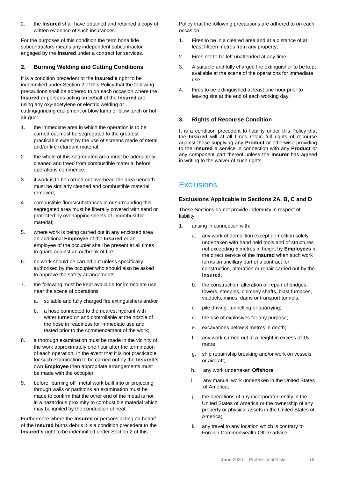2. the **Insured** shall have obtained and retained a copy of written evidence of such insurances.

For the purposes of this condition the term bona fide subcontractors means any independent subcontractor engaged by the **Insured** under a contract for services.

### **2. Burning Welding and Cutting Conditions**

It is a condition precedent to the **Insured's** right to be indemnified under Section 2 of this Policy that the following precautions shall be adhered to on each occasion where the **Insured** or persons acting on behalf of the **Insured** are using any oxy-acetylene or electric welding or cutting/grinding equipment or blow lamp or blow torch or hot air gun:

- 1. the immediate area in which the operation is to be carried out must be segregated to the greatest practicable extent by the use of screens made of metal and/or fire retardant material;
- 2. the whole of this segregated area must be adequately cleaned and freed from combustible material before operations commence;
- 3. if work is to be carried out overhead the area beneath must be similarly cleaned and combustible material removed;
- 4. combustible floors/substances in or surrounding this segregated area must be liberally covered with sand or protected by overlapping sheets of incombustible material;
- 5. where work is being carried out in any enclosed area an additional **Employee** of the **Insured** or an employee of the occupier shall be present at all times to guard against an outbreak of fire;
- 6. no work should be carried out unless specifically authorised by the occupier who should also be asked to approve the safety arrangements;
- 7. the following must be kept available for immediate use near the scene of operations
	- a. suitable and fully charged fire extinguishers and/or
	- b. a hose connected to the nearest hydrant with water turned on and controllable at the nozzle of the hose in readiness for immediate use and tested prior to the commencement of the work;
- 8. a thorough examination must be made in the vicinity of the work approximately one hour after the termination of each operation. In the event that it is not practicable for such examination to be carried out by the **Insured's** own **Employee** then appropriate arrangements must be made with the occupier;
- 9. before "burning off" metal work built into or projecting through walls or partitions an examination must be made to confirm that the other end of the metal is not in a hazardous proximity to combustible material which may be ignited by the conduction of heat.

Furthermore where the **Insured** or persons acting on behalf of the **Insured** burns debris it is a condition precedent to the **Insured's** right to be indemnified under Section 2 of this

Policy that the following precautions are adhered to on each occasion:

- 1. Fires to be in a cleared area and at a distance of at least fifteen metres from any property;
- 2. Fires not to be left unattended at any time;
- 3. A suitable and fully charged fire extinguisher to be kept available at the scene of the operations for immediate use;
- 4. Fires to be extinguished at least one hour prior to leaving site at the end of each working day.

### **3. Rights of Recourse Condition**

It is a condition precedent to liability under this Policy that the **Insured** will at all times retain full rights of recourse against those supplying any **Product** or otherwise providing to the **Insured** a service in connection with any **Product** or any component part thereof unless the **Insurer** has agreed in writing to the waiver of such rights.

### **Exclusions**

### **Exclusions Applicable to Sections 2A, B, C and D**

These Sections do not provide indemnity in respect of liability:

- 1. arising in connection with:
	- a. any work of demolition except demolition solely undertaken with hand held tools and of structures not exceeding 5 metres in height by **Employees** in the direct service of the **Insured** when such work forms an ancillary part of a contract for construction, alteration or repair carried out by the **Insured**;
	- b. the construction, alteration or repair of bridges, towers, steeples, chimney shafts, blast furnaces, viaducts, mines, dams or transport tunnels;
	- c. pile driving, tunnelling or quarrying;
	- d. the use of explosives for any purpose;
	- e. excavations below 3 metres in depth;
	- f. any work carried out at a height in excess of 15 metre;
	- g. ship repair/ship breaking and/or work on vessels or aircraft;
	- h. any work undertaken **Offshore**;
	- i. any manual work undertaken in the United States of America;
	- j. the operations of any incorporated entity in the United States of America or the ownership of any property or physical assets in the United States of America;
	- k. any travel to any location which is contrary to Foreign Commonwealth Office advice.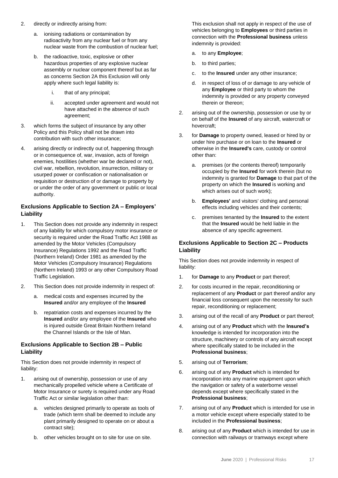- 2. directly or indirectly arising from:
	- a. ionising radiations or contamination by radioactivity from any nuclear fuel or from any nuclear waste from the combustion of nuclear fuel;
	- b. the radioactive, toxic, explosive or other hazardous properties of any explosive nuclear assembly or nuclear component thereof but as far as concerns Section 2A this Exclusion will only apply where such legal liability is:
		- i. that of any principal;
		- ii. accepted under agreement and would not have attached in the absence of such agreement;
- 3. which forms the subject of insurance by any other Policy and this Policy shall not be drawn into contribution with such other insurance;
- 4. arising directly or indirectly out of, happening through or in consequence of, war, invasion, acts of foreign enemies, hostilities (whether war be declared or not), civil war, rebellion, revolution, insurrection, military or usurped power or confiscation or nationalisation or requisition or destruction of or damage to property by or under the order of any government or public or local authority.

### **Exclusions Applicable to Section 2A – Employers' Liability**

- 1. This Section does not provide any indemnity in respect of any liability for which compulsory motor insurance or security is required under the Road Traffic Act 1988 as amended by the Motor Vehicles (Compulsory Insurance) Regulations 1992 and the Road Traffic (Northern Ireland) Order 1981 as amended by the Motor Vehicles (Compulsory Insurance) Regulations (Northern Ireland) 1993 or any other Compulsory Road Traffic Legislation.
- 2. This Section does not provide indemnity in respect of:
	- a. medical costs and expenses incurred by the **Insured** and/or any employee of the **Insured**
	- b. repatriation costs and expenses incurred by the **Insured** and/or any employee of the **Insured** who is injured outside Great Britain Northern Ireland the Channel Islands or the Isle of Man.

### **Exclusions Applicable to Section 2B – Public Liability**

This Section does not provide indemnity in respect of liability:

- 1. arising out of ownership, possession or use of any mechanically propelled vehicle where a Certificate of Motor Insurance or surety is required under any Road Traffic Act or similar legislation other than:
	- a. vehicles designed primarily to operate as tools of trade (which term shall be deemed to include any plant primarily designed to operate on or about a contract site);
	- b. other vehicles brought on to site for use on site.

This exclusion shall not apply in respect of the use of vehicles belonging to **Employees** or third parties in connection with the **Professional business** unless indemnity is provided:

- a. to any **Employee**;
- b. to third parties;
- c. to the **Insured** under any other insurance;
- d. in respect of loss of or damage to any vehicle of any **Employee** or third party to whom the indemnity is provided or any property conveyed therein or thereon;
- 2. arising out of the ownership, possession or use by or on behalf of the **Insured** of any aircraft, watercraft or hovercraft;
- 3. for **Damage** to property owned, leased or hired by or under hire purchase or on loan to the **Insured** or otherwise in the **Insured's** care, custody or control other than:
	- a. premises (or the contents thereof) temporarily occupied by the **Insured** for work therein (but no indemnity is granted for **Damage** to that part of the property on which the **Insured** is working and which arises out of such work);
	- b. **Employees'** and visitors' clothing and personal effects including vehicles and their contents;
	- c. premises tenanted by the **Insured** to the extent that the **Insured** would be held liable in the absence of any specific agreement.

### **Exclusions Applicable to Section 2C – Products Liability**

This Section does not provide indemnity in respect of liability:

- 1. for **Damage** to any **Product** or part thereof;
- 2. for costs incurred in the repair, reconditioning or replacement of any **Product** or part thereof and/or any financial loss consequent upon the necessity for such repair, reconditioning or replacement;
- 3. arising out of the recall of any **Product** or part thereof;
- 4. arising out of any **Product** which with the **Insured's** knowledge is intended for incorporation into the structure, machinery or controls of any aircraft except where specifically stated to be included in the **Professional business**;
- 5. arising out of **Terrorism**;
- 6. arising out of any **Product** which is intended for incorporation into any marine equipment upon which the navigation or safety of a waterborne vessel depends except where specifically stated in the **Professional business**;
- 7. arising out of any **Product** which is intended for use in a motor vehicle except where especially stated to be included in the **Professional business**;
- 8. arising out of any **Product** which is intended for use in connection with railways or tramways except where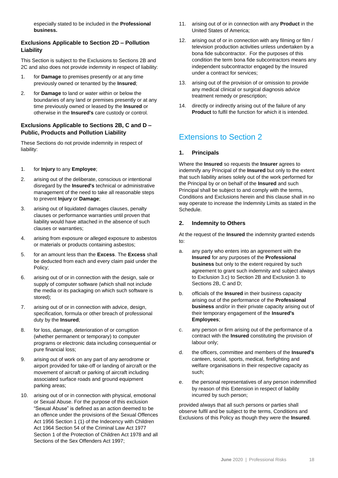especially stated to be included in the **Professional business.**

### **Exclusions Applicable to Section 2D – Pollution Liability**

This Section is subject to the Exclusions to Sections 2B and 2C and also does not provide indemnity in respect of liability:

- 1. for **Damage** to premises presently or at any time previously owned or tenanted by the **Insured**;
- 2. for **Damage** to land or water within or below the boundaries of any land or premises presently or at any time previously owned or leased by the **Insured** or otherwise in the **Insured's** care custody or control.

### **Exclusions Applicable to Sections 2B, C and D – Public, Products and Pollution Liability**

These Sections do not provide indemnity in respect of liability:

- 1. for **Injury** to any **Employee**;
- 2. arising out of the deliberate, conscious or intentional disregard by the **Insured's** technical or administrative management of the need to take all reasonable steps to prevent **Injury** or **Damage**;
- 3. arising out of liquidated damages clauses, penalty clauses or performance warranties until proven that liability would have attached in the absence of such clauses or warranties;
- 4. arising from exposure or alleged exposure to asbestos or materials or products containing asbestos;
- 5. for an amount less than the **Excess**. The **Excess** shall be deducted from each and every claim paid under the Policy;
- 6. arising out of or in connection with the design, sale or supply of computer software (which shall not include the media or its packaging on which such software is stored);
- 7. arising out of or in connection with advice, design, specification, formula or other breach of professional duty by the **Insured**;
- 8. for loss, damage, deterioration of or corruption (whether permanent or temporary) to computer programs or electronic data including consequential or pure financial loss;
- 9. arising out of work on any part of any aerodrome or airport provided for take-off or landing of aircraft or the movement of aircraft or parking of aircraft including associated surface roads and ground equipment parking areas;
- 10. arising out of or in connection with physical, emotional or Sexual Abuse. For the purpose of this exclusion "Sexual Abuse" is defined as an action deemed to be an offence under the provisions of the Sexual Offences Act 1956 Section 1 (1) of the Indecency with Children Act 1964 Section 54 of the Criminal Law Act 1977 Section 1 of the Protection of Children Act 1978 and all Sections of the Sex Offenders Act 1997;
- 11. arising out of or in connection with any **Product** in the United States of America;
- 12. arising out of or in connection with any filming or film / television production activities unless undertaken by a bona fide subcontractor. For the purposes of this condition the term bona fide subcontractors means any independent subcontractor engaged by the Insured under a contract for services;
- 13. arising out of the provision of or omission to provide any medical clinical or surgical diagnosis advice treatment remedy or prescription;
- 14. directly or indirectly arising out of the failure of any **Product** to fulfil the function for which it is intended.

### Extensions to Section 2

### **1. Principals**

Where the **Insured** so requests the **Insurer** agrees to indemnify any Principal of the **Insured** but only to the extent that such liability arises solely out of the work performed for the Principal by or on behalf of the **Insured** and such Principal shall be subject to and comply with the terms, Conditions and Exclusions herein and this clause shall in no way operate to increase the Indemnity Limits as stated in the Schedule.

### **2. Indemnity to Others**

At the request of the **Insured** the indemnity granted extends to:

- a. any party who enters into an agreement with the **Insured** for any purposes of the **Professional business** but only to the extent required by such agreement to grant such indemnity and subject always to Exclusion 3.c) to Section 2B and Exclusion 3. to Sections 2B, C and D;
- b. officials of the **Insured** in their business capacity arising out of the performance of the **Professional business** and/or in their private capacity arising out of their temporary engagement of the **Insured's Employees**;
- c. any person or firm arising out of the performance of a contract with the **Insured** constituting the provision of labour only;
- d. the officers, committee and members of the **Insured's** canteen, social, sports, medical, firefighting and welfare organisations in their respective capacity as such;
- e. the personal representatives of any person indemnified by reason of this Extension in respect of liability incurred by such person;

provided always that all such persons or parties shall observe fulfil and be subject to the terms, Conditions and Exclusions of this Policy as though they were the **Insured**.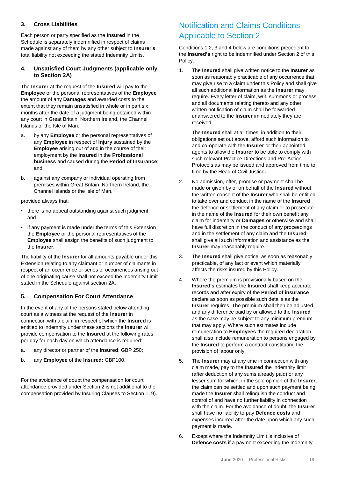### **3. Cross Liabilities**

Each person or party specified as the **Insured** in the Schedule is separately indemnified in respect of claims made against any of them by any other subject to **Insurer's** total liability not exceeding the stated Indemnity Limits.

### **4. Unsatisfied Court Judgments (applicable only to Section 2A)**

The **Insurer** at the request of the **Insured** will pay to the **Employee** or the personal representatives of the **Employee** the amount of any **Damages** and awarded costs to the extent that they remain unsatisfied in whole or in part six months after the date of a judgment being obtained within any court in Great Britain, Northern Ireland, the Channel Islands or the Isle of Man:

- a. by any **Employee** or the personal representatives of any **Employee** in respect of **Injury** sustained by the **Employee** arising out of and in the course of their employment by the **Insured** in the **Professional business** and caused during the **Period of Insurance**; and
- b. against any company or individual operating from premises within Great Britain, Northern Ireland, the Channel Islands or the Isle of Man,

provided always that:

- there is no appeal outstanding against such judgment; and
- if any payment is made under the terms of this Extension the **Employee** or the personal representatives of the **Employee** shall assign the benefits of such judgment to the **Insurer.**

The liability of the **Insurer** for all amounts payable under this Extension relating to any claimant or number of claimants in respect of an occurrence or series of occurrences arising out of one originating cause shall not exceed the Indemnity Limit stated in the Schedule against section 2A.

### **5. Compensation For Court Attendance**

In the event of any of the persons stated below attending court as a witness at the request of the **Insurer** in connection with a claim in respect of which the **Insured** is entitled to indemnity under these sections the **Insurer** will provide compensation to the **Insured** at the following rates per day for each day on which attendance is required:

- a. any director or partner of the **Insured**: GBP 250;
- b. any **Employee** of the **Insured:** GBP100.

For the avoidance of doubt the compensation for court attendance provided under Section 2 is not additional to the compensation provided by Insuring Clauses to Section 1, 9).

### Notification and Claims Conditions Applicable to Section 2

Conditions 1,2, 3 and 4 below are conditions precedent to the **Insured's** right to be indemnified under Section 2 of this Policy.

1. The **Insured** shall give written notice to the **Insurer** as soon as reasonably practicable of any occurrence that may give rise to a claim under this Policy and shall give all such additional information as the **Insurer** may require. Every letter of claim, writ, summons or process and all documents relating thereto and any other written notification of claim shall be forwarded unanswered to the **Insurer** immediately they are received.

The **Insured** shall at all times, in addition to their obligations set out above, afford such information to and co-operate with the **Insurer** or their appointed agents to allow the **Insurer** to be able to comply with such relevant Practice Directions and Pre-Action Protocols as may be issued and approved from time to time by the Head of Civil Justice*.*

- 2. No admission, offer, promise or payment shall be made or given by or on behalf of the **Insured** without the written consent of the **Insurer** who shall be entitled to take over and conduct in the name of the **Insured** the defence or settlement of any claim or to prosecute in the name of the **Insured** for their own benefit any claim for indemnity or **Damages** or otherwise and shall have full discretion in the conduct of any proceedings and in the settlement of any claim and the **Insured** shall give all such information and assistance as the **Insurer** may reasonably require.
- 3. The **Insured** shall give notice, as soon as reasonably practicable, of any fact or event which materially affects the risks insured by this Policy.
- 4. Where the premium is provisionally based on the **Insured's** estimates the **Insured** shall keep accurate records and after expiry of the **Period of insurance** declare as soon as possible such details as the **Insurer** requires. The premium shall then be adjusted and any difference paid by or allowed to the **Insured** as the case may be subject to any minimum premium that may apply. Where such estimates include remuneration to **Employees** the required declaration shall also include remuneration to persons engaged by the **Insured** to perform a contract constituting the provision of labour only.
- 5. The **Insurer** may at any time in connection with any claim made, pay to the **Insured** the Indemnity limit (after deduction of any sums already paid) or any lesser sum for which, in the sole opinion of the **Insurer**, the claim can be settled and upon such payment being made the **Insurer** shall relinquish the conduct and control of and have no further liability in connection with the claim. For the avoidance of doubt, the **Insurer** shall have no liability to pay **Defence costs** and expenses incurred after the date upon which any such payment is made.
- 6. Except where the Indemnity Limit is inclusive of **Defence costs** if a payment exceeding the Indemnity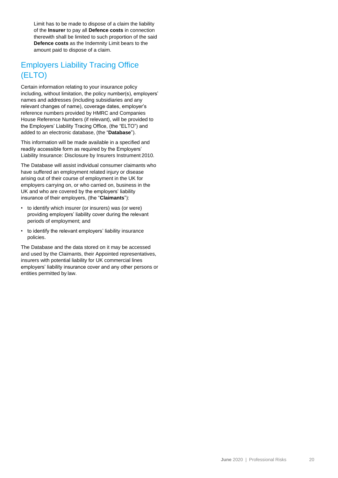Limit has to be made to dispose of a claim the liability of the **Insurer** to pay all **Defence costs** in connection therewith shall be limited to such proportion of the said **Defence costs** as the Indemnity Limit bears to the amount paid to dispose of a claim.

### Employers Liability Tracing Office (ELTO)

Certain information relating to your insurance policy including, without limitation, the policy number(s), employers' names and addresses (including subsidiaries and any relevant changes of name), coverage dates, employer's reference numbers provided by HMRC and Companies House Reference Numbers (if relevant), will be provided to the Employers' Liability Tracing Office, (the "ELTO") and added to an electronic database, (the "**Database**").

This information will be made available in a specified and readily accessible form as required by the Employers' Liability Insurance: Disclosure by Insurers Instrument 2010.

The Database will assist individual consumer claimants who have suffered an employment related injury or disease arising out of their course of employment in the UK for employers carrying on, or who carried on, business in the UK and who are covered by the employers' liability insurance of their employers, (the "**Claimants**"):

- to identify which insurer (or insurers) was (or were) providing employers' liability cover during the relevant periods of employment; and
- to identify the relevant employers' liability insurance policies.

The Database and the data stored on it may be accessed and used by the Claimants, their Appointed representatives, insurers with potential liability for UK commercial lines employers' liability insurance cover and any other persons or entities permitted by law.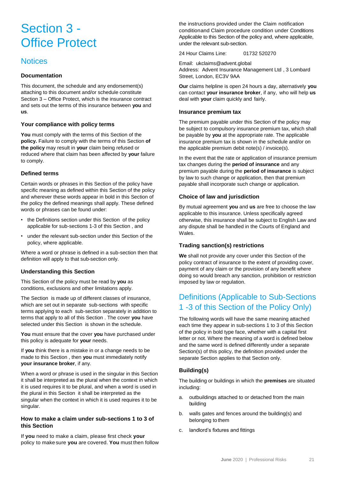## Section 3 - Office Protect

### **Notices**

### **Documentation**

This document, the schedule and any endorsement(s) attaching to this document and/or schedule constitute Section 3 – Office Protect, which is the insurance contract and sets out the terms of this insurance between **you** and **us**.

### **Your compliance with policy terms**

**You** must comply with the terms of this Section of the **policy.** Failure to comply with the terms of this Section **of the policy** may result in **your** claim being refused or reduced where that claim has been affected by **your** failure to comply.

### **Defined terms**

Certain words or phrases in this Section of the policy have specific meaning as defined within this Section of the policy and wherever these words appear in bold in this Section of the policy the defined meanings shall apply. These defined words or phrases can be found under:

- the Definitions section under this Section of the policy applicable for sub-sections 1-3 of this Section , and
- under the relevant sub-section under this Section of the policy, where applicable.

Where a word or phrase is defined in a sub-section then that definition will apply to that sub-section only.

### **Understanding this Section**

This Section of the policy must be read by **you** as conditions, exclusions and other limitations apply.

The Section is made up of different classes of insurance, which are set out in separate sub-sections with specific terms applying to each sub-section separately in addition to terms that apply to all of this Section . The cover **you** have selected under this Section is shown in the schedule.

**You** must ensure that the cover **you** have purchased under this policy is adequate for **your** needs.

If **you** think there is a mistake in or a change needs to be made to this Section , then **you** must immediately notify **your insurance broker**, if any.

When a word or phrase is used in the singular in this Section it shall be interpreted as the plural when the context in which it is used requires it to be plural, and when a word is used in the plural in this Section it shall be interpreted as the singular when the context in which it is used requires it to be singular.

### **How to make a claim under sub-sections 1 to 3 of this Section**

If **you** need to make a claim, please first check **your**  policy to makesure **you** are covered. **You** must then follow the instructions provided under the Claim notification conditionand Claim procedure condition under Conditions Applicable to this Section of the policy and, where applicable, under the relevant sub-section.

24 Hour Claims Line: 01732 520270

Email: ukclaims@advent.global Address: Advent Insurance Management Ltd , 3 Lombard Street, London, EC3V 9AA

**Our** claims helpline is open 24 hours a day, alternatively **you** can contact **your insurance broker**, if any, who will help **us**  deal with **your** claim quickly and fairly.

### **Insurance premium tax**

The premium payable under this Section of the policy may be subject to compulsory insurance premium tax, which shall be payable by **you** at the appropriate rate. The applicable insurance premium tax is shown in the schedule and/or on the applicable premium debit note(s) / invoice(s).

In the event that the rate or application of insurance premium tax changes during the **period of insurance** and any premium payable during the **period of insurance** is subject by law to such change or application, then that premium payable shall incorporate such change or application.

### **Choice of law and jurisdiction**

By mutual agreement **you** and **us** are free to choose the law applicable to this insurance. Unless specifically agreed otherwise, this insurance shall be subject to English Law and any dispute shall be handled in the Courts of England and Wales.

### **Trading sanction(s) restrictions**

**We** shall not provide any cover under this Section of the policy contract of insurance to the extent of providing cover, payment of any claim or the provision of any benefit where doing so would breach any sanction, prohibition or restriction imposed by law or regulation.

### Definitions (Applicable to Sub-Sections 1 -3 of this Section of the Policy Only)

The following words will have the same meaning attached each time they appear in sub-sections 1 to 3 of this Section of the policy in bold type face, whether with a capital first letter or not. Where the meaning of a word is defined below and the same word is defined differently under a separate Section(s) of this policy, the definition provided under the separate Section applies to that Section only.

### **Building(s)**

The building or buildings in which the **premises** are situated including:

- a. outbuildings attached to or detached from the main building
- b. walls gates and fences around the building(s) and belonging to them
- c. landlord's fixtures and fittings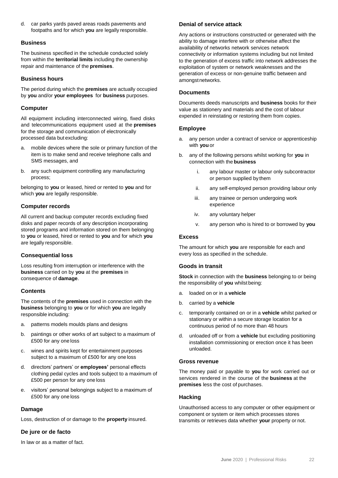d. car parks yards paved areas roads pavements and footpaths and for which **you** are legally responsible.

### **Business**

The business specified in the schedule conducted solely from within the **territorial limits** including the ownership repair and maintenance of the **premises**.

### **Business hours**

The period during which the **premises** are actually occupied by **you** and/or **your employees** for **business** purposes.

### **Computer**

All equipment including interconnected wiring, fixed disks and telecommunications equipment used at the **premises**  for the storage and communication of electronically processed data but excluding:

- a. mobile devices where the sole or primary function of the item is to make send and receive telephone calls and SMS messages, and
- b. any such equipment controlling any manufacturing process;

belonging to **you** or leased, hired or rented to **you** and for which **you** are legally responsible.

### **Computer records**

All current and backup computer records excluding fixed disks and paper records of any description incorporating stored programs and information stored on them belonging to **you** or leased, hired or rented to **you** and for which **you** are legally responsible.

### **Consequential loss**

Loss resulting from interruption or interference with the **business** carried on by **you** at the **premises** in consequence of **damage**.

### **Contents**

The contents of the **premises** used in connection with the **business** belonging to **you** or for which **you** are legally responsible including:

- a. patterns models moulds plans and designs
- b. paintings or other works of art subject to a maximum of £500 for any one loss
- c. wines and spirits kept for entertainment purposes subject to a maximum of £500 for any one loss
- d. directors' partners' or **employees'** personal effects clothing pedal cycles and tools subject to a maximum of £500 per person for any one loss
- e. visitors' personal belongings subject to a maximum of £500 for any one loss

### **Damage**

Loss, destruction of or damage to the **property** insured.

### **De jure or de facto**

In law or as a matter of fact.

### **Denial of service attack**

Any actions or instructions constructed or generated with the ability to damage interfere with or otherwise affect the availability of networks network services network connectivity or information systems including but not limited to the generation of excess traffic into network addresses the exploitation of system or network weaknesses and the generation of excess or non-genuine traffic between and amongstnetworks.

### **Documents**

Documents deeds manuscripts and **business** books for their value as stationery and materials and the cost of labour expended in reinstating or restoring them from copies.

### **Employee**

- a. any person under a contract of service or apprenticeship with **you** or
- b. any of the following persons whilst working for **you** in connection with the **business**
	- i. any labour master or labour only subcontractor or person supplied by them
	- ii. any self-employed person providing labour only
	- iii. any trainee or person undergoing work experience
	- iv. any voluntary helper
	- v. any person who is hired to or borrowed by **you**

### **Excess**

The amount for which **you** are responsible for each and every loss as specified in the schedule.

### **Goods in transit**

**Stock** in connection with the **business** belonging to or being the responsibility of **you** whilst being:

- a. loaded on or in a **vehicle**
- b. carried by a **vehicle**
- c. temporarily contained on or in a **vehicle** whilst parked or stationary or within a secure storage location for a continuous period of no more than 48 hours
- d. unloaded off or from a **vehicle** but excluding positioning installation commissioning or erection once it has been unloaded.

### **Gross revenue**

The money paid or payable to **you** for work carried out or services rendered in the course of the **business** at the **premises** less the cost of purchases.

### **Hacking**

Unauthorised access to any computer or other equipment or component or system or item which processes stores transmits or retrieves data whether **your** property or not.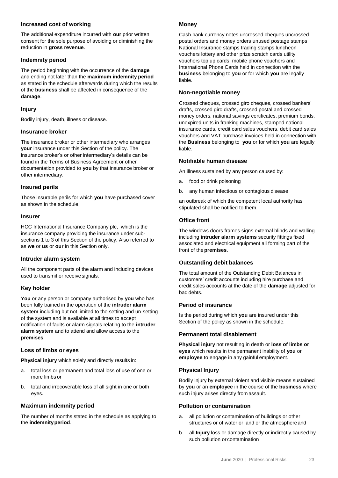### **Increased cost of working**

The additional expenditure incurred with **our** prior written consent for the sole purpose of avoiding or diminishing the reduction in **gross revenue**.

### **Indemnity period**

The period beginning with the occurrence of the **damage**  and ending not later than the **maximum indemnity period**  as stated in the schedule afterwards during which the results of the **business** shall be affected in consequence of the **damage**.

### **Injury**

Bodily injury, death, illness or disease.

### **Insurance broker**

The insurance broker or other intermediary who arranges **your** insurance under this Section of the policy. The insurance broker's or other intermediary's details can be found in the Terms of Business Agreement or other documentation provided to **you** by that insurance broker or other intermediary.

### **Insured perils**

Those insurable perils for which **you** have purchased cover as shown in the schedule.

### **Insurer**

HCC International Insurance Company plc, which is the insurance company providing the insurance under subsections 1 to 3 of this Section of the policy. Also referred to as **we** or **us** or **our** in this Section only.

### **Intruder alarm system**

All the component parts of the alarm and including devices used to transmit or receivesignals.

### **Key holder**

**You** or any person or company authorised by **you** who has been fully trained in the operation of the **intruder alarm system** including but not limited to the setting and un-setting of the system and is available at all times to accept notification of faults or alarm signals relating to the **intruder alarm system** and to attend and allow access to the **premises**.

### **Loss of limbs or eyes**

**Physical injury** which solely and directly results in:

- a. total loss or permanent and total loss of use of one or more limbs or
- b. total and irrecoverable loss of all sight in one or both eyes.

### **Maximum indemnity period**

The number of months stated in the schedule as applying to the **indemnityperiod**.

### **Money**

Cash bank currency notes uncrossed cheques uncrossed postal orders and money orders unused postage stamps National Insurance stamps trading stamps luncheon vouchers lottery and other prize scratch cards utility vouchers top up cards, mobile phone vouchers and International Phone Cards held in connection with the **business** belonging to **you** or for which **you** are legally liable.

### **Non-negotiable money**

Crossed cheques, crossed giro cheques, crossed bankers' drafts, crossed giro drafts, crossed postal and crossed money orders, national savings certificates, premium bonds, unexpired units in franking machines, stamped national insurance cards, credit card sales vouchers, debit card sales vouchers and VAT purchase invoices held in connection with the **Business** belonging to **you** or for which **you** are legally liable.

### **Notifiable human disease**

An illness sustained by any person caused by:

- a. food or drink poisoning
- b. any human infectious or contagious disease

an outbreak of which the competent local authority has stipulated shall be notified to them.

### **Office front**

The windows doors frames signs external blinds and walling including **intruder alarm systems** security fittings fixed associated and electrical equipment all forming part of the front of the**premises**.

### **Outstanding debit balances**

The total amount of the Outstanding Debit Balances in customers' credit accounts including hire purchase and credit sales accounts at the date of the **damage** adjusted for bad debts.

### **Period of insurance**

Is the period during which **you** are insured under this Section of the policy as shown in the schedule.

### **Permanent total disablement**

**Physical injury** not resulting in death or **loss of limbs or eyes** which results in the permanent inability of **you** or **employee** to engage in any gainful employment.

### **Physical Injury**

Bodily injury by external violent and visible means sustained by **you** or an **employee** in the course of the **business** where such injury arises directly from assault.

### **Pollution or contamination**

- a. all pollution or contamination of buildings or other structures or of water or land or the atmosphereand
- b. all **Injury** loss or damage directly or indirectly caused by such pollution or contamination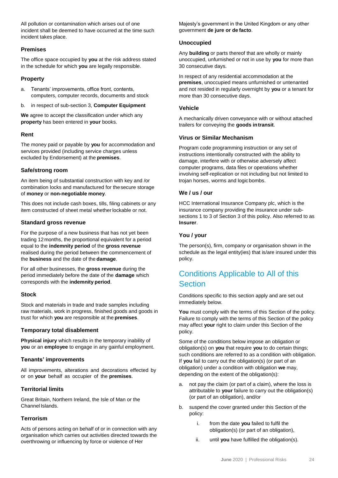All pollution or contamination which arises out of one incident shall be deemed to have occurred at the time such incident takes place.

### **Premises**

The office space occupied by **you** at the risk address stated in the schedule for which **you** are legally responsible.

### **Property**

- a. Tenants' improvements, office front, contents, computers, computer records, documents and stock
- b. in respect of sub-section 3, **Computer Equipment**

**We** agree to accept the classification under which any **property** has been entered in **your** books.

### **Rent**

The money paid or payable by **you** for accommodation and services provided (including service charges unless excluded by Endorsement) at the **premises**.

### **Safe/strong room**

An item being of substantial construction with key and /or combination locks and manufactured for thesecure storage of **money** or **non-negotiable money**.

This does not include cash boxes, tills, filing cabinets or any item constructed of sheet metal whether lockable or not.

### **Standard gross revenue**

For the purpose of a new business that has not yet been trading 12months, the proportional equivalent for a period equal to the **indemnity period** of the **gross revenue**  realised during the period between the commencement of the **business** and the date of the **damage**.

For all other businesses, the **gross revenue** during the period immediately before the date of the **damage** which corresponds with the **indemnity period**.

### **Stock**

Stock and materials in trade and trade samples including raw materials, work in progress, finished goods and goods in trust for which **you** are responsible at the **premises**.

### **Temporary total disablement**

**Physical injury** which results in the temporary inability of **you** or an **employee** to engage in any gainful employment.

### **Tenants' improvements**

All improvements, alterations and decorations effected by or on **your** behalf as occupier of the **premises**.

### **Territorial limits**

Great Britain, Northern Ireland, the Isle of Man or the Channel Islands.

### **Terrorism**

Acts of persons acting on behalf of or in connection with any organisation which carries out activities directed towards the overthrowing or influencing by force or violence of Her

Majesty's government in the United Kingdom or any other government **de jure or de facto**.

### **Unoccupied**

Any **building** or parts thereof that are wholly or mainly unoccupied, unfurnished or not in use by **you** for more than 30 consecutive days.

In respect of any residential accommodation at the **premises**, unoccupied means unfurnished or untenanted and not resided in regularly overnight by **you** or a tenant for more than 30 consecutive days.

### **Vehicle**

A mechanically driven conveyance with or without attached trailers for conveying the **goods intransit**.

### **Virus or Similar Mechanism**

Program code programming instruction or any set of instructions intentionally constructed with the ability to damage, interfere with or otherwise adversely affect computer programs, data files or operations whether involving self-replication or not including but not limited to trojan horses, worms and logicbombs.

### **We / us / our**

HCC International Insurance Company plc, which is the insurance company providing the insurance under subsections 1 to 3 of Section 3 of this policy. Also referred to as **Insurer**.

### **You / your**

The person(s), firm, company or organisation shown in the schedule as the legal entity(ies) that is/are insured under this policy.

### Conditions Applicable to All of this **Section**

Conditions specific to this section apply and are set out immediately below.

**You** must comply with the terms of this Section of the policy. Failure to comply with the terms of this Section of the policy may affect **your** right to claim under this Section of the policy.

Some of the conditions below impose an obligation or obligation(s) on **you** that require **you** to do certain things; such conditions are referred to as a condition with obligation. If **you** fail to carry out the obligation(s) (or part of an obligation) under a condition with obligation **we** may, depending on the extent of the obligation(s):

- a. not pay the claim (or part of a claim), where the loss is attributable to **your** failure to carry out the obligation(s) (or part of an obligation), and/or
- b. suspend the cover granted under this Section of the policy:
	- i. from the date **you** failed to fulfil the obligation(s) (or part of an obligation),
	- ii. until **you** have fulfilled the obligation(s).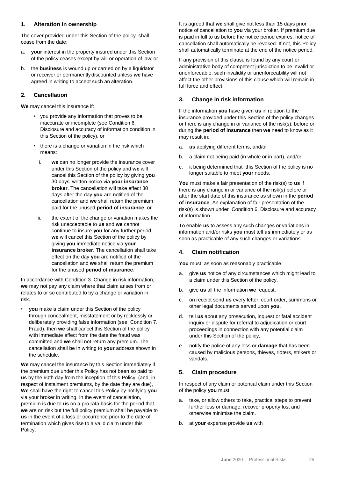### **1. Alteration in ownership**

The cover provided under this Section of the policy shall cease from the date:

- a. **your** interest in the property insured under this Section of the policy ceases except by will or operation of law; or
- b. the **business** is wound up or carried on by a liquidator or receiver or permanentlydiscounted unless **we** have agreed in writing to accept such an alteration.

### **2. Cancellation**

**We** may cancel this insurance if:

- you provide any information that proves to be inaccurate or incomplete (see Condition 6. Disclosure and accuracy of information condition in this Section of the policy), or
- there is a change or variation in the risk which means:
	- i. **we** can no longer provide the insurance cover under this Section of the policy and **we** will cancel this Section of the policy by giving **you** 30 days' written notice via **your insurance broker**. The cancellation will take effect 30 days after the day **you** are notified of the cancellation and **we** shall return the premium paid for the unused **period of insurance**, or
- ii. the extent of the change or variation makes the risk unacceptable to **us** and **we** cannot continue to insure **you** for any further period, **we** will cancel this Section of the policy by giving **you** immediate notice via **your insurance broker**. The cancellation shall take effect on the day **you** are notified of the cancellation and **we** shall return the premium for the unused **period of insurance**.

In accordance with Condition 3. Change in risk information, **we** may not pay any claim where that claim arises from or relates to or so contributed to by a change or variation in risk.

• **you** make a claim under this Section of the policy through concealment, misstatement or by recklessly or deliberately providing false information (see Condition 7. Fraud), then **we** shall cancel this Section of the policy with immediate effect from the date the fraud was committed and **we** shall not return any premium. The cancellation shall be in writing to **your** address shown in the schedule.

**We** may cancel the insurance by this Section immediately if the premium due under this Policy has not been so paid to **us** by the 60th day from the inception of this Policy, (and, in respect of instalment premiums, by the date they are due), **We** shall have the right to cancel this Policy by notifying **you**  via your broker in writing. In the event of cancellation, premium is due to **us** on a pro rata basis for the period that **we** are on risk but the full policy premium shall be payable to **us** in the event of a loss or occurrence prior to the date of termination which gives rise to a valid claim under this Policy.

It is agreed that **we** shall give not less than 15 days prior notice of cancellation to **you** via your broker. If premium due is paid in full to us before the notice period expires, notice of cancellation shall automatically be revoked. If not, this Policy shall automatically terminate at the end of the notice period.

If any provision of this clause is found by any court or administrative body of competent jurisdiction to be invalid or unenforceable, such invalidity or unenforceability will not affect the other provisions of this clause which will remain in full force and effect.

### **3. Change in risk information**

If the information **you** have given **us** in relation to the insurance provided under this Section of the policy changes or there is any change in or variance of the risk(s), before or during the **period of insurance** then **we** need to know as it may result in:

- a. **us** applying different terms, and/or
- b. a claim not being paid (in whole or in part), and/or
- c. it being determined that this Section of the policy is no longer suitable to meet **your** needs.

**You** must make a fair presentation of the risk(s) to **us** if there is any change in or variance of the risk(s) before or after the start date of this insurance as shown in the **period of insurance**. An explanation of fair presentation of the risk(s) is shown under Condition 6. Disclosure and accuracy of information.

To enable **us** to assess any such changes or variations in information and/or risks **you** must tell **us** immediately or as soon as practicable of any such changes or variations.

### **4. Claim notification**

**You** must, as soon as reasonably practicable:

- a. give **us** notice of any circumstances which might lead to a claim under this Section of the policy,
- b. give **us** all the information **we** request,
- c. on receipt send **us** every letter, court order, summons or other legal documents served upon **you**,
- d. tell **us** about any prosecution, inquest or fatal accident inquiry or dispute for referral to adjudication or court proceedings in connection with any potential claim under this Section of the policy,
- e. notify the police of any loss or **damage** that has been caused by malicious persons, thieves, rioters, strikers or vandals.

### **5. Claim procedure**

In respect of any claim or potential claim under this Section of the policy **you** must:

- a. take, or allow others to take, practical steps to prevent further loss or damage, recover property lost and otherwise minimise the claim.
- b. at **your** expense provide **us** with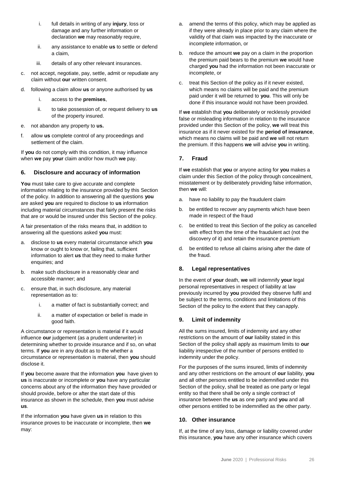- i. full details in writing of any **injury**, loss or damage and any further information or declaration **we** may reasonably require,
- ii. any assistance to enable **us** to settle or defend a claim,
- iii. details of any other relevant insurances.
- c. not accept, negotiate, pay, settle, admit or repudiate any claim without **our** written consent.
- d. following a claim allow **us** or anyone authorised by **us**
	- i. access to the **premises**,
	- ii. to take possession of, or request delivery to **us**  of the property insured.
- e. not abandon any property to **us.**
- f. allow **us** complete control of any proceedings and settlement of the claim.

If **you** do not comply with this condition, it may influence when **we** pay **your** claim and/or how much **we** pay.

### **6. Disclosure and accuracy of information**

**You** must take care to give accurate and complete information relating to the insurance provided by this Section of the policy. In addition to answering all the questions **you** are asked **you** are required to disclose to **us** information including material circumstances that fairly present the risks that are or would be insured under this Section of the policy.

A fair presentation of the risks means that, in addition to answering all the questions asked **you** must:

- a. disclose to **us** every material circumstance which **you** know or ought to know or, failing that, sufficient information to alert **us** that they need to make further enquiries; and
- b. make such disclosure in a reasonably clear and accessible manner; and
- c. ensure that, in such disclosure, any material representation as to:
	- i. a matter of fact is substantially correct; and
	- ii. a matter of expectation or belief is made in good faith.

A circumstance or representation is material if it would influence **our** judgement (as a prudent underwriter) in determining whether to provide insurance and if so, on what terms. If **you** are in any doubt as to the whether a circumstance or representation is material, then **you** should disclose it.

If **you** become aware that the information **you** have given to **us** is inaccurate or incomplete or **you** have any particular concerns about any of the information they have provided or should provide, before or after the start date of this insurance as shown in the schedule, then **you** must advise **us**.

If the information **you** have given **us** in relation to this insurance proves to be inaccurate or incomplete, then **we** may:

- a. amend the terms of this policy, which may be applied as if they were already in place prior to any claim where the validity of that claim was impacted by the inaccurate or incomplete information, or
- b. reduce the amount **we** pay on a claim in the proportion the premium paid bears to the premium **we** would have charged **you** had the information not been inaccurate or incomplete, or
- c. treat this Section of the policy as if it never existed, which means no claims will be paid and the premium paid under it will be returned to **you**. This will only be done if this insurance would not have been provided.

If **we** establish that **you** deliberately or recklessly provided false or misleading information in relation to the insurance provided under this Section of the policy, **we** will treat this insurance as if it never existed for the **period of insurance**, which means no claims will be paid and **we** will not return the premium. If this happens **we** will advise **you** in writing.

### **7. Fraud**

If **we** establish that **you** or anyone acting for **you** makes a claim under this Section of the policy through concealment, misstatement or by deliberately providing false information, then **we** will:

- a. have no liability to pay the fraudulent claim
- b. be entitled to recover any payments which have been made in respect of the fraud
- c. be entitled to treat this Section of the policy as cancelled with effect from the time of the fraudulent act (not the discovery of it) and retain the insurance premium
- d. be entitled to refuse all claims arising after the date of the fraud.

### **8. Legal representatives**

In the event of **your** death, **we** will indemnify **your** legal personal representatives in respect of liability at law previously incurred by **you** provided they observe fulfil and be subject to the terms, conditions and limitations of this Section of the policy to the extent that they canapply.

### **9. Limit of indemnity**

All the sums insured, limits of indemnity and any other restrictions on the amount of **our** liability stated in this Section of the policy shall apply as maximum limits to **our** liability irrespective of the number of persons entitled to indemnity under the policy.

For the purposes of the sums insured, limits of indemnity and any other restrictions on the amount of **our** liability, **you** and all other persons entitled to be indemnified under this Section of the policy, shall be treated as one party or legal entity so that there shall be only a single contract of insurance between the **us** as one party and **you** and all other persons entitled to be indemnified as the other party.

### **10. Other insurance**

If, at the time of any loss, damage or liability covered under this insurance, **you** have any other insurance which covers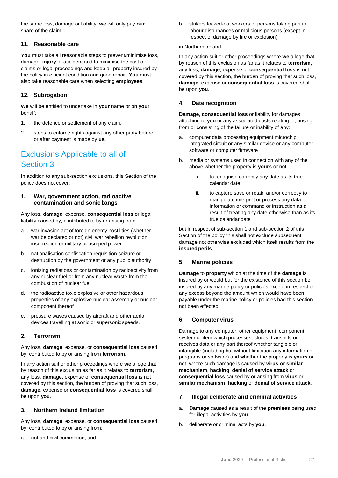the same loss, damage or liability, **we** will only pay **our** share of the claim.

### **11. Reasonable care**

**You** must take all reasonable steps to prevent/minimise loss, damage, **injury** or accident and to minimise the cost of claims or legal proceedings and keep all property insured by the policy in efficient condition and good repair. **You** must also take reasonable care when selecting **employees**.

### **12. Subrogation**

**We** will be entitled to undertake in **your** name or on **your**  behalf:

- 1. the defence or settlement of any claim,
- 2. steps to enforce rights against any other party before or after payment is made by **us.**

### Exclusions Applicable to all of Section 3

In addition to any sub-section exclusions, this Section of the policy does not cover:

### **1. War, government action, radioactive contamination and sonic bangs**

Any loss, **damage**, expense, **consequential loss** or legal liability caused by, contributed to by or arising from:

- a. war invasion act of foreign enemy hostilities (whether war be declared or not) civil war rebellion revolution insurrection or military or usurped power
- b. nationalisation confiscation requisition seizure or destruction by the government or any public authority
- c. ionising radiations or contamination by radioactivity from any nuclear fuel or from any nuclear waste from the combustion of nuclear fuel
- d. the radioactive toxic explosive or other hazardous properties of any explosive nuclear assembly or nuclear component thereof
- e. pressure waves caused by aircraft and other aerial devices travelling at sonic or supersonicspeeds.

### **2. Terrorism**

Any loss, **damage**, expense, or **consequential loss** caused by, contributed to by or arising from **terrorism**.

In any action suit or other proceedings where **we** allege that by reason of this exclusion as far as it relates to **terrorism,**  any loss, **damage**, expense or **consequential loss** is not covered by this section, the burden of proving that such loss, **damage**, expense or **consequential loss** is covered shall be upon **you**.

### **3. Northern Ireland limitation**

Any loss, **damage**, expense, or **consequential loss** caused by, contributed to by or arising from:

riot and civil commotion, and

b. strikers locked-out workers or persons taking part in labour disturbances or malicious persons (except in respect of damage by fire or explosion)

### in Northern Ireland

In any action suit or other proceedings where **we** allege that by reason of this exclusion as far as it relates to **terrorism,**  any loss, **damage**, expense or **consequential loss** is not covered by this section, the burden of proving that such loss, **damage**, expense or **consequential loss** is covered shall be upon **you**.

### **4. Date recognition**

**Damage**, **consequential loss** or liability for damages attaching to **you** or any associated costs relating to, arising from or consisting of the failure or inability of any:

- a. computer data processing equipment microchip integrated circuit or any similar device or any computer software or computer firmware
- b. media or systems used in connection with any of the above whether the property is **yours** or not
	- i. to recognise correctly any date as its true calendar date
	- ii. to capture save or retain and/or correctly to manipulate interpret or process any data or information or command or instruction as a result of treating any date otherwise than as its true calendar date

but in respect of sub-section 1 and sub-section 2 of this Section of the policy this shall not exclude subsequent damage not otherwise excluded which itself results from the **insuredperils**.

### **5. Marine policies**

**Damage** to **property** which at the time of the **damage** is insured by or would but for the existence of this section be insured by any marine policy or policies except in respect of any excess beyond the amount which would have been payable under the marine policy or policies had this section not been effected.

### **6. Computer virus**

Damage to any computer, other equipment, component, system or item which processes, stores, transmits or receives data or any part thereof whether tangible or intangible (including but without limitation any information or programs or software) and whether the property is **yours** or not, where such damage is caused by **virus or similar mechanism**, **hacking**, **denial of service attack** or **consequential loss** caused by or arising from **virus** or **similar mechanism**, **hacking** or **denial of service attack**.

### **7. Illegal deliberate and criminal activities**

- a. **Damage** caused as a result of the **premises** being used for illegal activities by **you**
- b. deliberate or criminal acts by **you**.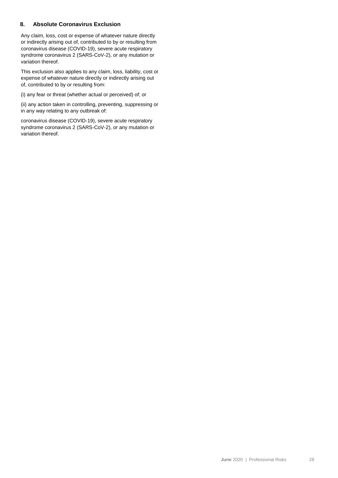### **8. Absolute Coronavirus Exclusion**

Any claim, loss, cost or expense of whatever nature directly or indirectly arising out of, contributed to by or resulting from coronavirus disease (COVID-19), severe acute respiratory syndrome coronavirus 2 (SARS-CoV-2), or any mutation or variation thereof.

This exclusion also applies to any claim, loss, liability, cost or expense of whatever nature directly or indirectly arising out of, contributed to by or resulting from:

(i) any fear or threat (whether actual or perceived) of; or

(ii) any action taken in controlling, preventing, suppressing or in any way relating to any outbreak of:

coronavirus disease (COVID-19), severe acute respiratory syndrome coronavirus 2 (SARS-CoV-2), or any mutation or variation thereof.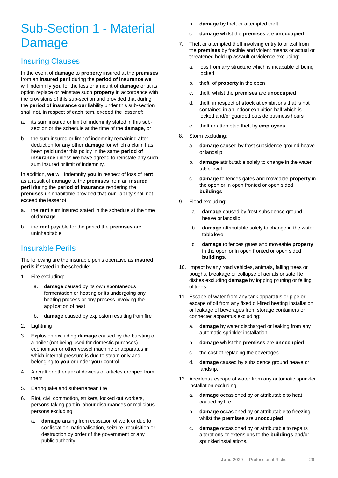## Sub-Section 1 - Material Damage

### Insuring Clauses

In the event of **damage** to **property** insured at the **premises**  from an **insured peril** during the **period of insurance we**  will indemnify **you** for the loss or amount of **damage** or at its option replace or reinstate such **property** in accordance with the provisions of this sub-section and provided that during the **period of insurance our** liability under this sub-section shall not, in respect of each item, exceed the lesser of:

- a. its sum insured or limit of indemnity stated in this subsection or the schedule at the time of the **damage**, or
- b. the sum insured or limit of indemnity remaining after deduction for any other **damage** for which a claim has been paid under this policy in the same **period of insurance** unless **we** have agreed to reinstate any such sum insured or limit of indemnity.

In addition, **we** will indemnify **you** in respect of loss of **rent**  as a result of **damage** to the **premises** from an **insured peril** during the **period of insurance** rendering the **premises** uninhabitable provided that **our** liability shall not exceed the lesser of:

- a. the **rent** sum insured stated in the schedule at the time of **damage**
- b. the **rent** payable for the period the **premises** are uninhabitable

### Insurable Perils

The following are the insurable perils operative as **insured perils** if stated in theschedule:

- 1. Fire excluding:
	- a. **damage** caused by its own spontaneous fermentation or heating or its undergoing any heating process or any process involving the application of heat
	- b. **damage** caused by explosion resulting from fire
- 2. Lightning
- 3. Explosion excluding **damage** caused by the bursting of a boiler (not being used for domestic purposes) economiser or other vessel machine or apparatus in which internal pressure is due to steam only and belonging to **you** or under **your** control.
- 4. Aircraft or other aerial devices or articles dropped from them
- 5. Earthquake and subterranean fire
- 6. Riot, civil commotion, strikers, locked out workers, persons taking part in labour disturbances or malicious persons excluding:
	- a. **damage** arising from cessation of work or due to confiscation, nationalisation, seizure, requisition or destruction by order of the government or any public authority
- b. **damage** by theft or attempted theft
- c. **damage** whilst the **premises** are **unoccupied**
- 7. Theft or attempted theft involving entry to or exit from the **premises** by forcible and violent means or actual or threatened hold up assault or violence excluding:
	- a. loss from any structure which is incapable of being locked
	- b. theft of **property** in the open
	- c. theft whilst the **premises** are **unoccupied**
	- d. theft in respect of **stock** at exhibitions that is not contained in an indoor exhibition hall which is locked and/or guarded outside business hours
	- e. theft or attempted theft by **employees**
- 8. Storm excluding:
	- a. **damage** caused by frost subsidence ground heave or landslip
	- b. **damage** attributable solely to change in the water table level
	- c. **damage** to fences gates and moveable **property** in the open or in open fronted or open sided **buildings**
- 9. Flood excluding:
	- a. **damage** caused by frost subsidence ground heave or landslip
	- b. **damage** attributable solely to change in the water table level
	- c. **damage** to fences gates and moveable **property**  in the open or in open fronted or open sided **buildings**.
- 10. Impact by any road vehicles, animals, falling trees or boughs, breakage or collapse of aerials or satellite dishes excluding **damage** by lopping pruning or felling of trees.
- 11. Escape of water from any tank apparatus or pipe or escape of oil from any fixed oil-fired heating installation or leakage of beverages from storage containers or connectedapparatus excluding:
	- a. **damage** by water discharged or leaking from any automatic sprinkler installation
	- b. **damage** whilst the **premises** are **unoccupied**
	- c. the cost of replacing the beverages
	- d. **damage** caused by subsidence ground heave or landslip.
- 12. Accidental escape of water from any automatic sprinkler installation excluding:
	- a. **damage** occasioned by or attributable to heat caused by fire
	- b. **damage** occasioned by or attributable to freezing whilst the **premises** are **unoccupied**
	- c. **damage** occasioned by or attributable to repairs alterations or extensions to the **buildings** and/or sprinklerinstallations.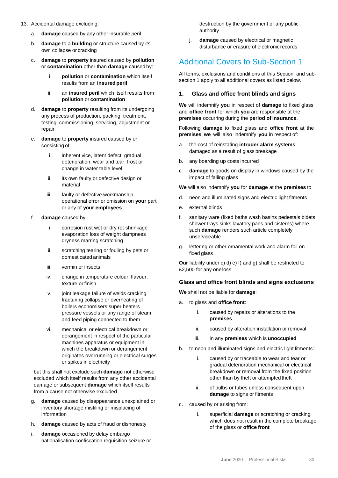- 13. Accidental damage excluding:
	- a. **damage** caused by any other insurable peril
	- b. **damage** to a **building** or structure caused by its own collapse or cracking
	- c. **damage** to **property** insured caused by **pollution**  or **contamination** other than **damage** caused by:
		- i. **pollution** or **contamination** which itself results from an **insured peril**
		- ii. an **insured peril** which itself results from **pollution** or **contamination**
	- d. **damage** to **property** resulting from its undergoing any process of production, packing, treatment, testing, commissioning, servicing, adjustment or repair
	- e. **damage** to **property** insured caused by or consisting of:
		- i. inherent vice, latent defect, gradual deterioration, wear and tear, frost or change in water table level
		- ii. its own faulty or defective design or material
		- iii. faulty or defective workmanship, operational error or omission on **your** part or any of **your employees**
	- f. **damage** caused by
		- i. corrosion rust wet or dry rot shrinkage evaporation loss of weight dampness dryness marring scratching
		- ii. scratching tearing or fouling by pets or domesticated animals
		- iii. vermin or insects
		- iv. change in temperature colour, flavour, texture or finish
		- v. joint leakage failure of welds cracking fracturing collapse or overheating of boilers economisers super heaters pressure vessels or any range of steam and feed piping connected to them
		- vi. mechanical or electrical breakdown or derangement in respect of the particular machines apparatus or equipment in which the breakdown or derangement originates overrunning or electrical surges or spikes in electricity

but this shall not exclude such **damage** not otherwise excluded which itself results from any other accidental damage or subsequent **damage** which itself results from a cause not otherwise excluded

- g. **damage** caused by disappearance unexplained or inventory shortage misfiling or misplacing of information
- h. **damage** caused by acts of fraud or dishonesty
- i. **damage** occasioned by delay embargo nationalisation confiscation requisition seizure or

destruction by the government or any public authority

j. **damage** caused by electrical or magnetic disturbance or erasure of electronic records

### Additional Covers to Sub-Section 1

All terms, exclusions and conditions of this Section and subsection 1 apply to all additional covers as listed below.

### **1. Glass and office front blinds and signs**

**We** will indemnify **you** in respect of **damage** to fixed glass and **office front** for which **you** are responsible at the **premises** occurring during the **period of insurance**.

Following **damage** to fixed glass and **office front** at the **premises we** will also indemnify **you** in respect of:

- a. the cost of reinstating **intruder alarm systems**  damaged as a result of glass breakage
- b. any boarding up costs incurred
- c. **damage** to goods on display in windows caused by the impact of falling glass

**We** will also indemnify **you** for **damage** at the **premises** to

- d. neon and illuminated signs and electric light fitments
- e. external blinds
- f. sanitary ware (fixed baths wash basins pedestals bidets shower trays sinks lavatory pans and cisterns) where such **damage** renders such article completely unserviceable
- g. lettering or other ornamental work and alarm foil on fixed glass

**Our** liability under c) d) e) f) and g) shall be restricted to £2,500 for any oneloss.

### **Glass and office front blinds and signs exclusions**

**We** shall not be liable for **damage**:

- a. to glass and **office front**:
	- i. caused by repairs or alterations to the **premises**
	- ii. caused by alteration installation or removal
	- iii. in any **premises** which is **unoccupied**
- b. to neon and illuminated signs and electric light fitments:
	- i. caused by or traceable to wear and tear or gradual deterioration mechanical or electrical breakdown or removal from the fixed position other than by theft or attempted theft
	- ii. of bulbs or tubes unless consequent upon **damage** to signs or fitments
- c. caused by or arising from:
	- i. superficial **damage** or scratching or cracking which does not result in the complete breakage of the glass or **office front**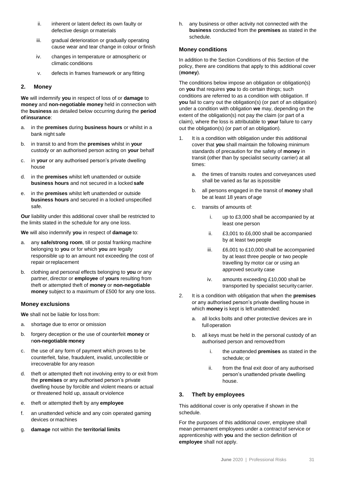- ii. inherent or latent defect its own faulty or defective design or materials
- iii. gradual deterioration or gradually operating cause wear and tear change in colour orfinish
- iv. changes in temperature or atmospheric or climatic conditions
- v. defects in frames framework or any fitting

### **2. Money**

**We** will indemnify **you** in respect of loss of or **damage** to **money** and **non-negotiable money** held in connection with the **business** as detailed below occurring during the **period ofinsurance**:

- a. in the **premises** during **business hours** or whilst in a bank night safe
- b. in transit to and from the **premises** whilst in **your** custody or an authorised person acting on **your** behalf
- c. in **your** or any authorised person's private dwelling house
- d. in the **premises** whilst left unattended or outside **business hours** and not secured in a locked **safe**
- e. in the **premises** whilst left unattended or outside **business hours** and secured in a locked unspecified safe.

**Our** liability under this additional cover shall be restricted to the limits stated in the schedule for any one loss.

**We** will also indemnify **you** in respect of **damage** to:

- a. any **safe/strong room**, till or postal franking machine belonging to **you** or for which **you** are legally responsible up to an amount not exceeding the cost of repair orreplacement
- b. clothing and personal effects belonging to **you** or any partner, director or **employee** of **yours** resulting from theft or attempted theft of **money** or **non-negotiable money** subject to a maximum of £500 for any one loss.

### **Money exclusions**

**We** shall not be liable for loss from:

- a. shortage due to error or omission
- b. forgery deception or the use of counterfeit **money** or n**on-negotiable money**
- c. the use of any form of payment which proves to be counterfeit, false, fraudulent, invalid, uncollectible or irrecoverable for any reason
- d. theft or attempted theft not involving entry to or exit from the **premises** or any authorised person's private dwelling house by forcible and violent means or actual or threatened hold up, assault orviolence
- e. theft or attempted theft by any **employee**
- f. an unattended vehicle and any coin operated gaming devices or machines
- g. **damage** not within the **territorial limits**

h. any business or other activity not connected with the **business** conducted from the **premises** as stated in the schedule.

#### **Money conditions**

In addition to the Section Conditions of this Section of the policy, there are conditions that apply to this additional cover (**money**).

The conditions below impose an obligation or obligation(s) on **you** that requires **you** to do certain things; such conditions are referred to as a condition with obligation. If **you** fail to carry out the obligation(s) (or part of an obligation) under a condition with obligation **we** may, depending on the extent of the obligation(s) not pay the claim (or part of a claim), where the loss is attributable to **your** failure to carry out the obligation(s) (or part of an obligation).

- 1. It is a condition with obligation under this additional cover that **you** shall maintain the following minimum standards of precaution for the safety of **money** in transit (other than by specialist security carrier) at all times:
	- a. the times of transits routes and conveyances used shall be varied as far as ispossible
	- b. all persons engaged in the transit of **money** shall be at least 18 years of age
	- c. transits of amounts of:
		- i. up to £3,000 shall be accompanied by at least one person
		- ii. £3,001 to £6,000 shall be accompanied by at least two people
		- iii. £6,001 to £10,000 shall be accompanied by at least three people or two people travelling by motor car or using an approved security case
		- iv. amounts exceeding £10,000 shall be transported by specialist security carrier.
- 2. It is a condition with obligation that when the **premises**  or any authorised person's private dwelling house in which **money** is kept is left unattended:
	- a. all locks bolts and other protective devices are in full operation
	- b. all keys must be held in the personal custody of an authorised person and removedfrom
		- i. the unattended **premises** as stated in the schedule; or
		- ii. from the final exit door of any authorised person's unattended private dwelling house.

### **3. Theft by employees**

This additional cover is only operative if shown in the schedule.

For the purposes of this additional cover, employee shall mean permanent employees under a contractof service or apprenticeship with **you** and the section definition of **employee** shall not apply.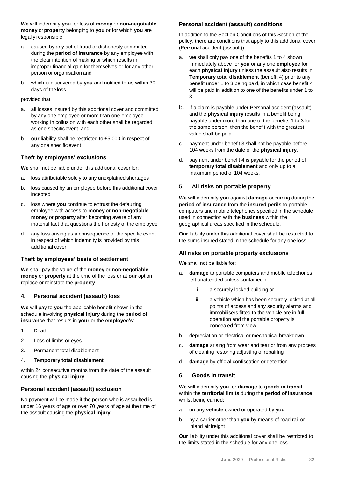**We** will indemnify **you** for loss of **money** or **non-negotiable money** or**property** belonging to **you** or for which **you** are legally responsible:

- a. caused by any act of fraud or dishonesty committed during the **period of insurance** by any employee with the clear intention of making or which results in improper financial gain for themselves or for any other person or organisation and
- b. which is discovered by **you** and notified to **us** within 30 days of the loss

### provided that

- a. all losses insured by this additional cover and committed by any one employee or more than one employee working in collusion with each other shall be regarded as one specificevent, and
- b. **our** liability shall be restricted to £5,000 in respect of any one specific event

### **Theft by employees' exclusions**

**We** shall not be liable under this additional cover for:

- a. loss attributable solely to any unexplained shortages
- b. loss caused by an employee before this additional cover incepted
- c. loss where **you** continue to entrust the defaulting employee with access to **money** or **non-negotiable money** or **property** after becoming aware of any material fact that questions the honesty of the employee
- any loss arising as a consequence of the specific event in respect of which indemnity is provided by this additional cover.

### **Theft by employees' basis of settlement**

**We** shall pay the value of the **money** or **non-negotiable money** or **property** at the time of the loss or at **our** option replace or reinstate the **property**.

### **4. Personal accident (assault) loss**

**We** will pay to **you** the applicable benefit shown in the schedule involving **physical injury** during the **period of insurance** that results in **your** or the **employee's**:

- 1. Death
- 2. Loss of limbs or eyes
- 3. Permanent total disablement

#### 4. Te**mporary total disablement**

within 24 consecutive months from the date of the assault causing the **physical injury**.

### **Personal accident (assault) exclusion**

No payment will be made if the person who is assaulted is under 16 years of age or over 70 years of age at the time of the assault causing the **physical injury**.

### **Personal accident (assault) conditions**

In addition to the Section Conditions of this Section of the policy, there are conditions that apply to this additional cover (Personal accident (assault)).

- a. **we** shall only pay one of the benefits 1 to 4 shown immediately above for **you** or any one **employee** for each **physical injury** unless the assault also results in **Temporary total disablement** (benefit 4) prior to any benefit under 1 to 3 being paid, in which case benefit 4 will be paid in addition to one of the benefits under 1 to 3.
- b. If a claim is payable under Personal accident (assault) and the **physical injury** results in a benefit being payable under more than one of the benefits 1 to 3 for the same person, then the benefit with the greatest value shall be paid.
- c. payment under benefit 3 shall not be payable before 104 weeks from the date of the **physical injury**.
- d. payment under benefit 4 is payable for the period of **temporary total disablement** and only up to a maximum period of 104 weeks.

### **5. All risks on portable property**

**We** will indemnify **you** against **damage** occurring during the **period of insurance** from the **insured perils** to portable computers and mobile telephones specified in the schedule used in connection with the **business** within the geographical areas specified in the schedule.

**Our** liability under this additional cover shall be restricted to the sums insured stated in the schedule for any one loss.

### **All risks on portable property exclusions**

**We** shall not be liable for:

- a. **damage** to portable computers and mobile telephones left unattended unless contained in
	- i. a securely locked building or
	- ii. a vehicle which has been securely locked at all points of access and any security alarms and immobilisers fitted to the vehicle are in full operation and the portable property is concealed from view
- b. depreciation or electrical or mechanical breakdown
- c. **damage** arising from wear and tear or from any process of cleaning restoring adjusting orrepairing
- d. **damage** by official confiscation or detention

### **6. Goods in transit**

**We** will indemnify **you** for **damage** to **goods in transit** within the **territorial limits** during the **period of insurance** whilst being carried:

- a. on any **vehicle** owned or operated by **you**
- b. by a carrier other than **you** by means of road rail or inland airfreight

**Our** liability under this additional cover shall be restricted to the limits stated in the schedule for any one loss.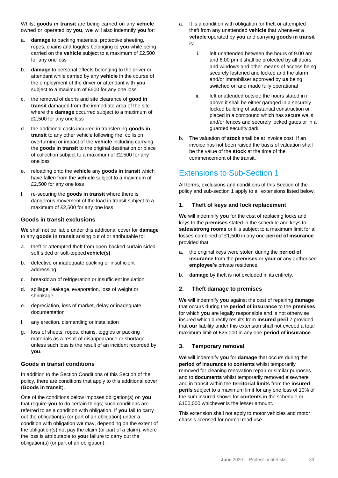Whilst **goods in transit** are being carried on any **vehicle** owned or operated by **you**, **we** will also indemnify **you** for:

- a. **damage** to packing materials, protective sheeting, ropes, chains and toggles belonging to **you** while being carried on the **vehicle** subject to a maximum of £2,500 for any one loss
- b. **damage** to personal effects belonging to the driver or attendant while carried by any **vehicle** in the course of the employment of the driver or attendant with **you**  subject to a maximum of £500 for any one loss
- c. the removal of debris and site clearance of **good in transit** damaged from the immediate area of the site where the **damage** occurred subject to a maximum of £2,500 for any one loss
- d. the additional costs incurred in transferring **goods in transit** to any other vehicle following fire, collision, overturning or impact of the **vehicle** including carrying the **goods in transit** to the original destination or place of collection subject to a maximum of £2,500 for any one loss
- e. reloading onto the **vehicle** any **goods in transit** which have fallen from the **vehicle** subject to a maximum of £2,500 for any one loss
- f. re-securing the **goods in transit** where there is dangerous movement of the load in transit subject to a maximum of £2,500 for any one loss.

### **Goods in transit exclusions**

**We** shall not be liable under this additional cover for **damage**  to any **goods in transit** arising out of or attributable to:

- a. theft or attempted theft from open-backed curtain sided soft sided or soft-topped **vehicle(s)**
- b. defective or inadequate packing or insufficient addressing
- c. breakdown of refrigeration or insufficient insulation
- d. spillage, leakage, evaporation, loss of weight or shrinkage
- e. depreciation, loss of market, delay or inadequate documentation
- f. any erection, dismantling or installation
- g. loss of sheets, ropes, chains, toggles or packing materials as a result of disappearance or shortage unless such loss is the result of an incident recorded by **you**.

### **Goods in transit conditions**

In addition to the Section Conditions of this Section of the policy, there are conditions that apply to this additional cover (**Goods in transit**).

One of the conditions below imposes obligation(s) on **you**  that require **you** to do certain things; such conditions are referred to as a condition with obligation. If **you** fail to carry out the obligation(s) (or part of an obligation) under a condition with obligation **we** may, depending on the extent of the obligation(s) not pay the claim (or part of a claim), where the loss is attributable to **your** failure to carry out the obligation(s) (or part of an obligation).

- a. It is a condition with obligation for theft or attempted theft from any unattended **vehicle** that whenever a **vehicle** operated by **you** and carrying **goods in transit**  is:
	- i. left unattended between the hours of 9.00 am and 6.00 pm it shall be protected by all doors and windows and other means of access being securely fastened and locked and the alarm and/or immobiliser approved by **us** being switched on and made fully operational
	- ii. left unattended outside the hours stated in i above it shall be either garaged in a securely locked building of substantial construction or placed in a compound which has secure walls and/or fences and securely locked gates or in a guarded security park.
- b. The valuation of **stock** shall be at invoice cost. If an invoice has not been raised the basis of valuation shall be the value of the **stock** at the time of the commencement of the transit.

### Extensions to Sub-Section 1

All terms, exclusions and conditions of this Section of the policy and sub-section 1 apply to all extensions listed below.

### **1. Theft of keys and lock replacement**

**We** will indemnify **you** for the cost of replacing locks and keys to the **premises** stated in the schedule and keys to **safes/strong rooms** or tills subject to a maximum limit for all losses combined of £1,500 in any one **period of insurance**  provided that:

- a. the original keys were stolen during the **period of insurance** from the **premises** or **your** or any authorised **employee's** private residence.
- b. **damage** by theft is not excluded in its entirety.

### **2. Theft damage to premises**

**We** will indemnify **you** against the cost of repairing **damage** that occurs during the **period of insurance** to the **premises**  for which **you** are legally responsible and is not otherwise insured which directly results from **insured peril** 7 provided that **our** liability under this extension shall not exceed a total maximum limit of £25,000 in any one **period of insurance**.

### **3. Temporary removal**

**We** will indemnify **you** for **damage** that occurs during the **period of insurance** to **contents** whilst temporarily removed for cleaning renovation repair or similar purposes and to **documents** whilst temporarily removed elsewhere and in transit within the **territorial limits** from the **insured perils** subject to a maximum limit for any one loss of 10% of the sum insured shown for **contents** in the schedule or £100,000 whichever is the lesser amount.

This extension shall not apply to motor vehicles and motor chassis licensed for normal road use.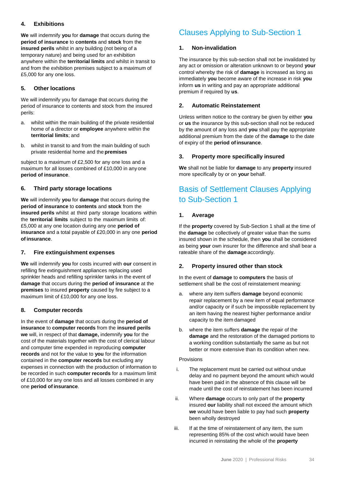### **4. Exhibitions**

**We** will indemnify **you** for **damage** that occurs during the **period of insurance** to **contents** and **stock** from the **insured perils** whilst in any building (not being of a temporary nature) and being used for an exhibition anywhere within the **territorial limits** and whilst in transit to and from the exhibition premises subject to a maximum of £5,000 for any one loss.

### **5. Other locations**

We will indemnify you for damage that occurs during the period of insurance to contents and stock from the insured perils:

- a. whilst within the main building of the private residential home of a director or **employee** anywhere within the **territorial limits**; and
- b. whilst in transit to and from the main building of such private residential home and the **premises**

subject to a maximum of £2,500 for any one loss and a maximum for all losses combined of £10,000 in any one **period of insurance**.

### **6. Third party storage locations**

**We** will indemnify **you** for **damage** that occurs during the **period of insurance** to **contents** and **stock** from the **insured perils** whilst at third party storage locations within the **territorial limits** subject to the maximum limits of: £5,000 at any one location during any one **period of insurance** and a total payable of £20,000 in any one **period of insurance**.

### **7. Fire extinguishment expenses**

**We** will indemnify **you** for costs incurred with **our** consent in refilling fire extinguishment appliances replacing used sprinkler heads and refilling sprinkler tanks in the event of **damage** that occurs during the **period of insurance** at the **premises** to insured **property** caused by fire subject to a maximum limit of £10,000 for any one loss.

### **8. Computer records**

In the event of **damage** that occurs during the **period of insurance** to **computer records** from the **insured perils we** will, in respect of that **damage,** indemnify **you** for the cost of the materials together with the cost of clerical labour and computer time expended in reproducing **computer records** and not for the value to **you** for the information contained in the **computer records** but excluding any expenses in connection with the production of information to be recorded in such **computer records** for a maximum limit of £10,000 for any one loss and all losses combined in any one **period of insurance**.

### Clauses Applying to Sub-Section 1

### **1. Non-invalidation**

The insurance by this sub-section shall not be invalidated by any act or omission or alteration unknown to or beyond **your** control whereby the risk of **damage** is increased as long as immediately **you** become aware of the increase in risk **you** inform **us** in writing and pay an appropriate additional premium if required by **us**.

### **2. Automatic Reinstatement**

Unless written notice to the contrary be given by either **you**  or **us** the insurance by this sub-section shall not be reduced by the amount of any loss and **you** shall pay the appropriate additional premium from the date of the **damage** to the date of expiry of the **period ofinsurance**.

### **3. Property more specifically insured**

**We** shall not be liable for **damage** to any **property** insured more specifically by or on **your** behalf.

### Basis of Settlement Clauses Applying to Sub-Section 1

### **1. Average**

If the **property** covered by Sub-Section 1 shall at the time of the **damage** be collectively of greater value than the sums insured shown in the schedule, then **you** shall be considered as being **your** own insurer for the difference and shall bear a rateable share of the **damage** accordingly.

### **2. Property insured other than stock**

In the event of **damage** to **computers** the basis of settlement shall be the cost of reinstatement meaning:

- a. where any item suffers **damage** beyond economic repair replacement by a new item of equal performance and/or capacity or if such be impossible replacement by an item having the nearest higher performance and/or capacity to the item damaged
- b. where the item suffers **damage** the repair of the **damage** and the restoration of the damaged portions to a working condition substantially the same as but not better or more extensive than its condition when new.

### Provisions

- i. The replacement must be carried out without undue delay and no payment beyond the amount which would have been paid in the absence of this clause will be made until the cost of reinstatement has been incurred
- ii. Where **damage** occurs to only part of the **property** insured **our** liability shall not exceed the amount which **we** would have been liable to pay had such **property**  been wholly destroyed
- iii. If at the time of reinstatement of any item, the sum representing 85% of the cost which would have been incurred in reinstating the whole of the **property**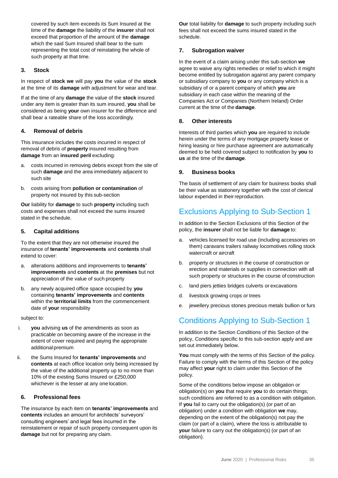covered by such item exceeds its Sum Insured at the time of the **damage** the liability of the **insurer** shall not exceed that proportion of the amount of the **damage**  which the said Sum Insured shall bear to the sum representing the total cost of reinstating the whole of such property at that time.

### **3. Stock**

In respect of **stock we** will pay **you** the value of the **stock** at the time of its **damage** with adjustment for wear and tear.

If at the time of any **damage** the value of the **stock** insured under any item is greater than its sum insured, **you** shall be considered as being **your** own insurer for the difference and shall bear a rateable share of the loss accordingly.

### **4. Removal of debris**

This insurance includes the costs incurred in respect of removal of debris of **property** insured resulting from **damage** from an **insured peril** excluding:

- a. costs incurred in removing debris except from the site of such **damage** and the area immediately adjacent to such site
- b. costs arising from **pollution or contamination** of property not insured by this sub-section

**Our** liability for **damage** to such **property** including such costs and expenses shall not exceed the sums insured stated in the schedule.

### **5. Capital additions**

To the extent that they are not otherwise insured the insurance of **tenants' improvements** and **contents** shall extend to cover:

- a. alterations additions and improvements to **tenants' improvements** and **contents** at the **premises** but not appreciation of the value of such property
- b. any newly acquired office space occupied by **you** containing **tenants' improvements** and **contents**  within the **territorial limits** from the commencement date of **your** responsibility

subject to:

- i. **you** advising **us** of the amendments as soon as practicable on becoming aware of the increase in the extent of cover required and paying the appropriate additional premium
- ii. the Sums Insured for **tenants' improvements** and **contents** at each office location only being increased by the value of the additional property up to no more than 10% of the existing Sums Insured or £250,000 whichever is the lesser at any one location.

### **6. Professional fees**

The insurance by each item on **tenants' improvements** and **contents** includes an amount for architects' surveyors' consulting engineers' and legal fees incurred in the reinstatement or repair of such property consequent upon its **damage** but not for preparing any claim.

**Our** total liability for **damage** to such property including such fees shall not exceed the sums insured stated in the schedule.

### **7. Subrogation waiver**

In the event of a claim arising under this sub-section **we**  agree to waive any rights remedies or relief to which it might become entitled by subrogation against any parent company or subsidiary company to **you** or any company which is a subsidiary of or a parent company of which **you** are subsidiary in each case within the meaning of the Companies Act or Companies (Northern Ireland) Order current at the time of the **damage**.

### **8. Other interests**

Interests of third parties which **you** are required to include herein under the terms of any mortgage property lease or hiring leasing or hire purchase agreement are automatically deemed to be held covered subject to notification by **you** to **us** at the time of the **damage**.

### **9. Business books**

The basis of settlement of any claim for business books shall be their value as stationery together with the cost of clerical labour expended in their reproduction.

### Exclusions Applying to Sub-Section 1

In addition to the Section Exclusions of this Section of the policy, the **insurer** shall not be liable for **damage** to:

- a. vehicles licensed for road use (including accessories on them) caravans trailers railway locomotives rolling stock watercraft or aircraft
- b. property or structures in the course of construction or erection and materials or supplies in connection with all such property or structures in the course of construction
- c. land piers jetties bridges culverts or excavations
- d. livestock growing crops or trees
- e. jewellery precious stones precious metals bullion or furs

### Conditions Applying to Sub-Section 1

In addition to the Section Conditions of this Section of the policy, Conditions specific to this sub-section apply and are set out immediately below.

**You** must comply with the terms of this Section of the policy. Failure to comply with the terms of this Section of the policy may affect **your** right to claim under this Section of the policy.

Some of the conditions below impose an obligation or obligation(s) on **you** that require **you** to do certain things; such conditions are referred to as a condition with obligation. If **you** fail to carry out the obligation(s) (or part of an obligation) under a condition with obligation **we** may, depending on the extent of the obligation(s) not pay the claim (or part of a claim), where the loss is attributable to **your** failure to carry out the obligation(s) (or part of an obligation).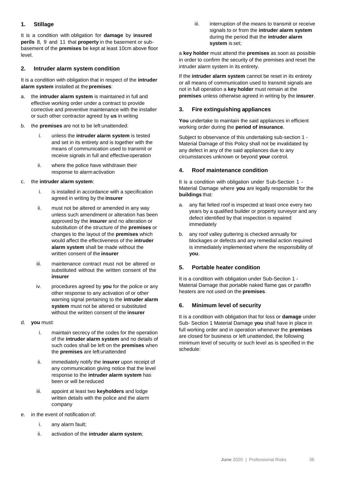### **1. Stillage**

It is a condition with obligation for **damage** by **insured perils** 8, 9 and 11 that **property** in the basement or subbasement of the **premises** be kept at least 10cm above floor level.

### **2. Intruder alarm system condition**

It is a condition with obligation that in respect of the **intruder alarm system** installed at the **premises**:

- a. the **intruder alarm system** is maintained in full and effective working order under a contract to provide corrective and preventive maintenance with the installer or such other contractor agreed by **us** in writing
- b. the **premises** are not to be left unattended:
	- i. unless the **intruder alarm system** is tested and set in its entirety and is together with the means of communication used to transmit or receive signals in full and effective operation
	- ii. where the police have withdrawn their response to alarm activation

### c. the **intruder alarm system**:

- i. is installed in accordance with a specification agreed in writing by the **insurer**
- ii. must not be altered or amended in any way unless such amendment or alteration has been approved by the **insurer** and no alteration or substitution of the structure of the **premises** or changes to the layout of the **premises** which would affect the effectiveness of the **intruder alarm system** shall be made without the written consent of the **insurer**
- iii. maintenance contract must not be altered or substituted without the written consent of the **insurer**
- iv. procedures agreed by **you** for the police or any other response to any activation of or other warning signal pertaining to the **intruder alarm system** must not be altered or substituted without the written consent of the **insurer**
- d. **you** must:
	- i. maintain secrecy of the codes for the operation of the **intruder alarm system** and no details of such codes shall be left on the **premises** when the **premises** are left unattended
	- ii. immediately notify the **insurer** upon receipt of any communication giving notice that the level response to the **intruder alarm system** has been or will be reduced
	- iii. appoint at least two **keyholders** and lodge written details with the police and the alarm company
- e. in the event of notification of:
	- i. any alarm fault;
	- ii. activation of the **intruder alarm system**;

iii. interruption of the means to transmit or receive signals to or from the **intruder alarm system**  during the period that the **intruder alarm system** is set;

a **key holder** must attend the **premises** as soon as possible in order to confirm the security of the premises and reset the intruder alarm system in its entirety.

If the **intruder alarm system** cannot be reset in its entirety or all means of communication used to transmit signals are not in full operation a **key holder** must remain at the **premises** unless otherwise agreed in writing by the **insurer**.

### **3. Fire extinguishing appliances**

**You** undertake to maintain the said appliances in efficient working order during the **period of insurance**.

Subject to observance of this undertaking sub-section 1 - Material Damage of this Policy shall not be invalidated by any defect in any of the said appliances due to any circumstances unknown or beyond **your** control.

### **4. Roof maintenance condition**

It is a condition with obligation under Sub-Section 1 - Material Damage where **you** are legally responsible for the **buildings** that:

- a. any flat felted roof is inspected at least once every two years by a qualified builder or property surveyor and any defect identified by that inspection is repaired immediately
- b. any roof valley guttering is checked annually for blockages or defects and any remedial action required is immediately implemented where the responsibility of **you**.

### **5. Portable heater condition**

It is a condition with obligation under Sub-Section 1 - Material Damage that portable naked flame gas or paraffin heaters are not used on the **premises**.

### **6. Minimum level of security**

It is a condition with obligation that for loss or **damage** under Sub- Section 1 Material Damage **you** shall have in place in full working order and in operation whenever the **premises**  are closed for business or left unattended, the following minimum level of security or such level as is specified in the schedule: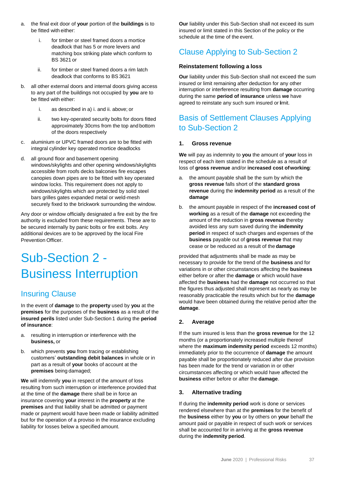- a. the final exit door of **your** portion of the **buildings** is to be fitted with either:
	- i. for timber or steel framed doors a mortice deadlock that has 5 or more levers and matching box striking plate which conform to BS 3621 or
	- ii. for timber or steel framed doors a rim latch deadlock that conforms to BS3621
- b. all other external doors and internal doors giving access to any part of the buildings not occupied by **you** are to be fitted with either:
	- i. as described in a) i. and ii. above; or
	- ii. two key-operated security bolts for doors fitted approximately 30cms from the top and bottom of the doors respectively
- c. aluminium or UPVC framed doors are to be fitted with integral cylinder key operated mortice deadlocks
- d. all ground floor and basement opening windows/skylights and other opening windows/skylights accessible from roofs decks balconies fire escapes canopies down pipes are to be fitted with key operated window locks. This requirement does not apply to windows/skylights which are protected by solid steel bars grilles gates expanded metal or weld-mesh securely fixed to the brickwork surrounding the window.

Any door or window officially designated a fire exit by the fire authority is excluded from these requirements. These are to be secured internally by panic bolts or fire exit bolts. Any additional devices are to be approved by the local Fire Prevention Officer.

## Sub-Section 2 - Business Interruption

### Insuring Clause

In the event of **damage** to the **property** used by **you** at the **premises** for the purposes of the **business** as a result of the **insured perils** listed under Sub-Section 1 during the **period of insurance**:

- a. resulting in interruption or interference with the **business,** or
- b. which prevents **you** from tracing or establishing customers' **outstanding debit balances** in whole or in part as a result of **your** books of account at the **premises** being damaged;

**We** will indemnify **you** in respect of the amount of loss resulting from such interruption or interference provided that at the time of the **damage** there shall be in force an insurance covering **your** interest in the **property** at the **premises** and that liability shall be admitted or payment made or payment would have been made or liability admitted but for the operation of a proviso in the insurance excluding liability for losses below a specified amount.

**Our** liability under this Sub-Section shall not exceed its sum insured or limit stated in this Section of the policy or the schedule at the time of the event.

### Clause Applying to Sub-Section 2

### **Reinstatement following a loss**

**Our** liability under this Sub-Section shall not exceed the sum insured or limit remaining after deduction for any other interruption or interference resulting from **damage** occurring during the same **period of insurance** unless **we** have agreed to reinstate any such sum insured or limit.

### Basis of Settlement Clauses Applying to Sub-Section 2

### **1. Gross revenue**

**We** will pay as indemnity to **you** the amount of **your** loss in respect of each item stated in the schedule as a result of loss of **gross revenue** and/or **increased cost ofworking**:

- a. the amount payable shall be the sum by which the **gross revenue** falls short of the **standard gross revenue** during the **indemnity period** as a result of the **damage**
- b. the amount payable in respect of the **increased cost of working** as a result of the **damage** not exceeding the amount of the reduction in **gross revenue** thereby avoided less any sum saved during the **indemnity period** in respect of such charges and expenses of the **business** payable out of **gross revenue** that may cease or be reduced as a result of the **damage**

provided that adjustments shall be made as may be necessary to provide for the trend of the **business** and for variations in or other circumstances affecting the **business**  either before or after the **damage** or which would have affected the **business** had the **damage** not occurred so that the figures thus adjusted shall represent as nearly as may be reasonably practicable the results which but for the **damage**  would have been obtained during the relative period after the **damage**.

### **2. Average**

If the sum insured is less than the **gross revenue** for the 12 months (or a proportionately increased multiple thereof where the **maximum indemnity period** exceeds 12 months) immediately prior to the occurrence of **damage** the amount payable shall be proportionately reduced after due provision has been made for the trend or variation in or other circumstances affecting or which would have affected the **business** either before or after the **damage**.

### **3. Alternative trading**

If during the **indemnity period** work is done or services rendered elsewhere than at the **premises** for the benefit of the **business** either by **you** or by others on **your** behalf the amount paid or payable in respect of such work or services shall be accounted for in arriving at the **gross revenue**  during the **indemnity period**.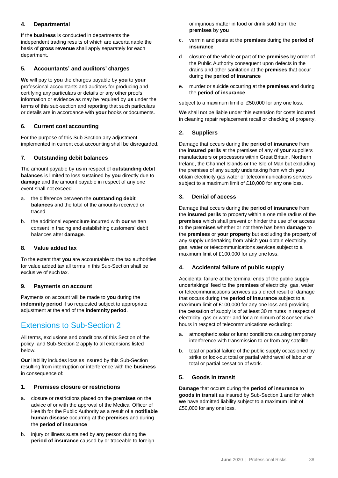### **4. Departmental**

If the **business** is conducted in departments the independent trading results of which are ascertainable the basis of **gross revenue** shall apply separately for each department.

### **5. Accountants' and auditors' charges**

**We** will pay to **you** the charges payable by **you** to **your** professional accountants and auditors for producing and certifying any particulars or details or any other proofs information or evidence as may be required by **us** under the terms of this sub-section and reporting that such particulars or details are in accordance with **your** books or documents.

### **6. Current cost accounting**

For the purpose of this Sub-Section any adjustment implemented in current cost accounting shall be disregarded.

### **7. Outstanding debit balances**

The amount payable by **us** in respect of **outstanding debit balances** is limited to loss sustained by **you** directly due to **damage** and the amount payable in respect of any one event shall not exceed

- a. the difference between the **outstanding debit balances** and the total of the amounts received or traced
- b. the additional expenditure incurred with **our** written consent in tracing and establishing customers' debit balances after **damage**.

### **8. Value added tax**

To the extent that **you** are accountable to the tax authorities for value added tax all terms in this Sub-Section shall be exclusive of such tax.

### **9. Payments on account**

Payments on account will be made to **you** during the **indemnity period** if so requested subject to appropriate adjustment at the end of the **indemnity period**.

### Extensions to Sub-Section 2

All terms, exclusions and conditions of this Section of the policy and Sub-Section 2 apply to all extensions listed below.

**Our** liability includes loss as insured by this Sub-Section resulting from interruption or interference with the **business**  in consequence of:

### **1. Premises closure or restrictions**

- a. closure or restrictions placed on the **premises** on the advice of or with the approval of the Medical Officer of Health for the Public Authority as a result of a **notifiable human disease** occurring at the **premises** and during the **period of insurance**
- b. injury or illness sustained by any person during the **period of insurance** caused by or traceable to foreign

or injurious matter in food or drink sold from the **premises** by **you**

- c. vermin and pests at the **premises** during the **period of insurance**
- d. closure of the whole or part of the **premises** by order of the Public Authority consequent upon defects in the drains and other sanitation at the **premises** that occur during the **period of insurance**
- e. murder or suicide occurring at the **premises** and during the **period of insurance**

subject to a maximum limit of £50,000 for any one loss.

**We** shall not be liable under this extension for costs incurred in cleaning repair replacement recall or checking of property.

### **2. Suppliers**

Damage that occurs during the **period of insurance** from the **insured perils** at the premises of any of **your** suppliers manufacturers or processors within Great Britain, Northern Ireland, the Channel Islands or the Isle of Man but excluding the premises of any supply undertaking from which **you** obtain electricity gas water or telecommunications services subject to a maximum limit of £10,000 for any one loss.

### **3. Denial of access**

Damage that occurs during the **period of insurance** from the **insured perils** to property within a one mile radius of the **premises** which shall prevent or hinder the use of or access to the **premises** whether or not there has been **damage** to the **premises** or **your property** but excluding the property of any supply undertaking from which **you** obtain electricity, gas, water or telecommunications services subject to a maximum limit of £100,000 for any one loss.

### **4. Accidental failure of public supply**

Accidental failure at the terminal ends of the public supply undertakings' feed to the **premises** of electricity, gas, water or telecommunications services as a direct result of damage that occurs during the **period of insurance** subject to a maximum limit of £100,000 for any one loss and providing the cessation of supply is of at least 30 minutes in respect of electricity, gas or water and for a minimum of 8 consecutive hours in respect of telecommunications excluding:

- a. atmospheric solar or lunar conditions causing temporary interference with transmission to or from any satellite
- b. total or partial failure of the public supply occasioned by strike or lock-out total or partial withdrawal of labour or total or partial cessation of work.

### **5. Goods in transit**

**Damage** that occurs during the **period of insurance** to **goods in transit** as insured by Sub-Section 1 and for which **we** have admitted liability subject to a maximum limit of £50,000 for any one loss.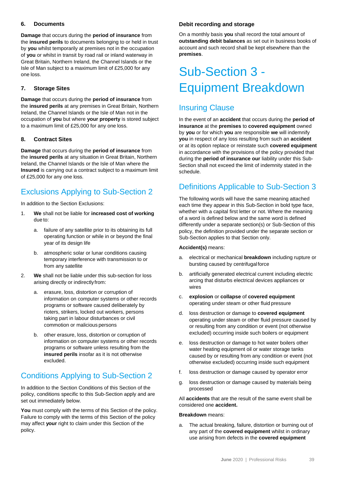### **6. Documents**

**Damage** that occurs during the **period of insurance** from the **insured perils** to documents belonging to or held in trust by **you** whilst temporarily at premises not in the occupation of **you** or whilst in transit by road rail or inland waterway in Great Britain, Northern Ireland, the Channel Islands or the Isle of Man subject to a maximum limit of £25,000 for any one loss.

### **7. Storage Sites**

**Damage** that occurs during the **period of insurance** from the **insured perils** at any premises in Great Britain, Northern Ireland, the Channel Islands or the Isle of Man not in the occupation of **you** but where **your property** is stored subject to a maximum limit of £25,000 for any one loss.

### **8. Contract Sites**

**Damage** that occurs during the **period of insurance** from the **insured perils** at any situation in Great Britain, Northern Ireland, the Channel Islands or the Isle of Man where the **Insured** is carrying out a contract subject to a maximum limit of £25,000 for any one loss.

### Exclusions Applying to Sub-Section 2

In addition to the Section Exclusions:

- 1. **We** shall not be liable for **increased cost of working**  due to:
	- a. failure of any satellite prior to its obtaining its full operating function or while in or beyond the final year of its design life
	- b. atmospheric solar or lunar conditions causing temporary interference with transmission to or from any satellite
- 2. **We** shall not be liable under this sub-section for loss arising directly or indirectly from:
	- a. erasure, loss, distortion or corruption of information on computer systems or other records programs or software caused deliberately by rioters, strikers, locked out workers, persons taking part in labour disturbances or civil commotion or malicious persons
	- b. other erasure, loss, distortion or corruption of information on computer systems or other records programs or software unless resulting from the **insured perils** insofar as it is not otherwise excluded.

### Conditions Applying to Sub-Section 2

In addition to the Section Conditions of this Section of the policy, conditions specific to this Sub-Section apply and are set out immediately below.

**You** must comply with the terms of this Section of the policy. Failure to comply with the terms of this Section of the policy may affect **your** right to claim under this Section of the policy.

### **Debit recording and storage**

On a monthly basis **you** shall record the total amount of **outstanding debit balances** as set out in business books of account and such record shall be kept elsewhere than the **premises**.

## Sub-Section 3 - Equipment Breakdown

### Insuring Clause

In the event of an **accident** that occurs during the **period of insurance** at the **premises** to **covered equipment** owned by **you** or for which **you** are responsible **we** will indemnify **you** in respect of any loss resulting from such an **accident** or at its option replace or reinstate such **covered equipment** in accordance with the provisions of the policy provided that during the **period of insurance our** liability under this Sub-Section shall not exceed the limit of indemnity stated in the schedule.

### Definitions Applicable to Sub-Section 3

The following words will have the same meaning attached each time they appear in this Sub-Section in bold type face, whether with a capital first letter or not. Where the meaning of a word is defined below and the same word is defined differently under a separate section(s) or Sub-Section of this policy, the definition provided under the separate section or Sub-Section applies to that Section only.

### **Accident(s)** means:

- a. electrical or mechanical **breakdown** including rupture or bursting caused by centrifugalforce
- b. artificially generated electrical current including electric arcing that disturbs electrical devices appliances or wires
- c. **explosion** or **collapse** of **covered equipment** operating under steam or other fluid pressure
- d. loss destruction or damage to **covered equipment** operating under steam or other fluid pressure caused by or resulting from any condition or event (not otherwise excluded) occurring inside such boilers or equipment
- e. loss destruction or damage to hot water boilers other water heating equipment oil or water storage tanks caused by or resulting from any condition or event (not otherwise excluded) occurring inside such equipment
- f. loss destruction or damage caused by operator error
- g. loss destruction or damage caused by materials being processed

All **accidents** that are the result of the same event shall be considered one **accident.**

#### **Breakdown** means:

a. The actual breaking, failure, distortion or burning out of any part of the **covered equipment** whilst in ordinary use arising from defects in the **covered equipment**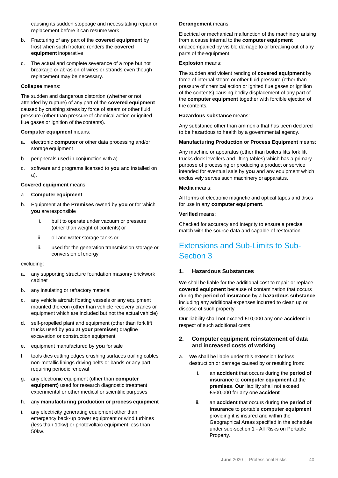causing its sudden stoppage and necessitating repair or replacement before it can resume work

- b. Fracturing of any part of the **covered equipment** by frost when such fracture renders the **covered equipment** inoperative
- c. The actual and complete severance of a rope but not breakage or abrasion of wires or strands even though replacement may be necessary.

#### **Collapse** means:

The sudden and dangerous distortion (whether or not attended by rupture) of any part of the **covered equipment** caused by crushing stress by force of steam or other fluid pressure (other than pressureof chemical action or ignited flue gases or ignition of the contents).

#### **Computer equipment** means:

- a. electronic **computer** or other data processing and/or storage equipment
- b. peripherals used in conjunction with a)
- c. software and programs licensed to **you** and installed on a).

#### **Covered equipment** means:

- a. **Computer equipment**
- b. Equipment at the **Premises** owned by **you** or for which **you** are responsible
	- i. built to operate under vacuum or pressure (other than weight of contents) or
	- ii. oil and water storage tanks or
	- iii. used for the generation transmission storage or conversion of energy

#### excluding:

- a. any supporting structure foundation masonry brickwork cabinet
- b. any insulating or refractory material
- c. any vehicle aircraft floating vessels or any equipment mounted thereon (other than vehicle recovery cranes or equipment which are included but not the actual vehicle)
- d. self-propelled plant and equipment (other than fork lift trucks used by **you** at **your premises**) dragline excavation or construction equipment
- e. equipment manufactured by **you** for sale
- f. tools dies cutting edges crushing surfaces trailing cables non-metallic linings driving belts or bands or any part requiring periodic renewal
- g. any electronic equipment (other than **computer equipment)** used for research diagnostic treatment experimental or other medical or scientific purposes
- h. any **manufacturing production or process equipment**
- i. any electricity generating equipment other than emergency back-up power equipment or wind turbines (less than 10kw) or photovoltaic equipment less than 50kw.

#### **Derangement** means:

Electrical or mechanical malfunction of the machinery arising from a cause internal to the **computer equipment** unaccompanied by visible damage to or breaking out of any parts of the equipment.

#### **Explosion** means:

The sudden and violent rending of **covered equipment** by force of internal steam or other fluid pressure (other than pressure of chemical action or ignited flue gases or ignition of the contents) causing bodily displacement of any part of the **computer equipment** together with forcible ejection of the contents.

#### **Hazardous substance** means:

Any substance other than ammonia that has been declared to be hazardous to health by a governmental agency.

#### **Manufacturing Production or Process Equipment** means:

Any machine or apparatus (other than boilers lifts fork lift trucks dock levellers and lifting tables) which has a primary purpose of processing or producing a product or service intended for eventual sale by **you** and any equipment which exclusively serves such machinery or apparatus.

#### **Media** means:

All forms of electronic magnetic and optical tapes and discs for use in any **computer equipment**.

### **Verified** means:

Checked for accuracy and integrity to ensure a precise match with the source data and capable of restoration.

### Extensions and Sub-Limits to Sub-Section 3

### **1. Hazardous Substances**

**We** shall be liable for the additional cost to repair or replace **covered equipment** because of contamination that occurs during the **period of insurance** by a **hazardous substance**  including any additional expenses incurred to clean up or dispose of such property

**Our** liability shall not exceed £10,000 any one **accident** in respect of such additional costs.

### **2. Computer equipment reinstatement of data and increased costs of working**

- a. **We** shall be liable under this extension for loss, destruction or damage caused by or resulting from:
	- i. an **accident** that occurs during the **period of insurance** to **computer equipment** at the **premises**. **Our** liability shall not exceed £500,000 for any one **accident**
	- ii. an **accident** that occurs during the **period of insurance** to portable **computer equipment**  providing it is insured and within the Geographical Areas specified in the schedule under sub-section 1 - All Risks on Portable Property.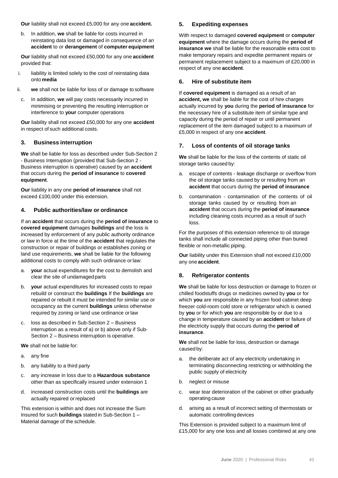**Our** liability shall not exceed £5,000 for any one **accident.**

b. In addition, **we** shall be liable for costs incurred in reinstating data lost or damaged in consequence of an **accident** to or **derangement** of **computer equipment**

**Our** liability shall not exceed £50,000 for any one **accident** provided that:

- i. liability is limited solely to the cost of reinstating data onto **media**
- ii. **we** shall not be liable for loss of or damage to software
- c. In addition, **we** will pay costs necessarily incurred in minimising or preventing the resulting interruption or interference to **your** computer operations

**Our** liability shall not exceed £50,000 for any one **accident** in respect of such additional costs.

### **3. Business interruption**

**We** shall be liable for loss as described under Sub-Section 2 - Business Interruption (provided that Sub-Section 2 - Business interruption is operative) caused by an **accident** that occurs during the **period of insurance** to **covered equipment**.

**Our** liability in any one **period of insurance** shall not exceed £100,000 under this extension.

### **4. Public authorities/law or ordinance**

If an **accident** that occurs during the **period of insurance** to **covered equipment** damages **buildings** and the loss is increased by enforcement of any public authority ordinance or law in force at the time of the **accident** that regulates the construction or repair of buildings or establishes zoning or land use requirements, **we** shall be liable for the following additional costs to comply with such ordinance orlaw:

- a. **your** actual expenditures for the cost to demolish and clear the site of undamagedparts
- b. **your** actual expenditures for increased costs to repair rebuild or construct the **buildings** If the **buildings** are repaired or rebuilt it must be intended for similar use or occupancy as the current **buildings** unless otherwise required by zoning or land use ordinance orlaw
- c. loss as described in Sub-Section 2 Business interruption as a result of a) or b) above only if Sub-Section 2 – Business interruption is operative.

**We** shall not be liable for:

- a. any fine
- b. any liability to a third party
- c. any increase in loss due to a **Hazardous substance** other than as specifically insured under extension 1
- d. increased construction costs until the **buildings** are actually repaired orreplaced

This extension is within and does not increase the Sum Insured for such **buildings** stated in Sub-Section 1 – Material damage of the schedule.

### **5. Expediting expenses**

With respect to damaged **covered equipment** or **computer equipment** where the damage occurs during the **period of insurance we** shall be liable for the reasonable extra cost to make temporary repairs and expedite permanent repairs or permanent replacement subject to a maximum of £20,000 in respect of any one **accident**.

### **6. Hire of substitute item**

If **covered equipment** is damaged as a result of an **accident, we** shall be liable for the cost of hire charges actually incurred by **you** during the **period of insurance** for the necessary hire of a substitute item of similar type and capacity during the period of repair or until permanent replacement of the item damaged subject to a maximum of £5,000 in respect of any one **accident**.

### **7. Loss of contents of oil storage tanks**

**We** shall be liable for the loss of the contents of static oil storage tanks caused by:

- a. escape of contents leakage discharge or overflow from the oil storage tanks caused by or resulting from an **accident** that occurs during the **period of insurance**
- b. contamination contamination of the contents of oil storage tanks caused by or resulting from an **accident** that occurs during the **period of insurance**  including cleaning costs incurred as a result of such loss.

For the purposes of this extension reference to oil storage tanks shall include all connected piping other than buried flexible or non-metallic piping.

**Our** liability under this Extension shall not exceed £10,000 any one **accident**.

### **8. Refrigerator contents**

**We** shall be liable for loss destruction or damage to frozen or chilled foodstuffs drugs or medicines owned by **you** or for which **you** are responsible in any frozen food cabinet deep freezer cold-room cold store or refrigerator which is owned by **you** or for which **you** are responsible by or due to a change in temperature caused by an **accident** or failure of the electricity supply that occurs during the **period of insurance**.

**We** shall not be liable for loss, destruction or damage caused by:

- a. the deliberate act of any electricity undertaking in terminating disconnecting restricting or withholding the public supply of electricity
- b. neglect or misuse
- c. wear tear deterioration of the cabinet or other gradually operating cause
- d. arising as a result of incorrect setting of thermostats or automatic controlling devices

This Extension is provided subject to a maximum limit of £15,000 for any one loss and all losses combined at any one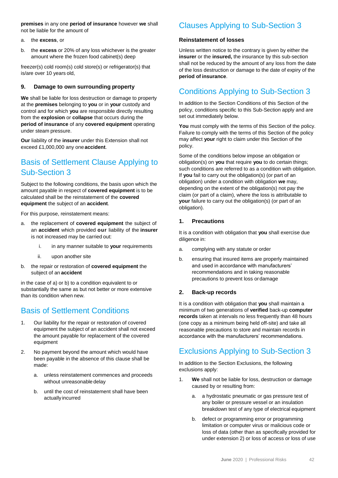**premises** in any one **period of insurance** however **we** shall not be liable for the amount of

- a. the **excess**, or
- b. the **excess** or 20% of any loss whichever is the greater amount where the frozen food cabinet(s) deep

freezer(s) cold room(s) cold store(s) or refrigerator(s) that is/are over 10 years old,

### **9. Damage to own surrounding property**

**We** shall be liable for loss destruction or damage to property at the **premises** belonging to **you** or in **your** custody and control and for which **you** are responsible directly resulting from the **explosion** or **collapse** that occurs during the **period of insurance** of any **covered equipment** operating under steam pressure.

**Our** liability of the **insurer** under this Extension shall not exceed £1,000,000 any one **accident**.

### Basis of Settlement Clause Applying to Sub-Section 3

Subject to the following conditions, the basis upon which the amount payable in respect of **covered equipment** is to be calculated shall be the reinstatement of the **covered equipment** the subject of an **accident**.

For this purpose, reinstatement means:

- a. the replacement of **covered equipment** the subject of an **accident** which provided **our** liability of the **insurer**  is not increased may be carried out:
	- i. in any manner suitable to **your** requirements
	- ii. upon another site
- b. the repair or restoration of **covered equipment** the subject of an **accident**

in the case of a) or b) to a condition equivalent to or substantially the same as but not better or more extensive than its condition when new.

### Basis of Settlement Conditions

- 1. Our liability for the repair or restoration of covered equipment the subject of an accident shall not exceed the amount payable for replacement of the covered equipment
- 2. No payment beyond the amount which would have been payable in the absence of this clause shall be made:
	- a. unless reinstatement commences and proceeds without unreasonable delay
	- b. until the cost of reinstatement shall have been actually incurred

### Clauses Applying to Sub-Section 3

### **Reinstatement of losses**

Unless written notice to the contrary is given by either the **insurer** or the **insured,** the insurance by this sub-section shall not be reduced by the amount of any loss from the date of the loss destruction or damage to the date of expiry of the **period of insurance**.

### Conditions Applying to Sub-Section 3

In addition to the Section Conditions of this Section of the policy, conditions specific to this Sub-Section apply and are set out immediately below.

**You** must comply with the terms of this Section of the policy. Failure to comply with the terms of this Section of the policy may affect **your** right to claim under this Section of the policy.

Some of the conditions below impose an obligation or obligation(s) on **you** that require **you** to do certain things; such conditions are referred to as a condition with obligation. If **you** fail to carry out the obligation(s) (or part of an obligation) under a condition with obligation **we** may, depending on the extent of the obligation(s) not pay the claim (or part of a claim), where the loss is attributable to **your** failure to carry out the obligation(s) (or part of an obligation).

### **1. Precautions**

It is a condition with obligation that **you** shall exercise due diligence in:

- a. complying with any statute or order
- b. ensuring that insured items are properly maintained and used in accordance with manufacturers' recommendations and in taking reasonable precautions to prevent loss ordamage

### **2. Back-up records**

It is a condition with obligation that **you** shall maintain a minimum of two generations of **verified** back-up **computer records** taken at intervals no less frequently than 48 hours (one copy as a minimum being held off-site) and take all reasonable precautions to store and maintain records in accordance with the manufacturers' recommendations.

### Exclusions Applying to Sub-Section 3

In addition to the Section Exclusions, the following exclusions apply:

- 1. **We** shall not be liable for loss, destruction or damage caused by or resulting from:
	- a. a hydrostatic pneumatic or gas pressure test of any boiler or pressure vessel or an insulation breakdown test of any type of electrical equipment
	- b. defect or programming error or programming limitation or computer virus or malicious code or loss of data (other than as specifically provided for under extension 2) or loss of access or loss of use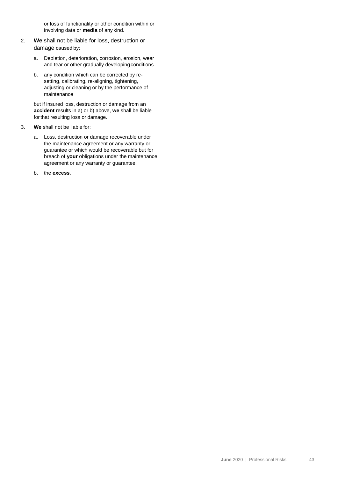or loss of functionality or other condition within or involving data or **media** of any kind.

- 2. **We** shall not be liable for loss, destruction or damage caused by:
	- a. Depletion, deterioration, corrosion, erosion, wear and tear or other gradually developing conditions
	- b. any condition which can be corrected by resetting, calibrating, re-aligning, tightening, adjusting or cleaning or by the performance of maintenance

but if insured loss, destruction or damage from an **accident** results in a) or b) above, **we** shall be liable forthat resulting loss or damage.

- 3. **We** shall not be liable for:
	- a. Loss, destruction or damage recoverable under the maintenance agreement or any warranty or guarantee or which would be recoverable but for breach of **your** obligations under the maintenance agreement or any warranty or guarantee.
	- b. the **excess**.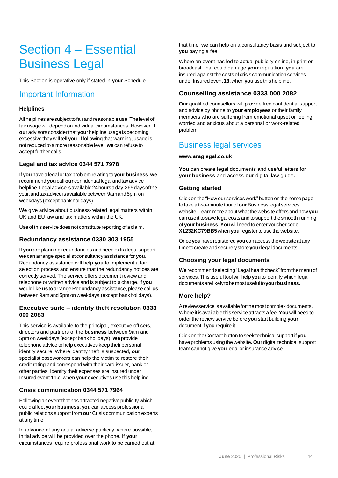## Section 4 – Essential Business Legal

This Section is operative only if stated in **your** Schedule.

### Important Information

### **Helplines**

All helplines are subject to fair and reasonable use. The level of fair usage will depend on individual circumstances. However, if **our** advisors considerthat **you**r helpline usage is becoming excessive theywill tell **you**. If following that warning, usage is not reduced to a more reasonable level, **we** can refuse to accept further calls.

### **Legal and tax advice 0344 571 7978**

If **you**have a legal ortaxproblem relating to **yourbusiness**,**we** recommend **you**call **our** confidential legal andtaxadvice helpline.Legaladviceisavailable24hoursaday,365daysofthe year,andtaxadviceisavailablebetween9amand5pm on weekdays (except bank holidays).

**We** give advice about business-related legal matters within UK and EU law and tax matters within the UK.

Use of this service does not constitute reporting of a claim.

### **Redundancy assistance 0330 303 1955**

If **you** are planning redundancies and need extra legal support, **we** can arrange specialist consultancy assistance for **you**. Redundancy assistance will help **you** to implement a fair selection process and ensure that the redundancy notices are correctly served. The service offers document review and telephone or written advice and is subject to a charge. If **you** would like **us** to arrange Redundancy assistance, please call **us** between 9am and 5pm on weekdays (except bankholidays).

### **Executive suite – identity theft resolution 0333 000 2083**

This service is available to the principal, executive officers, directors and partners of the **business** between 9am and 5pm on weekdays (except bank holidays). **We** provide telephone advice to help executives keep their personal identity secure. Where identity theft is suspected, **our**  specialist caseworkers can help the victim to restore their credit rating and correspond with their card issuer, bank or other parties. Identity theft expenses are insured under Insured event **11.**c. when **your** executives use this helpline.

### **Crisis communication 0344 571 7964**

Following an event that has attracted negative publicity which could affect **your business**, **you**can access professional public relations support from **our** Crisis communication experts at any time.

In advance of any actual adverse publicity, where possible, initial advice will be provided over the phone. If **your**  circumstances require professional work to be carried out at

that time, **we** can help on a consultancy basis and subject to **you** paying a fee.

Where an event has led to actual publicity online, in print or broadcast, that could damage **your** reputation, **you** are insured against the costs of crisis communication services underInsured event**13.** when **you**usethis helpline.

### **Counselling assistance 0333 000 2082**

**Our** qualified counsellors will provide free confidential support and advice by phone to **your employees** or their family members who are suffering from emotional upset or feeling worried and anxious about a personal or work-related problem.

### Business legal services

### **[www.araglegal.co.uk](http://www.araglegal.co.uk/)**

**You** can create legal documents and useful letters for **your business** and access **our** digital law guide**.**

### **Getting started**

Click on the "How our services work" button on the home page to take a two-minute tour of **our**Business legal services website. Learn more about what the website offers and how **you** can use it tosave legal costs and to support the smooth running of **your business**.**You** will need to enter voucher code **X1232KC79BB5**when **you** registerto use the website.

Once**you**haveregistered **you**canaccessthewebsiteatany timetocreateandsecurelystore**your**legaldocuments.

### **Choosing your legal documents**

**We** recommend selecting "Legal healthcheck"from themenu of services.This useful tool will help **you**to identify which legal documentsarelikelytobemostusefulto**yourbusiness.**

### **More help?**

A review service is available for the most complex documents. Whereitis available this serviceattracts afee.**You**will need to order the review service before **you** start building **your** document if **you** require it.

Click on the Contact button to seek technical support if **you** have problems using the website**. Our** digital technical support team cannot give **you** legal or insurance advice.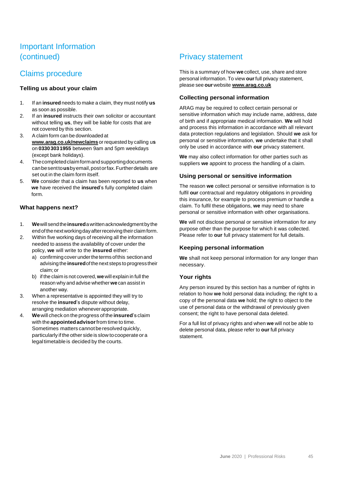### Important Information (continued)

### Claims procedure

### **Telling us about your claim**

- 1. If an **insured**needs to make a claim, they must notify **us** as soon as possible.
- 2. If an **insured** instructs their own solicitor or accountant without telling **us**, they will be liable for costs that are not covered by this section.
- 3. Aclaim form can be downloaded at **[www.arag.co.uk/newclaims](http://www.arag.co.uk/newclaims)** or requested by calling u**s** on **03303031955** between 9am and 5pm weekdays (except bank holidays).
- 4. Thecompletedclaimformandsupportingdocuments canbesentto**us**byemail,postorfax.Furtherdetails are set out in the claim form itself.
- 5. **We** consider that a claim has been reported to **us** when **we** have received the **insured**'s fully completed claim form.

### **What happens next?**

- 1. **We**will sendthe**insured**awrittenacknowledgmentby the endofthenextworkingdayafterreceiving theirclaimform.
- 2. Within five working days of receiving all the information needed to assess the availability of cover under the policy, **we** will write to the **insured** either:
	- a) confirming cover under the terms of this section and advising the**insured**ofthenext steps toprogress their claim;or
	- b) if the claim is not covered, **we**will explain in full the reason why and advise whether**we**can assist in another way.
- 3. When a representative is appointed they will try to resolve the **insured**'s dispute without delay, arranging mediation wheneverappropriate.
- 4. **We**will check on the progress of the **insured**'s claim with the **appointedadvisor**from time to time. Sometimes matters cannot be resolved quickly, particularly if the other side is slow to cooperate or a legaltimetable is decided by the courts.

### Privacy statement

This is a summary of how **we** collect, use, share and store personal information. To view **our**full privacy statement, please see **our**website **[www.arag.co.uk](http://www.arag.co.uk/)**

### **Collecting personal information**

ARAG may be required to collect certain personal or sensitive information which may include name, address, date of birth and if appropriate medical information. **We** will hold and process this information in accordance with all relevant data protection regulations and legislation. Should **we** ask for personal or sensitive information, **we** undertake that it shall only be used in accordance with **our** privacy statement.

**We** may also collect information for other parties such as suppliers **we** appoint to process the handling of a claim.

### **Using personal or sensitive information**

The reason **we** collect personal or sensitive information is to fulfil **our** contractual and regulatory obligations in providing this insurance, for example to process premium or handle a claim. To fulfil these obligations, **we** may need to share personal or sensitive information with other organisations.

**We** will not disclose personal or sensitive information for any purpose other than the purpose for which it was collected. Please refer to **our** full privacy statement for full details.

### **Keeping personal information**

**We** shall not keep personal information for any longer than necessary.

### **Your rights**

Any person insured by this section has a number of rights in relation to how **we** hold personal data including; the right to a copy of the personal data **we** hold; the right to object to the use of personal data or the withdrawal of previously given consent; the right to have personal data deleted.

For a full list of privacy rights and when **we** will not be able to delete personal data, please refer to **our** full privacy statement.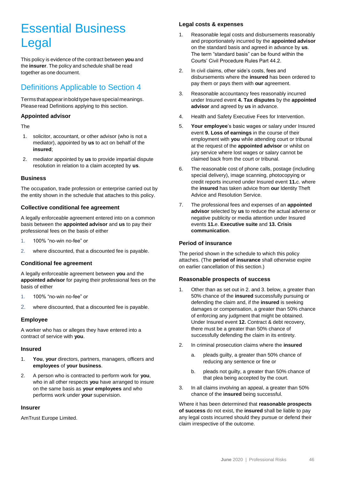## Essential Business Legal

This policy is evidence of the contract between **you** and the **insurer**. The policy and schedule shall be read together as one document.

### Definitions Applicable to Section 4

Termsthatappearinboldtypehavespecialmeanings. Please read Definitions applying to this section.

### **Appointed advisor**

The

- 1. solicitor, accountant, or other advisor (who is not a mediator), appointed by **us** to act on behalf of the **insured**;
- 2. mediator appointed by **us** to provide impartial dispute resolution in relation to a claim accepted by **us**.

### **Business**

The occupation, trade profession or enterprise carried out by the entity shown in the schedule that attaches to this policy.

### **Collective conditional fee agreement**

A legally enforceable agreement entered into on a common basis between the **appointed advisor** and **us** to pay their professional fees on the basis of either

- 1. 100% "no-win no-fee" or
- 2. where discounted, that a discounted fee is payable.

### **Conditional fee agreement**

A legally enforceable agreement between **you** and the **appointed advisor** for paying their professional fees on the basis of either

- 1. 100% "no-win no-fee" or
- 2. where discounted, that a discounted fee is payable.

### **Employee**

A worker who has or alleges they have entered into a contract of service with **you**.

### **Insured**

- 1. **You**, **your** directors, partners, managers, officers and **employees** of **your business**.
- 2. A person who is contracted to perform work for **you**, who in all other respects **you** have arranged to insure on the same basis as **your employees** and who performs work under **your** supervision.

### **Insurer**

AmTrust Europe Limited.

### **Legal costs & expenses**

- 1. Reasonable legal costs and disbursements reasonably and proportionately incurred by the **appointed advisor** on the standard basis and agreed in advance by **us**. The term "standard basis" can be found within the Courts' Civil Procedure Rules Part 44.2.
- 2. In civil claims, other side's costs, fees and disbursements where the **insured** has been ordered to pay them or pays them with **our** agreement.
- 3. Reasonable accountancy fees reasonably incurred under Insured event **4. Tax disputes** by the **appointed advisor** and agreed by **us** in advance.
- 4. Health and Safety Executive Fees for Intervention.
- 5. **Your employee**'s basic wages or salary under Insured event **9. Loss of earnings** in the course of their employment with **you** while attending court or tribunal at the request of the **appointed advisor** or whilst on jury service where lost wages or salary cannot be claimed back from the court or tribunal.
- 6. The reasonable cost of phone calls, postage (including special delivery), image scanning, photocopying or credit reports incurred under Insured event **11.**c. where the **insured** has taken advice from **our** Identity Theft Advice and Resolution Service.
- 7. The professional fees and expenses of an **appointed advisor** selected by **us** to reduce the actual adverse or negative publicity or media attention under Insured events **11.**e. **Executive suite** and **13. Crisis communication**.

### **Period of insurance**

The period shown in the schedule to which this policy attaches. (The **period of insurance** shall otherwise expire on earlier cancellation of this section.)

### **Reasonable prospects of success**

- Other than as set out in 2. and 3. below, a greater than 50% chance of the **insured** successfully pursuing or defending the claim and, if the **insured** is seeking damages or compensation, a greater than 50% chance of enforcing any judgment that might be obtained. Under Insured event **12.** Contract & debt recovery, there must be a greater than 50% chance of successfully defending the claim in its entirety.
- 2. In criminal prosecution claims where the **insured**
	- a. pleads guilty, a greater than 50% chance of reducing any sentence or fine or
	- b. pleads not guilty, a greater than 50% chance of that plea being accepted by the court.
- 3. In all claims involving an appeal, a greater than 50% chance of the **insured** being successful.

Where it has been determined that **reasonable prospects of success** do not exist, the **insured** shall be liable to pay any legal costs incurred should they pursue or defend their claim irrespective of the outcome.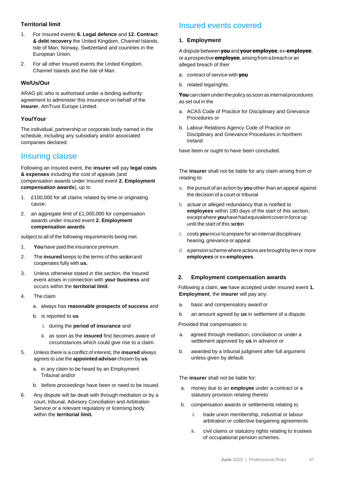### **Territorial limit**

- 1. For Insured events **6. Legal defence** and **12. Contract & debt recovery** the United Kingdom, Channel Islands, Isle of Man, Norway, Switzerland and countries in the European Union.
- 2. For all other Insured events the United Kingdom, Channel Islands and the Isle of Man.

### **We/Us/Our**

ARAG plc who is authorised under a binding authority agreement to administer this insurance on behalf of the **insurer**, AmTrust Europe Limited.

### **You/Your**

The individual, partnership or corporate body named in the schedule, including any subsidiary and/or associated companies declared.

### Insuring clause

Following an Insured event, the **insurer** will pay **legal costs & expenses** including the cost of appeals (and compensation awards under Insured event **2. Employment compensation awards**), up to

- 1. £100,000 for all claims related by time or originating cause;
- 2. an aggregate limit of £1,000,000 for compensation awards under Insured event **2. Employment compensation awards**

subject to all of the following requirements being met.

- 1. **You** have paid the insurance premium.
- 2. The **insured** keeps to the terms of this sectionand cooperates fully with **us.**
- 3. Unless otherwise stated in this section, the Insured event arises in connection with **your business** and occurs within the **territorial limit**.
- 4. The claim
	- a. always has **reasonable prospects of success** and
	- b. is reported to **us**
		- i. during the **period of insurance** and
		- ii. as soon as the **insured** first becomes aware of circumstances which could give rise to a claim.
- 5. Unless there is a conflict of interest, the **insured** always agrees to use the **appointed advisor** chosen by **us**
	- a. in any claim to be heard by an Employment Tribunal and/or
	- b. before proceedings have been or need to be issued.
- 6. Any dispute will be dealt with through mediation or by a court, tribunal, Advisory Conciliation and Arbitration Service or a relevant regulatory or licensing body within the **territorial limit.**

### Insured events covered

### **1. Employment**

Adispute between **you**and **your employee**, ex-**employee**, or a prospective **employee**, arising from a breach or an alleged breach of their

- a. contract of service with **you**
- b. related legal rights.

You can claim under the policy as soon as internal procedures as set out in the

- a. ACAS Code of Practice for Disciplinary and Grievance Procedures or
- b. Labour Relations Agency Code of Practice on Disciplinary and Grievance Procedures in Northern Ireland

have been or ought to have been concluded.

The **insurer** shall not be liable for any claim arising from or relating to:

- a. the pursuit of an action by **you**other than an appeal against the decision of a court or tribunal
- b. actual or alleged redundancy that is notified to **employees** within 180 days of the start of this section, exceptwhere **you**havehadequivalentcoverinforceup until the start of this section
- c. costs **you**incurto prepare for an internal disciplinary hearing, grievance or appeal
- d. apensionschemewhereactions are broughtby tenor more **employees** or ex**-employees**.

### **2. Employment compensation awards**

 Following a claim, **we** have accepted under insured event **1. Employment**, the **insurer** will pay any:

- a. basic and compensatory award or
- b. an amount agreed by **us** in settlement of a dispute.

Provided that compensation is:

- a. agreed through mediation, conciliation or under a settlement approved by **us** in advance or
- b. awarded by a tribunal judgment after full argument unless given by default.

The **insurer** shall not be liable for:

- a. money due to an **employee** under a contract or a statutory provision relating thereto
- b. compensation awards or settlements relating to
	- i. trade union membership, industrial or labour arbitration or collective bargaining agreements
	- ii. civil claims or statutory rights relating to trustees of occupational pension schemes.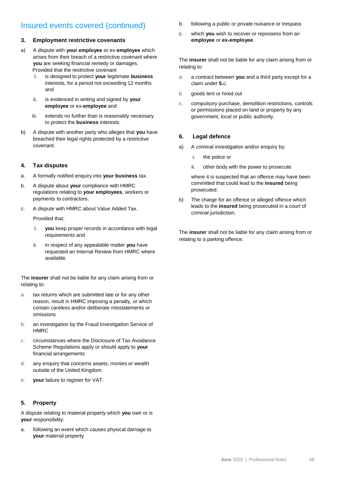### Insured events covered (continued)

### **3. Employment restrictive covenants**

- a) A dispute with **your employee** or ex-**employee** which arises from their breach of a restrictive covenant where **you** are seeking financial remedy or damages. Provided that the restrictive covenant
	- i. is designed to protect **your** legitimate **business**  interests, for a period not exceeding 12 months and
	- ii. is evidenced in writing and signed by **your employee** or ex-**employee** and
	- iii. extends no further than is reasonably necessary to protect the **business** interests.
- b) A dispute with another party who alleges that **you** have breached their legal rights protected by a restrictive covenant.

### **4. Tax disputes**

- a. A formally notified enquiry into **your business** tax.
- b. A dispute about **your** compliance with HMRC regulations relating to **your employees**, workers or payments to contractors.
- c. A dispute with HMRC about Value Added Tax.

Provided that:

- i. **you** keep proper records in accordance with legal requirements and
- ii. in respect of any appealable matter **you** have requested an Internal Review from HMRC where available.

The **insurer** shall not be liable for any claim arising from or relating to:

- a. tax returns which are submitted late or for any other reason, result in HMRC imposing a penalty, or which contain careless and/or deliberate misstatements or omissions
- b. an investigation by the Fraud Investigation Service of HMRC
- c. circumstances where the Disclosure of Tax Avoidance Scheme Regulations apply or should apply to **your**  financial arrangements
- d. any enquiry that concerns assets, monies or wealth outside of the United Kingdom
- e. **your** failure to register for VAT.

### **5. Property**

A dispute relating to material property which **you** own or is **your** responsibility:

a. following an event which causes physical damage to **your** material property

- b. following a public or private nuisance or trespass
- c. which **you** wish to recover or repossess from an **employee** or **ex-employee**.

The **insurer** shall not be liable for any claim arising from or relating to:

- a. a contract between **you** and a third party except for a claim under **5.**c.
- b. goods lent or hired out
- c. compulsory purchase, demolition restrictions, controls or permissions placed on land or property by any government, local or public authority.

### **6. Legal defence**

- a) A criminal investigation and/or enquiry by:
	- i. the police or
	- ii. other body with the power to prosecute

where it is suspected that an offence may have been committed that could lead to the **insured** being prosecuted.

b) The charge for an offence or alleged offence which leads to the **insured** being prosecuted in a court of criminal jurisdiction.

The **insurer** shall not be liable for any claim arising from or relating to a parking offence.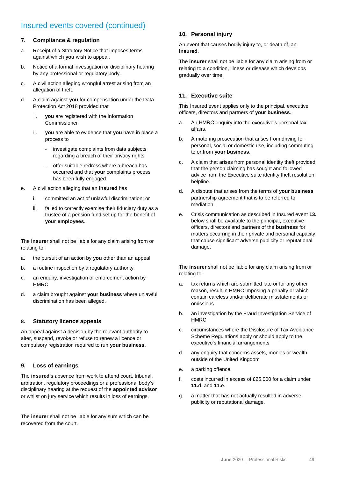### Insured events covered (continued)

### **7. Compliance & regulation**

- a. Receipt of a Statutory Notice that imposes terms against which **you** wish to appeal.
- b. Notice of a formal investigation or disciplinary hearing by any professional or regulatory body.
- c. A civil action alleging wrongful arrest arising from an allegation of theft.
- d. A claim against **you** for compensation under the Data Protection Act 2018 provided that
	- i. **you** are registered with the Information Commissioner
	- ii. **you** are able to evidence that **you** have in place a process to
		- investigate complaints from data subjects regarding a breach of their privacy rights
		- offer suitable redress where a breach has occurred and that **your** complaints process has been fully engaged.
- e. A civil action alleging that an **insured** has
	- i. committed an act of unlawful discrimination; or
	- ii. failed to correctly exercise their fiduciary duty as a trustee of a pension fund set up for the benefit of **your employees**.

The **insurer** shall not be liable for any claim arising from or relating to:

- a. the pursuit of an action by **you** other than an appeal
- b. a routine inspection by a regulatory authority
- c. an enquiry, investigation or enforcement action by **HMRC**
- d. a claim brought against **your business** where unlawful discrimination has been alleged.

### **8. Statutory licence appeals**

An appeal against a decision by the relevant authority to alter, suspend, revoke or refuse to renew a licence or compulsory registration required to run **your business**.

### **9. Loss of earnings**

The **insured**'s absence from work to attend court, tribunal, arbitration, regulatory proceedings or a professional body's disciplinary hearing at the request of the **appointed advisor** or whilst on jury service which results in loss of earnings.

The **insurer** shall not be liable for any sum which can be recovered from the court.

### **10. Personal injury**

An event that causes bodily injury to, or death of, an **insured**.

The **insurer** shall not be liable for any claim arising from or relating to a condition, illness or disease which develops gradually over time.

### **11. Executive suite**

This Insured event applies only to the principal, executive officers, directors and partners of **your business**.

- a. An HMRC enquiry into the executive's personal tax affairs.
- b. A motoring prosecution that arises from driving for personal, social or domestic use, including commuting to or from **your business**.
- c. A claim that arises from personal identity theft provided that the person claiming has sought and followed advice from the Executive suite identity theft resolution helpline.
- d. A dispute that arises from the terms of **your business** partnership agreement that is to be referred to mediation.
- e. Crisis communication as described in Insured event **13.** below shall be available to the principal, executive officers, directors and partners of the **business** for matters occurring in their private and personal capacity that cause significant adverse publicity or reputational damage.

The **insurer** shall not be liable for any claim arising from or relating to:

- a. tax returns which are submitted late or for any other reason, result in HMRC imposing a penalty or which contain careless and/or deliberate misstatements or omissions
- b. an investigation by the Fraud Investigation Service of HMRC
- c. circumstances where the Disclosure of Tax Avoidance Scheme Regulations apply or should apply to the executive's financial arrangements
- d. any enquiry that concerns assets, monies or wealth outside of the United Kingdom
- e. a parking offence
- f. costs incurred in excess of £25,000 for a claim under **11.**d. and **11.**e.
- g. a matter that has not actually resulted in adverse publicity or reputational damage.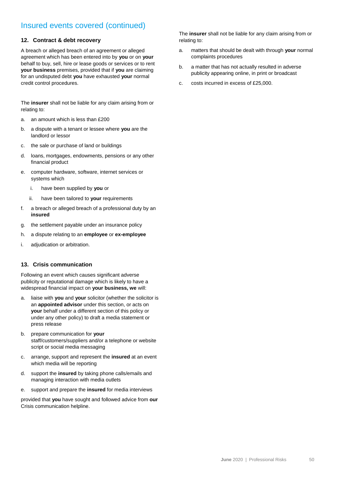### Insured events covered (continued)

### **12. Contract & debt recovery**

A breach or alleged breach of an agreement or alleged agreement which has been entered into by **you** or on **your**  behalf to buy, sell, hire or lease goods or services or to rent **your business** premises, provided that if **you** are claiming for an undisputed debt **you** have exhausted **your** normal credit control procedures.

The **insurer** shall not be liable for any claim arising from or relating to:

- a. an amount which is less than £200
- b. a dispute with a tenant or lessee where **you** are the landlord or lessor
- c. the sale or purchase of land or buildings
- d. loans, mortgages, endowments, pensions or any other financial product
- e. computer hardware, software, internet services or systems which
	- i. have been supplied by **you** or
	- ii. have been tailored to **your** requirements
- f. a breach or alleged breach of a professional duty by an **insured**
- g. the settlement payable under an insurance policy
- h. a dispute relating to an **employee** or **ex-employee**
- i. adjudication or arbitration.

### **13. Crisis communication**

Following an event which causes significant adverse publicity or reputational damage which is likely to have a widespread financial impact on **your business, we** will:

- a. liaise with **you** and **your** solicitor (whether the solicitor is an **appointed advisor** under this section, or acts on **your** behalf under a different section of this policy or under any other policy) to draft a media statement or press release
- b. prepare communication for **your**  staff/customers/suppliers and/or a telephone or website script or social media messaging
- c. arrange, support and represent the **insured** at an event which media will be reporting
- d. support the **insured** by taking phone calls/emails and managing interaction with media outlets
- e. support and prepare the **insured** for media interviews

provided that **you** have sought and followed advice from **our**  Crisis communication helpline.

The **insurer** shall not be liable for any claim arising from or relating to:

- a. matters that should be dealt with through **your** normal complaints procedures
- b. a matter that has not actually resulted in adverse publicity appearing online, in print or broadcast
- c. costs incurred in excess of £25,000.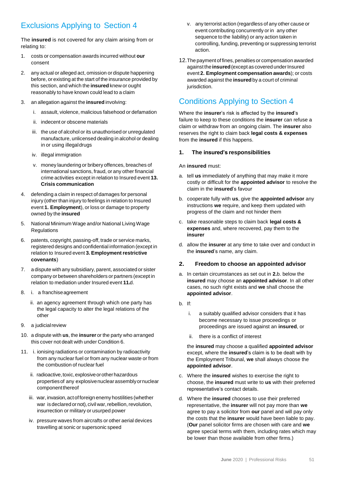### Exclusions Applying to Section 4

The **insured** is not covered for any claim arising from or relating to:

- 1. costs or compensation awards incurred without **our** consent
- 2. any actual or alleged act, omission or dispute happening before, or existing at the start of the insurance provided by this section, and which the **insured** knew or ought reasonably to have known could lead to a claim
- 3. an allegation against the **insured** involving:
	- i. assault, violence, malicious falsehood or defamation
	- ii. indecent or obscene materials
	- iii. the use of alcohol or its unauthorised or unregulated manufacture, unlicensed dealing in alcohol or dealing in or using illegaldrugs
	- iv. illegal immigration
	- v. money laundering or bribery offences, breaches of international sanctions, fraud, or any other financial crime activities except in relation to Insured event **13. Crisis communication**
- 4. defending a claim in respect of damages for personal injury (other than injury to feelings in relation to Insured event **1. Employment**), or loss or damage to property owned by the **insured**
- 5. National Minimum Wage and/or National Living Wage **Regulations**
- 6. patents, copyright, passing-off, trade or service marks, registered designs and confidential information (except in relation to Insured event **3. Employment restrictive covenants**)
- 7. a dispute with any subsidiary, parent, associated or sister company or between shareholders or partners (except in relation to mediation under Insured event **11.**d.
- 8. i. a franchiseagreement
	- ii. an agency agreement through which one party has the legal capacity to alter the legal relations of the other
- 9. a judicialreview
- 10. a dispute with **us**, the **insurer** or the party who arranged this cover not dealt with under Condition 6.
- 11. i. ionising radiations or contamination by radioactivity from any nuclear fuel or from any nuclear waste or from the combustion of nuclear fuel
	- ii. radioactive, toxic, explosive or other hazardous propertiesof any explosivenuclearassemblyornuclear componentthereof
	- iii. war, invasion, act of foreign enemy hostilities (whether war is declared or not), civil war, rebellion, revolution, insurrection or military or usurped power
	- iv. pressure waves from aircrafts or other aerial devices travelling at sonic or supersonic speed
- v. any terrorist action (regardless of any other cause or event contributing concurrently or in any other sequence to the liability) or any action taken in controlling, funding, preventing or suppressing terrorist action.
- 12. The payment of fines, penalties or compensation awarded against the **insured** (except as covered under Insured event **2. Employment compensation awards**); or costs awarded against the **insured** by a court of criminal jurisdiction.

### Conditions Applying to Section 4

Where the **insurer**'s risk is affected by the **insured**'s failure to keep to these conditions the **insurer** can refuse a claim or withdraw from an ongoing claim. The **insurer** also reserves the right to claim back **legal costs & expenses** from the **insured** if this happens.

### **1. The insured's responsibilities**

#### An **insured** must:

- a. tell **us** immediately of anything that may make it more costly or difficult for the **appointed advisor** to resolve the claim in the **insured**'s favour
- b. cooperate fully with **us**, give the **appointed advisor** any instructions **we** require, and keep them updated with progress of the claim and not hinder them
- c. take reasonable steps to claim back **legal costs & expenses** and, where recovered, pay them to the **insurer**
- d. allow the **insurer** at any time to take over and conduct in the **insured**'s name, any claim.

### **2. Freedom to choose an appointed advisor**

- a. In certain circumstances as set out in **2.**b. below the **insured** may choose an **appointed advisor**. In all other cases, no such right exists and **we** shall choose the **appointed advisor**.
- b. If:
	- i. a suitably qualified advisor considers that it has become necessary to issue proceedings or proceedings are issued against an **insured**, or
	- ii. there is a conflict of interest

the **insured** may choose a qualified **appointed advisor** except, where the **insured**'s claim is to be dealt with by the Employment Tribunal, **we** shall always choose the **appointed advisor**.

- c. Where the **insured** wishes to exercise the right to choose, the **insured** must write to **us** with their preferred representative's contact details.
- d. Where the **insured** chooses to use their preferred representative, the **insurer** will not pay more than **we**  agree to pay a solicitor from **our** panel and will pay only the costs that the **insurer** would have been liable to pay. (**Our** panel solicitor firms are chosen with care and **we** agree special terms with them, including rates which may be lower than those available from other firms.)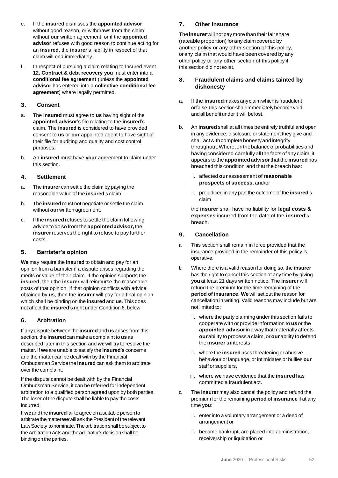- e. If the **insured** dismisses the **appointed advisor** without good reason, or withdraws from the claim without **our** written agreement, or if the **appointed advisor** refuses with good reason to continue acting for an **insured**, the **insurer**'s liability in respect of that claim will end immediately.
- f. In respect of pursuing a claim relating to Insured event **12. Contract & debt recovery you** must enter into a **conditional fee agreement** (unless the **appointed advisor** has entered into a **collective conditional fee agreement**) where legally permitted.

### **3. Consent**

- a. The **insured** must agree to **us** having sight of the **appointed advisor**'s file relating to the **insured**'s claim. The **insured** is considered to have provided consent to **us** or **our** appointed agent to have sight of their file for auditing and quality and cost control purposes.
- b. An **insured** must have **your** agreement to claim under this section.

### **4. Settlement**

- a. The **insurer** can settle the claim by paying the reasonable value of the **insured**'s claim.
- b. The **insured** must not negotiate or settle the claim without **our** written agreement.
- c. If the **insured**refuses to settle the claim following advice to do so from the **appointedadvisor,**the **insurer**reserves the right to refuse to pay further costs.

### **5. Barrister's opinion**

**We** may require the **insured** to obtain and pay for an opinion from a barrister if a dispute arises regarding the merits or value of their claim. If the opinion supports the **insured**, then the **insurer** will reimburse the reasonable costs of that opinion. If that opinion conflicts with advice obtained by **us**, then the **insurer** will pay for a final opinion which shall be binding on the **insured** and **us**. This does not affect the **insured**'s right under Condition 6. below.

### **6. Arbitration**

If any dispute between the **insured** and **us** arises from this section, the **insured**can make a complaint to **us**as described later in this section and **we** will try to resolve the matter. If **we** are unable to satisfy the **insured**'s concerns and the matter can be dealt with by the Financial Ombudsman Service the **insured** can ask them to arbitrate over the complaint.

If the dispute cannot be dealt with by the Financial Ombudsman Service, it can be referred for independent arbitration to a qualified person agreed upon by both parties. The loser of the dispute shall be liable to pay the costs incurred.

If**we**and the **insured**failtoagreeonasuitablepersonto arbitrate the matter we will ask the President of the relevant Law Society to nominate. The arbitration shall be subject to the Arbitration Acts and the arbitrator's decision shall be binding on the parties.

### **7. Other insurance**

The**insurer**willnotpaymorethantheirfairshare (rateable proportion) for any claim covered by another policy or any other section of this policy, orany claim that would have been covered by any other policy or any other section of this policy if this section did not exist.

### **8. Fraudulent claims and claims tainted by dishonesty**

- a. If the **insured**makesanyclaimwhichis fraudulent orfalse, this section shall immediately become void andallbenefitunderit will belost.
- b. An **insured** shall at all times be entirely truthful and open in any evidence, disclosure or statement they give and shall act with complete honesty and integrity throughout.Where,onthebalanceofprobabilitiesand havingconsidered carefully all the facts of any claim, it appears to the **appointedadvisor**that the **insured**has breached this condition and that the breach has:
	- i. affected **our** assessment of**reasonable prospects of success**, and/or
	- ii. prejudiced in any part the outcome of the **insured**'s claim

the **insurer** shall have no liability for **legal costs & expenses** incurred from the date of the **insured**'s breach.

### **9. Cancellation**

- a. This section shall remain in force provided that the insurance provided in the remainder of this policy is operative.
- b. Where there is a valid reason for doing so, the **insurer** has the right to cancel this section at any time by giving **you** at least 21 days written notice. The **insurer** will refund the premium for the time remaining of the **period of insurance**. **We** will set out the reason for cancellation in writing. Valid reasons may include but are not limited to:
	- i. where the party claiming under this section fails to cooperate with or provide information to **us** or the **appointed advisor**in a way thatmaterially affects **our**ability to process a claim, or**our**ability to defend the **insurer**'s interests,
	- ii. where the **insured** uses threatening or abusive behaviour or language, or intimidates or bullies **our** staff or suppliers,
	- iii. where **we** have evidence that the **insured** has committed a fraudulent act.
- c. The **insurer** may also cancel the policy and refund the premium for the remaining **period of insurance** if at any time **you**:
	- i. enter into a voluntary arrangement or a deed of arrangement or
	- ii. become bankrupt, are placed into administration, receivership or liquidation or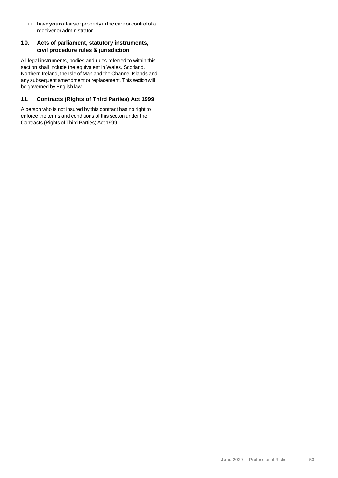iii. have**your**affairsorproperty inthecareorcontrolofa receiver oradministrator.

### **10. Acts of parliament, statutory instruments, civil procedure rules & jurisdiction**

All legal instruments, bodies and rules referred to within this section shall include the equivalent in Wales, Scotland, Northern Ireland, the Isle of Man and the Channel Islands and any subsequent amendment or replacement. This section will be governed by English law.

### **11. Contracts (Rights of Third Parties) Act 1999**

A person who is not insured by this contract has no right to enforce the terms and conditions of this section under the Contracts (Rights of Third Parties) Act 1999.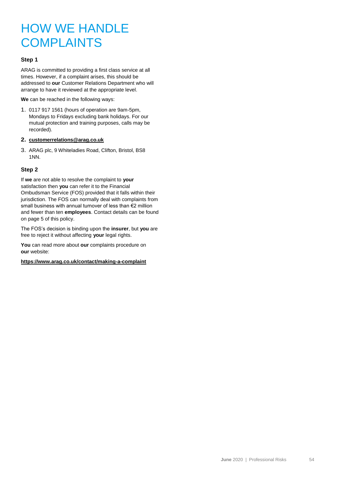## HOW WE HANDLE **COMPLAINTS**

### **Step 1**

ARAG is committed to providing a first class service at all times. However, if a complaint arises, this should be addressed to **our** Customer Relations Department who will arrange to have it reviewed at the appropriate level.

**We** can be reached in the following ways:

- 1. 0117 917 1561 (hours of operation are 9am-5pm, Mondays to Fridays excluding bank holidays. For our mutual protection and training purposes, calls may be recorded).
- **2. [customerrelations@arag.co.uk](mailto:customerrelations@arag.co.uk)**
- 3. ARAG plc, 9 Whiteladies Road, Clifton, Bristol, BS8 1NN.

### **Step 2**

If **we** are not able to resolve the complaint to **your** satisfaction then **you** can refer it to the Financial Ombudsman Service (FOS) provided that it falls within their jurisdiction. The FOS can normally deal with complaints from small business with annual turnover of less than €2 million and fewer than ten **employees**. Contact details can be found on page 5 of this policy.

The FOS's decision is binding upon the **insurer**, but **you** are free to reject it without affecting **your** legal rights.

**You** can read more about **our** complaints procedure on **our** website:

**<https://www.arag.co.uk/contact/making-a-complaint>**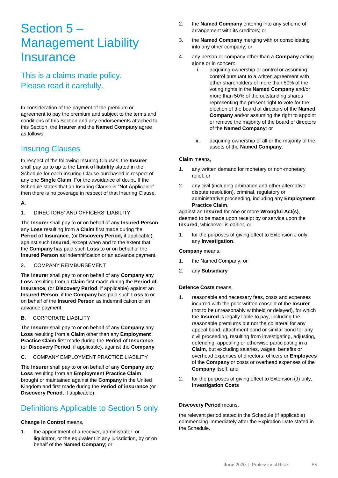## Section 5 – Management Liability **Insurance**

This is a claims made policy. Please read it carefully.

In consideration of the payment of the premium or agreement to pay the premium and subject to the terms and conditions of this Section and any endorsements attached to this Section, the **Insurer** and the **Named Company** agree as follows:

### Insuring Clauses

In respect of the following Insuring Clauses, the **Insurer** shall pay up to up to the **Limit of liability** stated in the Schedule for each Insuring Clause purchased in respect of any one **Single Claim**. For the avoidance of doubt, If the Schedule states that an Insuring Clause is "Not Applicable" then there is no coverage in respect of that Insuring Clause.

### **A.**

### 1. DIRECTORS' AND OFFICERS' LIABILITY

The **Insurer** shall pay to or on behalf of any **Insured Person** any **Loss** resulting from a **Claim** first made during the **Period of Insurance**, (or **Discovery Period,** if applicable), against such **Insured**, except when and to the extent that the **Company** has paid such **Loss** to or on behalf of the **Insured Person** as indemnification or an advance.payment.

### 2. COMPANY REIMBURSEMENT

The **Insurer** shall pay to or on behalf of any **Company** any **Loss** resulting from a **Claim** first made during the **Period of Insurance**, (or **Discovery Period**, if applicable) against an **Insured Person**, if the **Company** has paid such **Loss** to or on behalf of the **Insured Person** as indemnification or an advance payment.

**B.** CORPORATE LIABILITY

The **Insurer** shall pay to or on behalf of any **Company** any **Loss** resulting from a **Claim** other than any **Employment Practice Claim** first made during the **Period of Insurance**, (or **Discovery Period**, if applicable), against the **Company**.

**C.** COMPANY EMPLOYMENT PRACTICE LIABILITY

The **Insurer** shall pay to or on behalf of any **Company** any **Loss** resulting from an **Employment Practice Claim** brought or maintained against the **Company** in the United Kingdom and first made during the **Period of insurance** (or **Discovery Period**, if applicable).

### Definitions Applicable to Section 5 only

### **Change in Control** means,

1. the appointment of a receiver, administrator, or liquidator, or the equivalent in any jurisdiction, by or on behalf of the **Named Company**; or

- 2. the **Named Company** entering into any scheme of arrangement with its creditors; or
- 3. the **Named Company** merging with or consolidating into any other company; or
- 4. any person or company other than a **Company** acting alone or in concert:
	- i. acquiring ownership or control or assuming control pursuant to a written agreement with other shareholders of more than 50% of the voting rights in the **Named Company** and/or more than 50% of the outstanding shares representing the present right to vote for the election of the board of directors of the **Named Company** and/or assuming the right to appoint or remove the majority of the board of directors of the **Named Company**; or
	- ii. acquiring ownership of all or the majority of the assets of the **Named Company**.

### **Claim** means,

- 1. any written demand for monetary or non-monetary relief; or
- 2. any civil (including arbitration and other alternative dispute resolution), criminal, regulatory or administrative proceeding, including any **Employment Practice Claim**,

against an **Insured** for one or more **Wrongful Act(s)**, deemed to be made upon receipt by or service upon the **Insured**, whichever is earlier, or

1. for the purposes of giving effect to Extension J only, any **Investigation**.

### **Company** means,

- 1. the Named Company; or
- 2. any **Subsidiary**

### **Defence Costs** means,

- 1. reasonable and necessary fees, costs and expenses incurred with the prior written consent of the **Insurer** (not to be unreasonably withheld or delayed), for which the **Insured** is legally liable to pay, including the reasonable premiums but not the collateral for any appeal bond, attachment bond or similar bond for any civil proceeding, resulting from investigating, adjusting, defending, appealing or otherwise participating in a **Claim**, but excluding salaries, wages, benefits or overhead expenses of directors, officers or **Employees** of the **Company** or costs or overhead expenses of the **Company** itself; and
- 2. for the purposes of giving effect to Extension (J) only, **Investigation Costs**

### **Discovery Period** means,

the relevant period stated in the Schedule (if applicable) commencing immediately after the Expiration Date stated in the Schedule.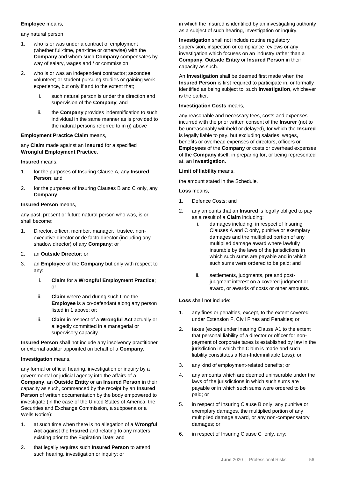#### **Employee** means,

any natural person

- 1. who is or was under a contract of employment (whether full-time, part-time or otherwise) with the **Company** and whom such **Company** compensates by way of salary, wages and / or commission
- 2. who is or was an independent contractor; secondee; volunteer; or student pursuing studies or gaining work experience, but only if and to the extent that;
	- i. such natural person is under the direction and supervision of the **Company**; and
	- ii. the **Company** provides indemnification to such individual in the same manner as is provided to the natural persons referred to in (i) above

### **Employment Practice Claim** means,

any **Claim** made against an **Insured** for a specified **Wrongful Employment Practice**.

#### **Insured** means,

- 1. for the purposes of Insuring Clause A, any **Insured Person**; and
- 2. for the purposes of Insuring Clauses B and C only, any **Company**.

### **Insured Person** means,

any past, present or future natural person who was, is or shall become:

- 1. Director, officer, member, manager, trustee, nonexecutive director or de facto director (including any shadow director) of any **Company**; or
- 2. an **Outside Director**; or
- 3. an **Employee** of the **Company** but only with respect to any:
	- i. **Claim** for a **Wrongful Employment Practice**; or
	- ii. **Claim** where and during such time the **Employee** is a co-defendant along any person listed in 1 above; or;
	- iii. **Claim** in respect of a **Wrongful Act** actually or allegedly committed in a managerial or supervisory capacity.

**Insured Person** shall not include any insolvency practitioner or external auditor appointed on behalf of a **Company**.

### **Investigation** means,

any formal or official hearing, investigation or inquiry by a governmental or judicial agency into the affairs of a **Company**, an **Outside Entity** or an **Insured Person** in their capacity as such, commenced by the receipt by an **Insured Person** of written documentation by the body empowered to investigate (in the case of the United States of America, the Securities and Exchange Commission, a subpoena or a Wells Notice):

- 1. at such time when there is no allegation of a **Wrongful Act** against the **Insured** and relating to any matters existing prior to the Expiration Date; and
- 2. that legally requires such **Insured Person** to attend such hearing, investigation or inquiry; or

in which the Insured is identified by an investigating authority as a subject of such hearing, investigation or inquiry.

**Investigation** shall not include routine regulatory supervision, inspection or compliance reviews or any investigation which focuses on an industry rather than a **Company, Outside Entity** or **Insured Person** in their capacity as such.

An **Investigation** shall be deemed first made when the **Insured Person** is first required to participate in, or formally identified as being subject to, such **Investigation**, whichever is the earlier.

#### **Investigation Costs** means,

any reasonable and necessary fees, costs and expenses incurred with the prior written consent of the **Insurer** (not to be unreasonably withheld or delayed), for which the **Insured** is legally liable to pay, but excluding salaries, wages, benefits or overhead expenses of directors, officers or **Employees** of the **Company** or costs or overhead expenses of the **Company** itself, in preparing for, or being represented at, an **Investigation**.

### **Limit of liability** means,

the amount stated in the Schedule.

**Loss** means,

- 1. Defence Costs; and
- 2. any amounts that an **Insured** is legally obliged to pay as a result of a **Claim** including:
	- i. damages including, in respect of Insuring Clauses A and C only, punitive or exemplary damages and the multiplied portion of any multiplied damage award where lawfully insurable by the laws of the jurisdictions in which such sums are payable and in which such sums were ordered to be paid; and
	- ii. settlements, judgments, pre and postjudgment interest on a covered judgment or award, or awards of costs or other amounts.

### **Loss** shall not include:

- 1. any fines or penalties, except, to the extent covered under Extension F, Civil Fines and Penalties; or
- 2. taxes (except under Insuring Clause A1 to the extent that personal liability of a director or officer for nonpayment of corporate taxes is established by law in the jurisdiction in which the Claim is made and such liability constitutes a Non-Indemnifiable Loss); or
- 3. any kind of employment-related benefits; or
- 4. any amounts which are deemed uninsurable under the laws of the jurisdictions in which such sums are payable or in which such sums were ordered to be paid; or
- 5. in respect of Insuring Clause B only, any punitive or exemplary damages, the multiplied portion of any multiplied damage award, or any non-compensatory damages; or
- 6. in respect of Insuring Clause C only, any: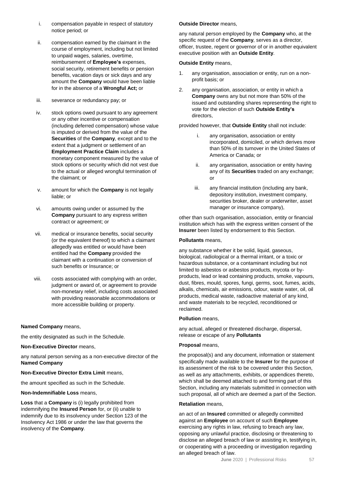- i. compensation payable in respect of statutory notice period; or
- ii. compensation earned by the claimant in the course of employment, including but not limited to unpaid wages, salaries, overtime, reimbursement of **Employee's** expenses, social security, retirement benefits or pension benefits, vacation days or sick days and any amount the **Company** would have been liable for in the absence of a **Wrongful Act;** or
- iii. severance or redundancy pay; or
- iv. stock options owed pursuant to any agreement or any other incentive or compensation (including deferred compensation) whose value is imputed or derived from the value of the **Securities** of the **Company**, except and to the extent that a judgment or settlement of an **Employment Practice Claim** includes a monetary component measured by the value of stock options or security which did not vest due to the actual or alleged wrongful termination of the claimant; or
- v. amount for which the **Company** is not legally liable; or
- vi. amounts owing under or assumed by the **Company** pursuant to any express written contract or agreement; or
- vii. medical or insurance benefits, social security (or the equivalent thereof) to which a claimant allegedly was entitled or would have been entitled had the **Company** provided the claimant with a continuation or conversion of such benefits or Insurance; or
- viii. costs associated with complying with an order, judgment or award of, or agreement to provide non-monetary relief, including costs associated with providing reasonable accommodations or more accessible building or property.

### **Named Company** means,

the entity designated as such in the Schedule.

#### **Non-Executive Director** means,

any natural person serving as a non-executive director of the **Named Company**

### **Non-Executive Director Extra Limit** means,

the amount specified as such in the Schedule.

#### **Non-Indemnifiable Loss** means,

**Loss** that a **Company** is (i) legally prohibited from indemnifying the **Insured Person** for, or (ii) unable to indemnify due to its insolvency under Section 123 of the Insolvency Act 1986 or under the law that governs the insolvency of the **Company**.

#### **Outside Director** means,

any natural person employed by the **Company** who, at the specific request of the **Company**, serves as a director, officer, trustee, regent or governor of or in another equivalent executive position with an **Outside Entity**.

#### **Outside Entity** means,

- 1. any organisation, association or entity, run on a nonprofit basis; or
- 2. any organisation, association, or entity in which a **Company** owns any but not more than 50% of the issued and outstanding shares representing the right to vote for the election of such **Outside Entity's** directors,

provided however, that **Outside Entity** shall not include:

- any organisation, association or entity incorporated, domiciled, or which derives more than 50% of its turnover in the United States of America or Canada; or
- ii. any organisation, association or entity having any of its **Securities** traded on any exchange; or
- iii. any financial institution (including any bank, depository institution, investment company, securities broker, dealer or underwriter, asset manager or insurance company),

other than such organisation, association, entity or financial institution which has with the express written consent of the **Insurer** been listed by endorsement to this Section.

#### **Pollutants** means,

any substance whether it be solid, liquid, gaseous, biological, radiological or a thermal irritant, or a toxic or hazardous substance, or a contaminant including but not limited to asbestos or asbestos products, mycota or byproducts, lead or lead containing products, smoke, vapours, dust, fibres, mould, spores, fungi, germs, soot, fumes, acids, alkalis, chemicals, air emissions, odour, waste water, oil, oil products, medical waste, radioactive material of any kind, and waste materials to be recycled, reconditioned or reclaimed.

#### **Pollution** means,

any actual, alleged or threatened discharge, dispersal, release or escape of any **Pollutants**

#### **Proposal** means,

the proposal(s) and any document, information or statement specifically made available to the **Insurer** for the purpose of its assessment of the risk to be covered under this Section, as well as any attachments, exhibits, or appendices thereto, which shall be deemed attached to and forming part of this Section, including any materials submitted in connection with such proposal, all of which are deemed a part of the Section.

#### **Retaliation** means,

an act of an **Insured** committed or allegedly committed against an **Employee** on account of such **Employee** exercising any rights in law, refusing to breach any law, opposing any unlawful practice, disclosing or threatening to disclose an alleged breach of law or assisting in, testifying in, or cooperating with a proceeding or investigation regarding an alleged breach of law.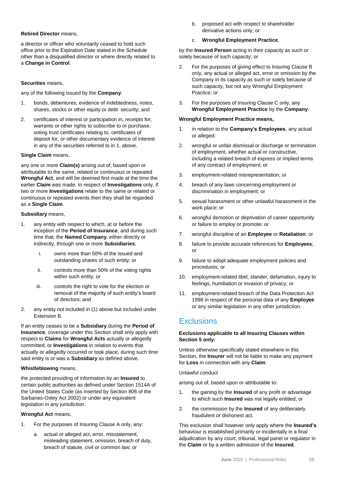### **Retired Director** means,

a director or officer who voluntarily ceased to hold such office prior to the Expiration Date stated in the Schedule other than a disqualified director or where directly related to a **Change in Control**.

### **Securities** means,

any of the following issued by the **Company**:

- 1. bonds, debentures, evidence of indebtedness, notes, shares, stocks or other equity or debt security; and
- 2. certificates of interest or participation in, receipts for, warrants or other rights to subscribe to or purchase, voting trust certificates relating to, certificates of deposit for, or other documentary evidence of interest in any of the securities referred to in 1. above.

### **Single Claim** means,

any one or more **Claim(s)** arising out of, based upon or attributable to the same, related or continuous or repeated **Wrongful Act**, and will be deemed first made at the time the earlier **Claim** was made. In respect of **Investigations** only, if two or more **Investigations** relate to the same or related or continuous or repeated events then they shall be regarded as a **Single Claim**.

### **Subsidiary** means,

- 1. any entity with respect to which, at or before the inception of the **Period of Insurance**, and during such time that, the **Named Company**, either directly or indirectly, through one or more **Subsidiaries**;
	- i. owns more than 50% of the issued and outstanding shares of such entity; or
	- ii. controls more than 50% of the voting rights within such entity; or
	- iii. controls the right to vote for the election or removal of the majority of such entity's board of directors; and
- 2. any entity not included in (1) above but included under Extension B.

If an entity ceases to be a **Subsidiary** during the **Period of Insurance**, coverage under this Section shall only apply with respect to **Claims** for **Wrongful Acts** actually or allegedly committed, or **Investigations** in relation to events that actually or allegedly occurred or took place, during such time said entity is or was a **Subsidiary** as defined above.

### **Whistleblowing** means,

the protected providing of information by an **Insured** to certain public authorities as defined under Section 1514A of the United States Code (as inserted by Section 806 of the Sarbanes-Oxley Act 2002) or under any equivalent legislation in any jurisdiction.

### **Wrongful Act** means,

- 1. For the purposes of Insuring Clause A only, any:
	- a. actual or alleged act, error, misstatement, misleading statement, omission, breach of duty, breach of statute, civil or common law; or

b. proposed act with respect to shareholder derivative actions only; or

### c. **Wrongful Employment Practice**,

by the **Insured Person** acting in their capacity as such or solely because of such capacity; or

- 2. For the purposes of giving effect to Insuring Clause B only, any actual or alleged act, error or omission by the Company in its capacity as such or solely because of such capacity, but not any Wrongful Employment Practice; or
- 3. For the purposes of Insuring Clause C only, any **Wrongful Employment Practice** by the **Company**.

### **Wrongful Employment Practice means,**

- 1. in relation to the **Company's Employees**, any actual or alleged:
- 2. wrongful or unfair dismissal or discharge or termination of employment, whether actual or constructive, including a related breach of express or implied terms of any contract of employment; or
- 3. employment-related misrepresentation; or
- 4. breach of any laws concerning employment or discrimination in employment; or
- 5. sexual harassment or other unlawful harassment in the work place; or
- 6. wrongful demotion or deprivation of career opportunity or failure to employ or promote; or
- 7. wrongful discipline of an **Employee** or **Retaliation**; or
- 8. failure to provide accurate references for **Employees**; or
- 9. failure to adopt adequate employment policies and procedures; or
- 10. employment-related libel, slander, defamation, injury to feelings, humiliation or invasion of privacy; or
- 11. employment-related breach of the Data Protection Act 1998 in respect of the personal data of any **Employee** or any similar legislation in any other jurisdiction.

### **Exclusions**

### **Exclusions applicable to all Insuring Clauses within Section 5 only:**

Unless otherwise specifically stated elsewhere in this Section, the **Insurer** will not be liable to make any payment for **Loss** in connection with any **Claim**:

### Unlawful conduct

arising out of, based upon or attributable to:

- 1. the gaining by the **Insured** of any profit or advantage to which such **Insured** was not legally entitled; or
- 2. the commission by the **Insured** of any deliberately fraudulent or dishonest act.

This exclusion shall however only apply where the **Insured's** behaviour is established primarily or incidentally in a final adjudication by any court, tribunal, legal panel or regulator in the **Claim** or by a written admission of the **Insured**.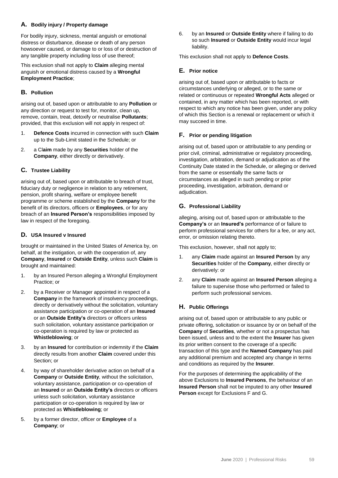### **A. Bodily injury / Property damage**

For bodily injury, sickness, mental anguish or emotional distress or disturbance, disease or death of any person howsoever caused, or damage to or loss of or destruction of any tangible property including loss of use thereof;

This exclusion shall not apply to **Claim** alleging mental anguish or emotional distress caused by a **Wrongful Employment Practice**;

### **B. Pollution**

arising out of, based upon or attributable to any **Pollution** or any direction or request to test for, monitor, clean up, remove, contain, treat, detoxify or neutralise **Pollutants**; provided, that this exclusion will not apply in respect of:

- 1. **Defence Costs** incurred in connection with such **Claim** up to the Sub-Limit stated in the Schedule; or
- 2. a Cl**aim** made by any **Securities** holder of the **Company**, either directly or derivatively.

### **C. Trustee Liability**

arising out of, based upon or attributable to breach of trust, fiduciary duty or negligence in relation to any retirement, pension, profit sharing, welfare or employee benefit programme or scheme established by the **Company** for the benefit of its directors, officers or **Employees**, or for any breach of an **Insured Person's** responsibilities imposed by law in respect of the foregoing.

### **D. USA Insured v Insured**

brought or maintained in the United States of America by, on behalf, at the instigation, or with the cooperation of, any **Company**, **Insured** or **Outside Entity**, unless such **Claim** is brought and maintained:

- 1. by an Insured Person alleging a Wrongful Employment Practice; or
- 2. by a Receiver or Manager appointed in respect of a **Company** in the framework of insolvency proceedings, directly or derivatively without the solicitation, voluntary assistance participation or co-operation of an **Insured** or an **Outside Entity's** directors or officers unless such solicitation, voluntary assistance participation or co-operation is required by law or protected as **Whistleblowing**; or
- 3. by an **Insured** for contribution or indemnity if the **Claim** directly results from another **Claim** covered under this Section; or
- 4. by way of shareholder derivative action on behalf of a **Company** or **Outside Entity**, without the solicitation, voluntary assistance, participation or co-operation of an **Insured** or an **Outside Entity's** directors or officers unless such solicitation, voluntary assistance participation or co-operation is required by law or protected as **Whistleblowing**; or
- 5. by a former director, officer or **Employee** of a **Company**; or

6. by an **Insured** or **Outside Entity** where if failing to do so such **Insured** or **Outside Entity** would incur legal liability.

This exclusion shall not apply to **Defence Costs**.

### **E. Prior notice**

arising out of, based upon or attributable to facts or circumstances underlying or alleged, or to the same or related or continuous or repeated **Wrongful Acts** alleged or contained, in any matter which has been reported, or with respect to which any notice has been given, under any policy of which this Section is a renewal or replacement or which it may succeed in time.

### **F. Prior or pending litigation**

arising out of, based upon or attributable to any pending or prior civil, criminal, administrative or regulatory proceeding, investigation, arbitration, demand or adjudication as of the Continuity Date stated in the Schedule, or alleging or derived from the same or essentially the same facts or circumstances as alleged in such pending or prior proceeding, investigation, arbitration, demand or adjudication.

### **G. Professional Liability**

alleging, arising out of, based upon or attributable to the **Company's** or an **Insured's** performance of or failure to perform professional services for others for a fee, or any act, error, or omission relating thereto.

This exclusion, however, shall not apply to;

- 1. any **Claim** made against an **Insured Person** by any **Securities** holder of the **Company**, either directly or derivatively: or
- 2. any **Claim** made against an **Insured Person** alleging a failure to supervise those who performed or failed to perform such professional services.

### **H. Public Offerings**

arising out of, based upon or attributable to any public or private offering, solicitation or issuance by or on behalf of the **Company** of **Securities**, whether or not a prospectus has been issued, unless and to the extent the **Insurer** has given its prior written consent to the coverage of a specific transaction of this type and the **Named Company** has paid any additional premium and accepted any change in terms and conditions as required by the **Insurer**.

For the purposes of determining the applicability of the above Exclusions to **Insured Persons**, the behaviour of an **Insured Person** shall not be imputed to any other **Insured Person** except for Exclusions F and G.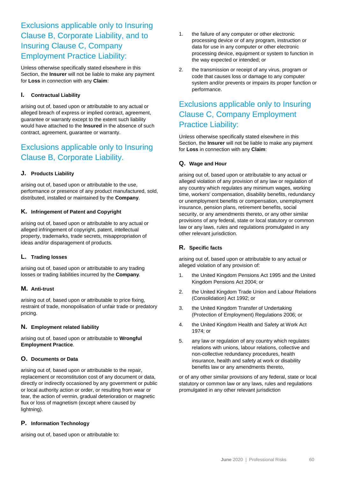### Exclusions applicable only to Insuring Clause B, Corporate Liability, and to Insuring Clause C, Company Employment Practice Liability:

Unless otherwise specifically stated elsewhere in this Section, the **Insurer** will not be liable to make any payment for **Loss** in connection with any **Claim**:

### **I. Contractual Liability**

arising out of, based upon or attributable to any actual or alleged breach of express or implied contract, agreement, guarantee or warranty except to the extent such liability would have attached to the **Insured** in the absence of such contract, agreement, guarantee or warranty.

### Exclusions applicable only to Insuring Clause B, Corporate Liability.

### **J. Products Liability**

arising out of, based upon or attributable to the use, performance or presence of any product manufactured, sold, distributed, installed or maintained by the **Company**.

#### **K. Infringement of Patent and Copyright**

arising out of, based upon or attributable to any actual or alleged infringement of copyright, patent, intellectual property, trademarks, trade secrets, misappropriation of ideas and/or disparagement of products.

### **L. Trading losses**

arising out of, based upon or attributable to any trading losses or trading liabilities incurred by the **Company**.

### **M. Anti-trust**

arising out of, based upon or attributable to price fixing, restraint of trade, monopolisation of unfair trade or predatory pricing.

### **N. Employment related liability**

arising out of, based upon or attributable to **Wrongful Employment Practice**.

### **O. Documents or Data**

arising out of, based upon or attributable to the repair, replacement or reconstitution cost of any document or data, directly or indirectly occasioned by any government or public or local authority action or order, or resulting from wear or tear, the action of vermin, gradual deterioration or magnetic flux or loss of magnetism (except where caused by lightning).

### **P. Information Technology**

arising out of, based upon or attributable to:

- 1. the failure of any computer or other electronic processing device or of any program, instruction or data for use in any computer or other electronic processing device, equipment or system to function in the way expected or intended; or
- 2. the transmission or receipt of any virus, program or code that causes loss or damage to any computer system and/or prevents or impairs its proper function or performance.

### Exclusions applicable only to Insuring Clause C, Company Employment Practice Liability:

Unless otherwise specifically stated elsewhere in this Section, the **Insurer** will not be liable to make any payment for **Loss** in connection with any **Claim**:

### **Q. Wage and Hour**

arising out of, based upon or attributable to any actual or alleged violation of any provision of any law or regulation of any country which regulates any minimum wages, working time, workers' compensation, disability benefits, redundancy or unemployment benefits or compensation, unemployment insurance, pension plans, retirement benefits, social security, or any amendments thereto, or any other similar provisions of any federal, state or local statutory or common law or any laws, rules and regulations promulgated in any other relevant jurisdiction.

### **R. Specific facts**

arising out of, based upon or attributable to any actual or alleged violation of any provision of:

- 1. the United Kingdom Pensions Act 1995 and the United Kingdom Pensions Act 2004; or
- 2. the United Kingdom Trade Union and Labour Relations (Consolidation) Act 1992; or
- 3. the United Kingdom Transfer of Undertaking (Protection of Employment) Regulations 2006; or
- 4. the United Kingdom Health and Safety at Work Act 1974; or
- 5. any law or regulation of any country which regulates relations with unions, labour relations, collective and non-collective redundancy procedures, health insurance, health and safety at work or disability benefits law or any amendments thereto,

or of any other similar provisions of any federal, state or local statutory or common law or any laws, rules and regulations promulgated in any other relevant jurisdiction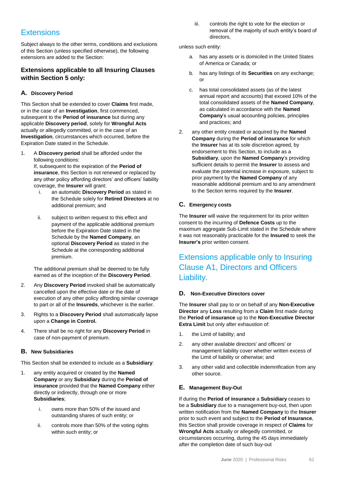### **Extensions**

Subject always to the other terms, conditions and exclusions of this Section (unless specified otherwise), the following extensions are added to the Section:

### **Extensions applicable to all Insuring Clauses within Section 5 only:**

### **A. Discovery Period**

This Section shall be extended to cover **Claims** first made, or in the case of an **Investigation**, first commenced, subsequent to the **Period of insurance** but during any applicable **Discovery period**, solely for **Wrongful Acts** actually or allegedly committed, or in the case of an **Investigation**, circumstances which occurred, before the Expiration Date stated in the Schedule.

1. A **Discovery period** shall be afforded under the following conditions:

If, subsequent to the expiration of the **Period of insurance**, this Section is not renewed or replaced by any other policy affording directors' and officers' liability coverage, the **Insurer** will grant:

- i. an automatic **Discovery Period** as stated in the Schedule solely for **Retired Directors** at no additional premium; and
- ii. subject to written request to this effect and payment of the applicable additional premium before the Expiration Date stated in the Schedule by the **Named Company**, an optional **Discovery Period** as stated in the Schedule at the corresponding additional premium.

The additional premium shall be deemed to be fully earned as of the inception of the **Discovery Period**.

- 2. Any **Discovery Period** invoked shall be automatically cancelled upon the effective date or the date of execution of any other policy affording similar coverage to part or all of the **Insureds**, whichever is the earlier.
- 3. Rights to a **Discovery Period** shall automatically lapse upon a **Change in Control.**
- 4. There shall be no right for any **Discovery Period** in case of non-payment of premium.

### **B. New Subsidiaries**

This Section shall be extended to include as a **Subsidiary**:

- 1. any entity acquired or created by the **Named Company** or any **Subsidiary** during the **Period of insurance** provided that the **Named Company** either directly or indirectly, through one or more **Subsidiaries**;
	- i. owns more than 50% of the issued and outstanding shares of such entity; or
	- ii. controls more than 50% of the voting rights within such entity; or

iii. controls the right to vote for the election or removal of the majority of such entity's board of directors,

unless such entity:

- a. has any assets or is domiciled in the United States of America or Canada; or
- b. has any listings of its **Securities** on any exchange; or
- c. has total consolidated assets (as of the latest annual report and accounts) that exceed 10% of the total consolidated assets of the **Named Company**, as calculated in accordance with the **Named Company**'s usual accounting policies, principles and practices; and
- 2. any other entity created or acquired by the **Named Company** during the **Period of insurance** for which the **Insurer** has at its sole discretion agreed, by endorsement to this Section, to include as a **Subsidiary**, upon the **Named Company**'s providing sufficient details to permit the **Insurer** to assess and evaluate the potential increase in exposure, subject to prior payment by the **Named Company** of any reasonable additional premium and to any amendment to the Section terms required by the **Insurer**.

### **C. Emergency costs**

The **Insurer** will waive the requirement for its prior written consent to the incurring of **Defence Costs** up to the maximum aggregate Sub-Limit stated in the Schedule where it was not reasonably practicable for the **Insured** to seek the **Insurer's** prior written consent.

### Extensions applicable only to Insuring Clause A1, Directors and Officers Liability.

### **D. Non-Executive Directors cover**

The **Insurer** shall pay to or on behalf of any **Non-Executive Director** any **Loss** resulting from a **Claim** first made during the **Period of insurance** up to the **Non-Executive Director Extra Limit** but only after exhaustion of:

- 1. the Limit of liability; and
- 2. any other available directors' and officers' or management liability cover whether written excess of the Limit of liability or otherwise; and
- 3. any other valid and collectible indemnification from any other source.

### **E. Management Buy-Out**

If during the **Period of insurance** a **Subsidiary** ceases to be a **Subsidiary** due to a management buy-out, then upon written notification from the **Named Company** to the **Insurer** prior to such event and subject to the **Period of Insurance**, this Section shall provide coverage in respect of **Claims** for **Wrongful Acts** actually or allegedly committed, or circumstances occurring, during the 45 days immediately after the completion date of such buy-out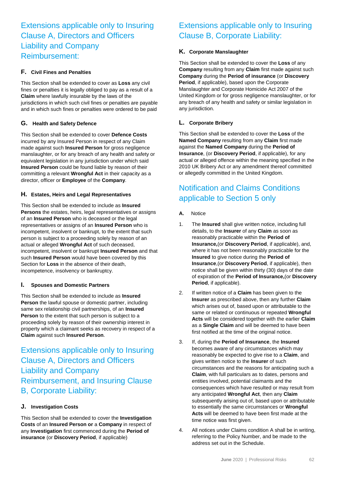### Extensions applicable only to Insuring Clause A, Directors and Officers Liability and Company Reimbursement:

### **F. Civil Fines and Penalties**

This Section shall be extended to cover as **Loss** any civil fines or penalties it is legally obliged to pay as a result of a **Claim** where lawfully insurable by the laws of the jurisdictions in which such civil fines or penalties are payable and in which such fines or penalties were ordered to be paid

### **G. Health and Safety Defence**

This Section shall be extended to cover **Defence Costs** incurred by any Insured Person in respect of any Claim made against such **Insured Person** for gross negligence manslaughter, or for any breach of any health and safety or equivalent legislation in any jurisdiction under which said **Insured Person** could be found liable by reason of their committing a relevant **Wrongful Act** in their capacity as a director, officer or **Employee** of the **Company**.

### **H. Estates, Heirs and Legal Representatives**

This Section shall be extended to include as **Insured Persons** the estates, heirs, legal representatives or assigns of an **Insured Person** who is deceased or the legal representatives or assigns of an **Insured Person** who is incompetent, insolvent or bankrupt, to the extent that such person is subject to a proceeding solely by reason of an actual or alleged **Wrongful Act** of such deceased, incompetent, insolvent or bankrupt **Insured Person** and that such **Insured Person** would have been covered by this Section for **Loss** in the absence of their death, incompetence, insolvency or bankruptcy.

### **I. Spouses and Domestic Partners**

This Section shall be extended to include as **Insured Person** the lawful spouse or domestic partner, including same sex relationship civil partnerships, of an **Insured Person** to the extent that such person is subject to a proceeding solely by reason of their ownership interest in property which a claimant seeks as recovery in respect of a **Claim** against such **Insured Person**.

### Extensions applicable only to Insuring Clause A, Directors and Officers Liability and Company Reimbursement, and Insuring Clause B, Corporate Liability:

### **J. Investigation Costs**

This Section shall be extended to cover the **Investigation Costs** of an **Insured Person or** a **Company** in respect of any **Investigation** first commenced during the **Period of insurance** (or **Discovery Period**, if applicable)

### Extensions applicable only to Insuring Clause B, Corporate Liability:

### **K. Corporate Manslaughter**

This Section shall be extended to cover the **Loss** of any **Company** resulting from any **Claim** first made against such **Company** during the **Period of insurance** (or **Discovery Period**, if applicable), based upon the Corporate Manslaughter and Corporate Homicide Act 2007 of the United Kingdom or for gross negligence manslaughter, or for any breach of any health and safety or similar legislation in any jurisdiction.

### **L. Corporate Bribery**

This Section shall be extended to cover the **Loss** of the **Named Company** resulting from any **Claim** first made against the **Named Company** during the **Period of Insurance**, (or **Discovery Period**, if applicable), for any actual or alleged offence within the meaning specified in the 2010 UK Bribery Act or any amendment thereof committed or allegedly committed in the United Kingdom.

### Notification and Claims Conditions applicable to Section 5 only

- **A.** Notice
- 1. The **Insured** shall give written notice, including full details, to the **Insurer** of any **Claim** as soon as reasonably practicable within the **Period of Insurance,**(or **Discovery Period**, if applicable), and, where it has not been reasonably practicable for the **Insured** to give notice during the **Period of Insurance**,(or **Discovery Period**, if applicable), then notice shall be given within thirty (30) days of the date of expiration of the **Period of Insurance,**(or **Discovery Period**, if applicable).
- 2. If written notice of a **Claim** has been given to the **Insurer** as prescribed above, then any further **Claim** which arises out of, based upon or attributable to the same or related or continuous or repeated **Wrongful Acts** will be considered together with the earlier **Claim** as a **Single Claim** and will be deemed to have been first notified at the time of the original notice.
- 3. If, during the **Period of Insurance**, the **Insured** becomes aware of any circumstances which may reasonably be expected to give rise to a **Claim**, and gives written notice to the **Insurer** of such circumstances and the reasons for anticipating such a **Claim**, with full particulars as to dates, persons and entities involved, potential claimants and the consequences which have resulted or may result from any anticipated **Wrongful Act**, then any **Claim** subsequently arising out of, based upon or attributable to essentially the same circumstances or **Wrongful Acts** will be deemed to have been first made at the time notice was first given.
- 4. All notices under Claims condition A shall be in writing, referring to the Policy Number, and be made to the address set out in the Schedule.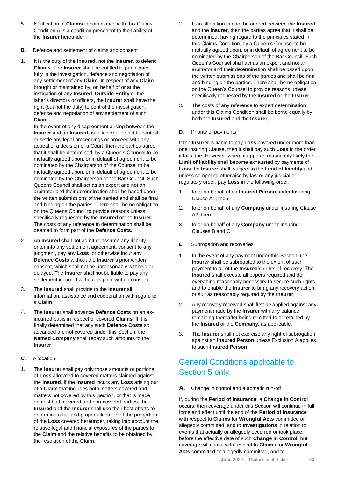- 5. Notification of **Claims** in compliance with this Claims Condition A is a condition precedent to the liability of the **Insurer** hereunder.
- **B.** Defence and settlement of claims and consent
- 1. It is the duty of the **Insured**, not the **Insurer**, to defend **Claims**. The **Insurer** shall be entitled to participate fully in the investigation, defence and negotiation of any settlement of any **Claim**. In respect of any **Claim** brought or maintained by, on behalf of or at the instigation of any **Insured**, **Outside Entity** or the latter's directors or officers, the **Insurer** shall have the right (but not the duty) to control the investigation, defence and negotiation of any settlement of such **Claim**.

In the event of any disagreement arising between the **Insurer** and an **Insured** as to whether or not to contest or settle any legal proceedings or proceed with any appeal of a decision of a Court, then the parties agree that it shall be determined by a Queen's Counsel to be mutually agreed upon, or in default of agreement to be nominated by the Chairperson of the Counsel to be mutually agreed upon, or in default of agreement to be nominated by the Chairperson of the Bar Council. Such Queens Council shall act as an expert and not an arbitrator and their determination shall be based upon the written submissions of the partied and shall be final and binding on the parties. There shall be no obligation on the Queens Council to provide reasons unless specifically requested by the **Insured** or the **Insurer.** The costs of any reference to determination shall be deemed to form part of the **Defence Costs.**

- 2. An **Insured** shall not admit or assume any liability, enter into any settlement agreement, consent to any judgment, pay any **Loss**, or otherwise incur any **Defence Costs** without the **Insurer**'s prior written consent, which shall not be unreasonably withheld or delayed. The **Insurer** shall not be liable to pay any settlement incurred without its prior written consent.
- 3. The **Insured** shall provide to the **Insurer** all information, assistance and cooperation with regard to a **Claim**.
- 4. The **Insurer** shall advance **Defence Costs** on an asincurred basis in respect of covered **Claims**. If it is finally determined that any such **Defence Costs** so advanced are not covered under this Section, the **Named Company** shall repay such amounts to the **Insurer**.
- **C.** Allocation
- 1. The **Insurer** shall pay only those amounts or portions of **Loss** allocated to covered matters claimed against the **Insured**. If the **Insured** incurs any **Loss** arising out of a **Claim** that includes both matters covered and matters not covered by this Section, or that is made against both covered and non-covered parties, the **Insured** and the **Insurer** shall use their best efforts to determine a fair and proper allocation of the proportion of the **Loss** covered hereunder, taking into account the relative legal and financial exposures of the parties to the **Claim** and the relative benefits to be obtained by the resolution of the **Claim**.
- 2. If an allocation cannot be agreed between the **Insured** and the **Insurer**, then the parties agree that it shall be determined, having regard to the principles stated in this Claims Condition, by a Queen's Counsel to be mutually agreed upon, or in default of agreement to be nominated by the Chairperson of the Bar Council. Such Queen's Counsel shall act as an expert and not an arbitrator and their determination shall be based upon the written submissions of the parties and shall be final and binding on the parties. There shall be no obligation on the Queen's Counsel to provide reasons unless specifically requested by the **Insured** or the **Insurer**.
- 3. The costs of any reference to expert determination under this Claims Condition shall be borne equally by both the **Insured** and the **Insurer**.
- **D.** Priority of payments

If the **Insurer** is liable to pay **Loss** covered under more than one Insuring Clause, then it shall pay such **Loss** in the order it falls due. However, where it appears reasonably likely the **Limit of liability** shall become exhausted by payments of **Loss** the **Insurer** shall, subject to the **Limit of liability** and unless compelled otherwise by law or any judicial or regulatory order, pay **Loss** in the following order:

- 1. to or on behalf of an **Insured Person** under Insuring Clause A1; then
- 2. to or on behalf of any **Company** under Insuring Clause A2; then
- 3. to or on behalf of any **Company** under Insuring Clauses B and C.
- **E.** Subrogation and recoveries
- 1. In the event of any payment under this Section, the **Insurer** shall be subrogated to the extent of such payment to all of the **Insured**'s rights of recovery. The **Insured** shall execute all papers required and do everything reasonably necessary to secure such rights and to enable the **Insurer** to bring any recovery action or suit as reasonably required by the **Insurer**.
- 2. Any recovery received shall first be applied against any payment made by the **Insurer** with any balance remaining thereafter being remitted to or retained by the **Insured** or the **Company**, as applicable.
- 3. The **Insurer** shall not exercise any right of subrogation against an **Insured Person** unless Exclusion A applies to such **Insured Person**.

### General Conditions applicable to Section 5 only:

**A.** Change in control and automatic run-off

If, during the **Period of Insurance**, a **Change in Control** occurs, then coverage under this Section will continue in full force and effect until the end of the **Period of insurance** with respect to **Claims** for **Wrongful Acts** committed or allegedly committed, and to **Investigations** in relation to events that actually or allegedly occurred or took place, before the effective date of such **Change in Control**, but coverage will cease with respect to **Claims** for **Wrongful Acts** committed or allegedly committed, and to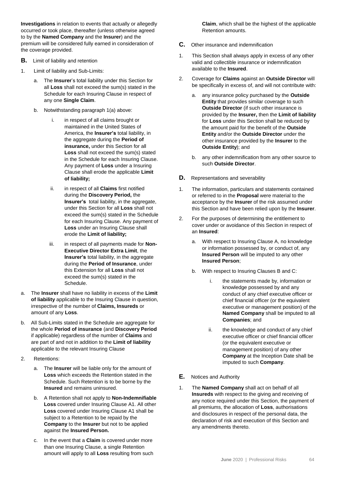**Investigations** in relation to events that actually or allegedly occurred or took place, thereafter (unless otherwise agreed to by the **Named Company** and the **Insurer**) and the premium will be considered fully earned in consideration of the coverage provided.

- **B.** Limit of liability and retention
- 1. Limit of liability and Sub-Limits:
	- a. The **Insurer**'s total liability under this Section for all **Loss** shall not exceed the sum(s) stated in the Schedule for each Insuring Clause in respect of any one **Single Claim**.
	- b. Notwithstanding paragraph 1(a) above:
		- i. in respect of all claims brought or maintained in the United States of America, the **Insurer's** total liability, in the aggregate during the **Period of insurance,** under this Section for all **Loss** shall not exceed the sum(s) stated in the Schedule for each Insuring Clause. Any payment of **Loss** under a Insuring Clause shall erode the applicable **Limit of liability;**
		- ii. in respect of all **Claims** first notified during the **Discovery Period,** the **Insurer's** total liability, in the aggregate, under this Section for all **Loss** shall not exceed the sum(s) stated in the Schedule for each Insuring Clause. Any payment of **Loss** under an Insuring Clause shall erode the **Limit of liability;**
		- iii. in respect of all payments made for **Non-Executive Director Extra Limit**, the **Insurer's** total liability, in the aggregate during the **Period of Insurance**, under this Extension for all **Loss** shall not exceed the sum(s) stated in the Schedule.
- a. The **Insurer** shall have no liability in excess of the **Limit of liability** applicable to the Insuring Clause in question, irrespective of the number of **Claims, Insureds** or amount of any **Loss**.
- b. All Sub-Limits stated in the Schedule are aggregate for the whole **Period of insurance** (and **Discovery Period** if applicable) regardless of the number of **Claims** and are part of and not in addition to the **Limit of liability** applicable to the relevant Insuring Clause
- 2. Retentions:
	- a. The **Insurer** will be liable only for the amount of **Loss** which exceeds the Retention stated in the Schedule. Such Retention is to be borne by the **Insured** and remains uninsured.
	- b. A Retention shall not apply to **Non-Indemnifiable Loss** covered under Insuring Clause A1. All other **Loss** covered under Insuring Clause A1 shall be subject to a Retention to be repaid by the **Company** to the **Insurer** but not to be applied against the **Insured Person.**
	- c. In the event that a **Claim** is covered under more than one Insuring Clause, a single Retention amount will apply to all **Loss** resulting from such

**Claim**, which shall be the highest of the applicable Retention amounts.

- **C.** Other insurance and indemnification
- 1. This Section shall always apply in excess of any other valid and collectible insurance or indemnification available to the **Insured**.
- 2. Coverage for **Claims** against an **Outside Director** will be specifically in excess of, and will not contribute with:
	- a. any insurance policy purchased by the **Outside Entity** that provides similar coverage to such **Outside Director** (if such other insurance is provided by the **Insurer,** then the **Limit of liability** for **Loss** under this Section shall be reduced by the amount paid for the benefit of the **Outside Entity** and/or the **Outside Director** under the other insurance provided by the **Insurer** to the **Outside Entity**); and
	- b. any other indemnification from any other source to such **Outside Director**.
- **D.** Representations and severability
- 1. The information, particulars and statements contained or referred to in the **Proposal** were material to the acceptance by the **Insurer** of the risk assumed under this Section and have been relied upon by the **Insurer**.
- 2. For the purposes of determining the entitlement to cover under or avoidance of this Section in respect of an **Insured**:
	- a. With respect to Insuring Clause A, no knowledge or information possessed by, or conduct of, any **Insured Person** will be imputed to any other **Insured Person**;
	- b. With respect to Insuring Clauses B and C:
		- i. the statements made by, information or knowledge possessed by and any conduct of any chief executive officer or chief financial officer (or the equivalent executive or management position) of the **Named Company** shall be imputed to all **Companies**; and
		- ii. the knowledge and conduct of any chief executive officer or chief financial officer (or the equivalent executive or management position) of any other **Company** at the Inception Date shall be imputed to such **Company**.
- **E.** Notices and Authority
- 1. The **Named Company** shall act on behalf of all **Insureds** with respect to the giving and receiving of any notice required under this Section, the payment of all premiums, the allocation of **Loss**, authorisations and disclosures in respect of the personal data, the declaration of risk and execution of this Section and any amendments thereto.